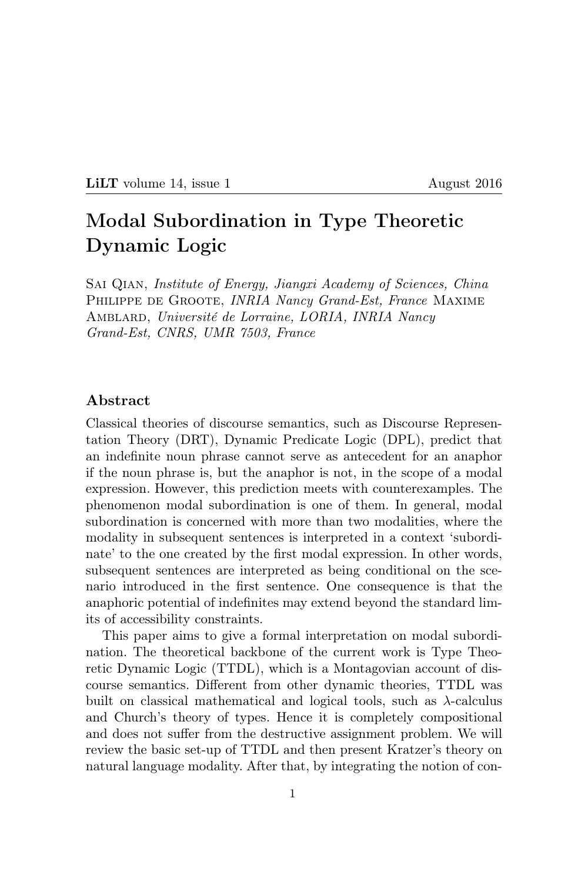# LILT volume 14, issue 1 August 2016

# Modal Subordination in Type Theoretic Dynamic Logic

Sai Qian, Institute of Energy, Jiangxi Academy of Sciences, China PHILIPPE DE GROOTE, *INRIA Nancy Grand-Est*, France MAXIME Amblard, Université de Lorraine, LORIA, INRIA Nancy Grand-Est, CNRS, UMR 7503, France

# Abstract

Classical theories of discourse semantics, such as Discourse Representation Theory (DRT), Dynamic Predicate Logic (DPL), predict that an indefinite noun phrase cannot serve as antecedent for an anaphor if the noun phrase is, but the anaphor is not, in the scope of a modal expression. However, this prediction meets with counterexamples. The phenomenon modal subordination is one of them. In general, modal subordination is concerned with more than two modalities, where the modality in subsequent sentences is interpreted in a context 'subordinate' to the one created by the first modal expression. In other words, subsequent sentences are interpreted as being conditional on the scenario introduced in the first sentence. One consequence is that the anaphoric potential of indefinites may extend beyond the standard limits of accessibility constraints.

This paper aims to give a formal interpretation on modal subordination. The theoretical backbone of the current work is Type Theoretic Dynamic Logic (TTDL), which is a Montagovian account of discourse semantics. Different from other dynamic theories, TTDL was built on classical mathematical and logical tools, such as  $\lambda$ -calculus and Church's theory of types. Hence it is completely compositional and does not suffer from the destructive assignment problem. We will review the basic set-up of TTDL and then present Kratzer's theory on natural language modality. After that, by integrating the notion of con-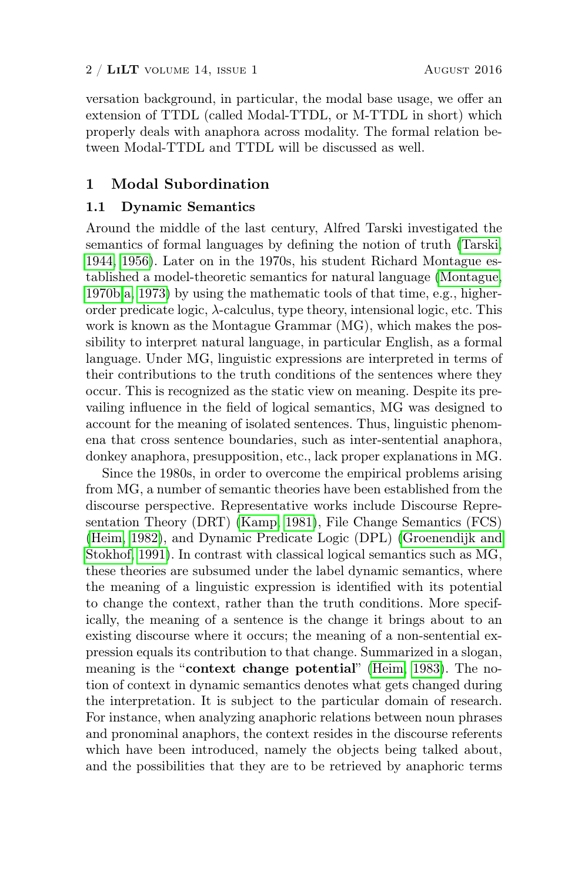versation background, in particular, the modal base usage, we offer an extension of TTDL (called Modal-TTDL, or M-TTDL in short) which properly deals with anaphora across modality. The formal relation between Modal-TTDL and TTDL will be discussed as well.

# 1 Modal Subordination

#### 1.1 Dynamic Semantics

Around the middle of the last century, Alfred Tarski investigated the semantics of formal languages by defining the notion of truth [\(Tarski,](#page-38-0) [1944,](#page-38-0) [1956\)](#page-38-1). Later on in the 1970s, his student Richard Montague established a model-theoretic semantics for natural language [\(Montague,](#page-38-2) [1970b](#page-38-2)[,a,](#page-38-3) [1973\)](#page-38-4) by using the mathematic tools of that time, e.g., higherorder predicate logic,  $\lambda$ -calculus, type theory, intensional logic, etc. This work is known as the Montague Grammar (MG), which makes the possibility to interpret natural language, in particular English, as a formal language. Under MG, linguistic expressions are interpreted in terms of their contributions to the truth conditions of the sentences where they occur. This is recognized as the static view on meaning. Despite its prevailing influence in the field of logical semantics, MG was designed to account for the meaning of isolated sentences. Thus, linguistic phenomena that cross sentence boundaries, such as inter-sentential anaphora, donkey anaphora, presupposition, etc., lack proper explanations in MG.

Since the 1980s, in order to overcome the empirical problems arising from MG, a number of semantic theories have been established from the discourse perspective. Representative works include Discourse Representation Theory (DRT) [\(Kamp, 1981\)](#page-37-0), File Change Semantics (FCS) [\(Heim, 1982\)](#page-37-1), and Dynamic Predicate Logic (DPL) [\(Groenendijk and](#page-37-2) [Stokhof, 1991\)](#page-37-2). In contrast with classical logical semantics such as MG, these theories are subsumed under the label dynamic semantics, where the meaning of a linguistic expression is identified with its potential to change the context, rather than the truth conditions. More specifically, the meaning of a sentence is the change it brings about to an existing discourse where it occurs; the meaning of a non-sentential expression equals its contribution to that change. Summarized in a slogan, meaning is the "context change potential" [\(Heim, 1983\)](#page-37-3). The notion of context in dynamic semantics denotes what gets changed during the interpretation. It is subject to the particular domain of research. For instance, when analyzing anaphoric relations between noun phrases and pronominal anaphors, the context resides in the discourse referents which have been introduced, namely the objects being talked about, and the possibilities that they are to be retrieved by anaphoric terms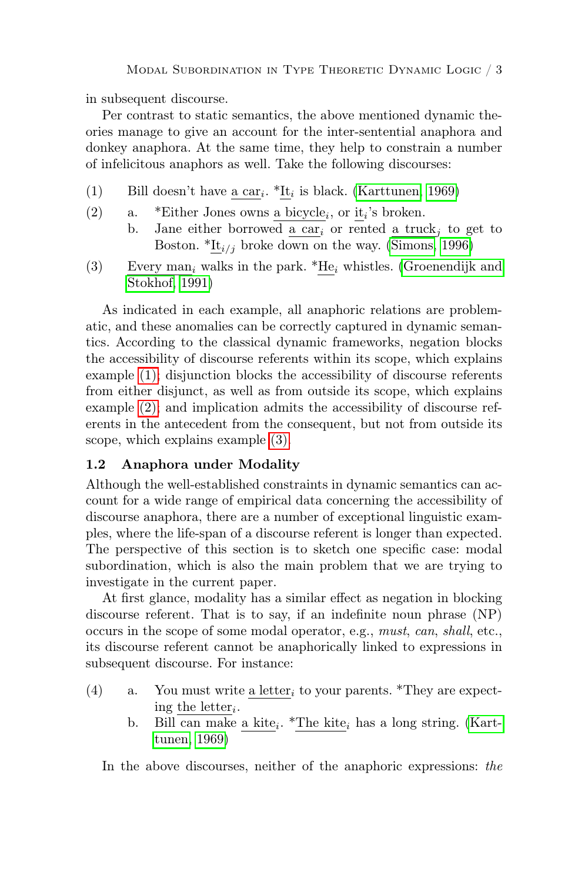in subsequent discourse.

Per contrast to static semantics, the above mentioned dynamic theories manage to give an account for the inter-sentential anaphora and donkey anaphora. At the same time, they help to constrain a number of infelicitous anaphors as well. Take the following discourses:

- <span id="page-2-1"></span><span id="page-2-0"></span>(1) Bill doesn't have  $\underline{\text{a car}}_i$ . \*It<sub>i</sub> is black. [\(Karttunen, 1969\)](#page-37-4)
- (2) a. \*Either Jones owns <u>a bicycle</u><sub>i</sub>, or  $\underline{it}_i$ 's broken.
	- b. Jane either borrowed a car<sub>i</sub> or rented a truck<sub>i</sub> to get to Boston.  $*It_{i/j}$  broke down on the way. [\(Simons, 1996\)](#page-38-5)
- <span id="page-2-2"></span>(3) Every man<sub>i</sub> walks in the park. \*He<sub>i</sub> whistles. [\(Groenendijk and](#page-37-2) [Stokhof, 1991\)](#page-37-2)

As indicated in each example, all anaphoric relations are problematic, and these anomalies can be correctly captured in dynamic semantics. According to the classical dynamic frameworks, negation blocks the accessibility of discourse referents within its scope, which explains example [\(1\);](#page-2-0) disjunction blocks the accessibility of discourse referents from either disjunct, as well as from outside its scope, which explains example [\(2\);](#page-2-1) and implication admits the accessibility of discourse referents in the antecedent from the consequent, but not from outside its scope, which explains example [\(3\).](#page-2-2)

#### <span id="page-2-6"></span>1.2 Anaphora under Modality

Although the well-established constraints in dynamic semantics can account for a wide range of empirical data concerning the accessibility of discourse anaphora, there are a number of exceptional linguistic examples, where the life-span of a discourse referent is longer than expected. The perspective of this section is to sketch one specific case: modal subordination, which is also the main problem that we are trying to investigate in the current paper.

At first glance, modality has a similar effect as negation in blocking discourse referent. That is to say, if an indefinite noun phrase (NP) occurs in the scope of some modal operator, e.g., must, can, shall, etc., its discourse referent cannot be anaphorically linked to expressions in subsequent discourse. For instance:

- <span id="page-2-5"></span><span id="page-2-4"></span><span id="page-2-3"></span>(4) a. You must write a letter, to your parents. \*They are expecting the letter<sub>i</sub>.
	- b. Bill can make <u>a kite</u><sub>i</sub>. \*The kite<sub>i</sub> has a long string. [\(Kart](#page-37-4)[tunen, 1969\)](#page-37-4)

In the above discourses, neither of the anaphoric expressions: the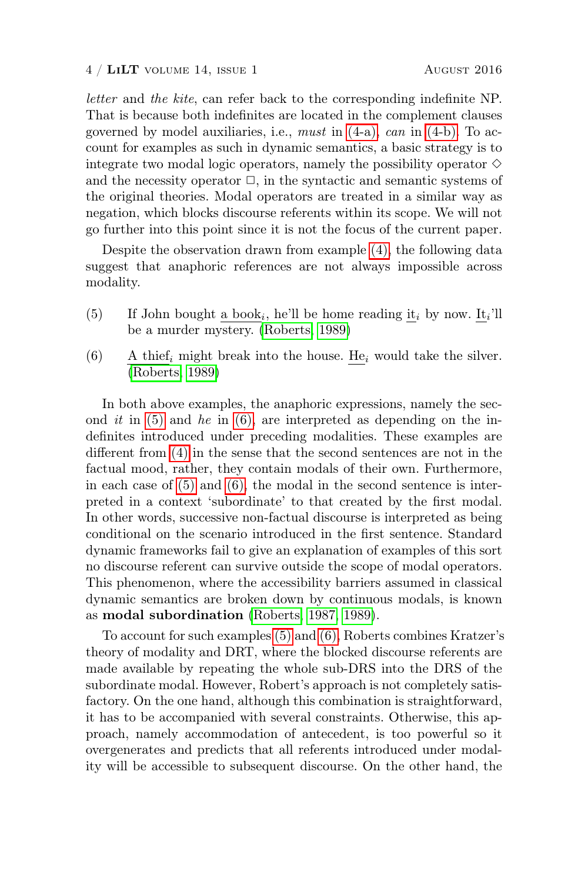letter and the kite, can refer back to the corresponding indefinite NP. That is because both indefinites are located in the complement clauses governed by model auxiliaries, i.e., must in  $(4-a)$ , can in  $(4-b)$ . To account for examples as such in dynamic semantics, a basic strategy is to integrate two modal logic operators, namely the possibility operator  $\diamond$ and the necessity operator  $\Box$ , in the syntactic and semantic systems of the original theories. Modal operators are treated in a similar way as negation, which blocks discourse referents within its scope. We will not go further into this point since it is not the focus of the current paper.

Despite the observation drawn from example [\(4\),](#page-2-5) the following data suggest that anaphoric references are not always impossible across modality.

- <span id="page-3-0"></span>(5) If John bought <u>a book</u><sub>i</sub>, he'll be home reading  $\underline{\mathbf{i}t}_i$  by now.  $\underline{\mathbf{i}t}_i$ 'll be a murder mystery. [\(Roberts, 1989\)](#page-38-6)
- <span id="page-3-1"></span>(6) A thief<sub>i</sub> might break into the house. He<sub>i</sub> would take the silver. [\(Roberts, 1989\)](#page-38-6)

In both above examples, the anaphoric expressions, namely the second it in  $(5)$  and he in  $(6)$ , are interpreted as depending on the indefinites introduced under preceding modalities. These examples are different from [\(4\)](#page-2-5) in the sense that the second sentences are not in the factual mood, rather, they contain modals of their own. Furthermore, in each case of  $(5)$  and  $(6)$ , the modal in the second sentence is interpreted in a context 'subordinate' to that created by the first modal. In other words, successive non-factual discourse is interpreted as being conditional on the scenario introduced in the first sentence. Standard dynamic frameworks fail to give an explanation of examples of this sort no discourse referent can survive outside the scope of modal operators. This phenomenon, where the accessibility barriers assumed in classical dynamic semantics are broken down by continuous modals, is known as modal subordination [\(Roberts, 1987,](#page-38-7) [1989\)](#page-38-6).

To account for such examples [\(5\)](#page-3-0) and [\(6\),](#page-3-1) Roberts combines Kratzer's theory of modality and DRT, where the blocked discourse referents are made available by repeating the whole sub-DRS into the DRS of the subordinate modal. However, Robert's approach is not completely satisfactory. On the one hand, although this combination is straightforward, it has to be accompanied with several constraints. Otherwise, this approach, namely accommodation of antecedent, is too powerful so it overgenerates and predicts that all referents introduced under modality will be accessible to subsequent discourse. On the other hand, the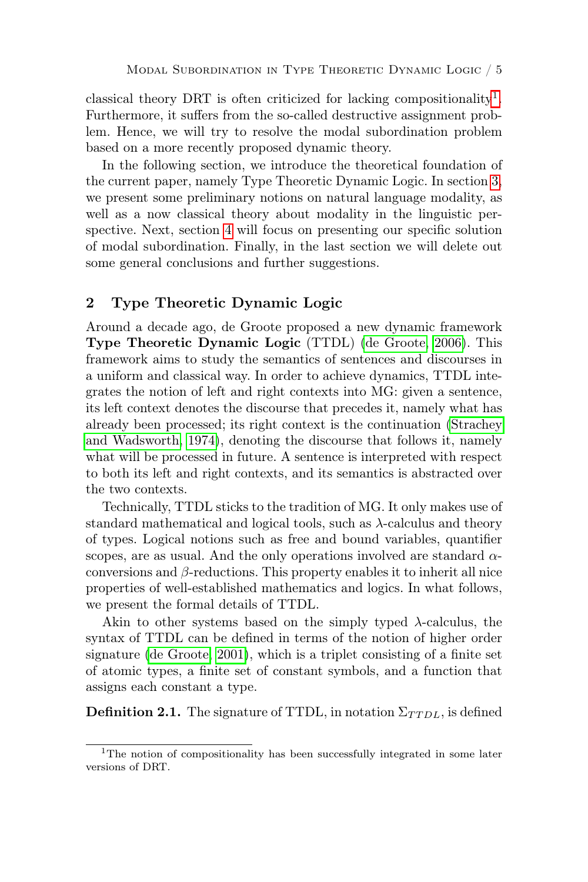classical theory DRT is often criticized for lacking compositionality<sup>[1](#page-4-0)</sup>. Furthermore, it suffers from the so-called destructive assignment problem. Hence, we will try to resolve the modal subordination problem based on a more recently proposed dynamic theory.

In the following section, we introduce the theoretical foundation of the current paper, namely Type Theoretic Dynamic Logic. In section [3,](#page-8-0) we present some preliminary notions on natural language modality, as well as a now classical theory about modality in the linguistic perspective. Next, section [4](#page-13-0) will focus on presenting our specific solution of modal subordination. Finally, in the last section we will delete out some general conclusions and further suggestions.

# <span id="page-4-2"></span>2 Type Theoretic Dynamic Logic

Around a decade ago, de Groote proposed a new dynamic framework Type Theoretic Dynamic Logic (TTDL) [\(de Groote, 2006\)](#page-37-5). This framework aims to study the semantics of sentences and discourses in a uniform and classical way. In order to achieve dynamics, TTDL integrates the notion of left and right contexts into MG: given a sentence, its left context denotes the discourse that precedes it, namely what has already been processed; its right context is the continuation [\(Strachey](#page-38-8) [and Wadsworth, 1974\)](#page-38-8), denoting the discourse that follows it, namely what will be processed in future. A sentence is interpreted with respect to both its left and right contexts, and its semantics is abstracted over the two contexts.

Technically, TTDL sticks to the tradition of MG. It only makes use of standard mathematical and logical tools, such as  $\lambda$ -calculus and theory of types. Logical notions such as free and bound variables, quantifier scopes, are as usual. And the only operations involved are standard  $\alpha$ conversions and β-reductions. This property enables it to inherit all nice properties of well-established mathematics and logics. In what follows, we present the formal details of TTDL.

Akin to other systems based on the simply typed  $\lambda$ -calculus, the syntax of TTDL can be defined in terms of the notion of higher order signature [\(de Groote, 2001\)](#page-37-6), which is a triplet consisting of a finite set of atomic types, a finite set of constant symbols, and a function that assigns each constant a type.

<span id="page-4-1"></span>**Definition 2.1.** The signature of TTDL, in notation  $\Sigma_{TTDL}$ , is defined

<span id="page-4-0"></span><sup>&</sup>lt;sup>1</sup>The notion of compositionality has been successfully integrated in some later versions of DRT.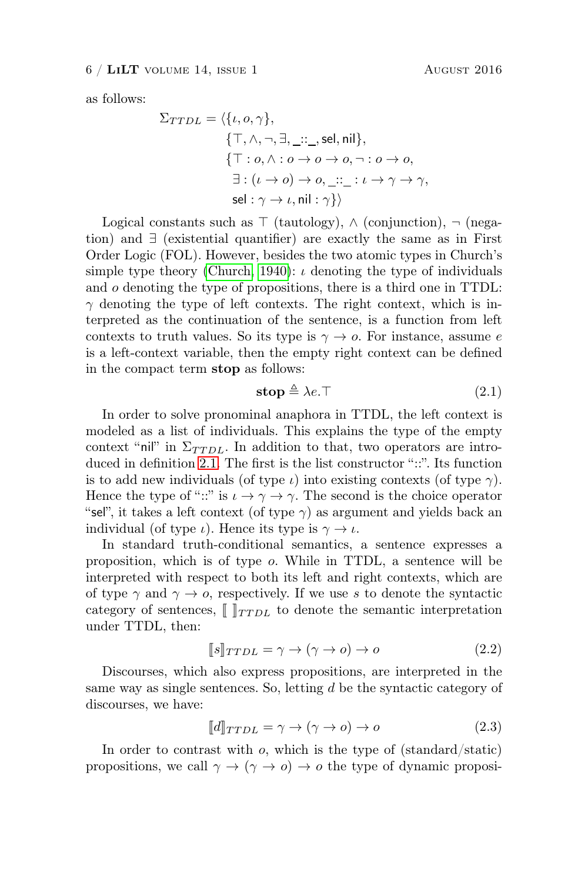#### $6 / LiLT$  volume 14, issue 1 August 2016

as follows:

$$
\Sigma_{TTDL} = \langle \{i, o, \gamma\},\
$$
  

$$
\{\top, \land, \neg, \exists, \_\colon \_\text{S} \in \text{Inil}\},\
$$
  

$$
\{\top : o, \land : o \to o \to o, \neg : o \to o, \exists : (i \to o) \to o, \_\colon \exists : (i \to o) \to o, \_\colon \_\colon \bot : i \to \gamma \to \gamma, \text{sel} : \gamma \to i, \text{nil} : \gamma\} \rangle
$$

Logical constants such as  $\top$  (tautology),  $\wedge$  (conjunction),  $\neg$  (negation) and ∃ (existential quantifier) are exactly the same as in First Order Logic (FOL). However, besides the two atomic types in Church's simple type theory [\(Church, 1940\)](#page-37-7):  $\iota$  denoting the type of individuals and o denoting the type of propositions, there is a third one in TTDL:  $\gamma$  denoting the type of left contexts. The right context, which is interpreted as the continuation of the sentence, is a function from left contexts to truth values. So its type is  $\gamma \to o$ . For instance, assume e is a left-context variable, then the empty right context can be defined in the compact term stop as follows:

<span id="page-5-0"></span>
$$
stop \triangleq \lambda e.\top \tag{2.1}
$$

In order to solve pronominal anaphora in TTDL, the left context is modeled as a list of individuals. This explains the type of the empty context "nil" in  $\Sigma_{TTDL}$ . In addition to that, two operators are introduced in definition [2.1.](#page-4-1) The first is the list constructor "::". Its function is to add new individuals (of type  $\iota$ ) into existing contexts (of type  $\gamma$ ). Hence the type of "::" is  $\iota \to \gamma \to \gamma$ . The second is the choice operator "sel", it takes a left context (of type  $\gamma$ ) as argument and yields back an individual (of type  $\iota$ ). Hence its type is  $\gamma \to \iota$ .

In standard truth-conditional semantics, a sentence expresses a proposition, which is of type o. While in TTDL, a sentence will be interpreted with respect to both its left and right contexts, which are of type  $\gamma$  and  $\gamma \to o$ , respectively. If we use s to denote the syntactic category of sentences,  $\llbracket \ \rrbracket_{TTDL}$  to denote the semantic interpretation under TTDL, then:

<span id="page-5-1"></span>
$$
[\![s]\!]_{TTDL} = \gamma \to (\gamma \to o) \to o \tag{2.2}
$$

Discourses, which also express propositions, are interpreted in the same way as single sentences. So, letting d be the syntactic category of discourses, we have:

<span id="page-5-2"></span>
$$
\llbracket d \rrbracket_{TTDL} = \gamma \to (\gamma \to o) \to o \tag{2.3}
$$

In order to contrast with  $o$ , which is the type of (standard/static) propositions, we call  $\gamma \to (\gamma \to o) \to o$  the type of dynamic proposi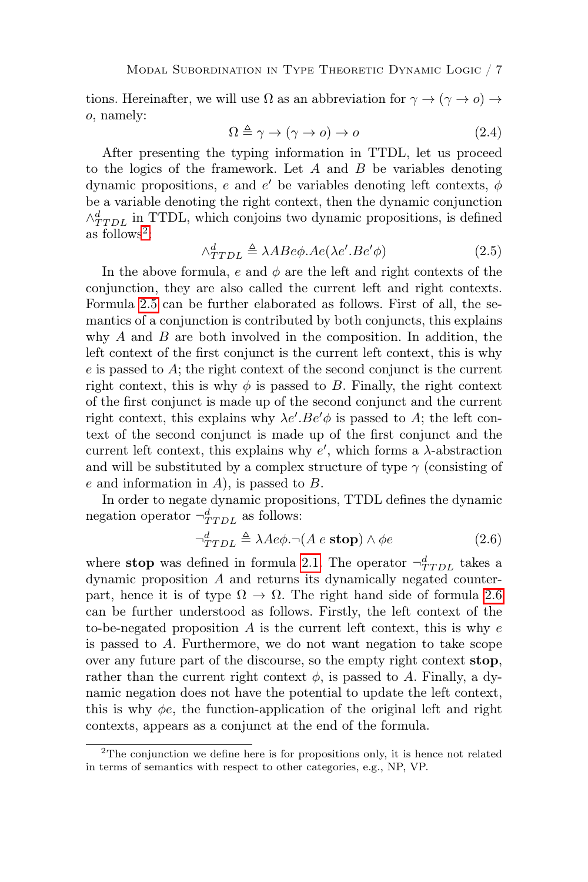tions. Hereinafter, we will use  $\Omega$  as an abbreviation for  $\gamma \to (\gamma \to o) \to$ o, namely:

$$
\Omega \triangleq \gamma \to (\gamma \to o) \to o \tag{2.4}
$$

After presenting the typing information in TTDL, let us proceed to the logics of the framework. Let  $A$  and  $B$  be variables denoting dynamic propositions, e and e' be variables denoting left contexts,  $\phi$ be a variable denoting the right context, then the dynamic conjunction  $\wedge_{TTDL}^{d}$  in TTDL, which conjoins two dynamic propositions, is defined as follows<sup>[2](#page-6-0)</sup>:

<span id="page-6-1"></span>
$$
\wedge_{TTDL}^d \triangleq \lambda A B e \phi. A e (\lambda e'. B e' \phi) \tag{2.5}
$$

In the above formula, e and  $\phi$  are the left and right contexts of the conjunction, they are also called the current left and right contexts. Formula [2.5](#page-6-1) can be further elaborated as follows. First of all, the semantics of a conjunction is contributed by both conjuncts, this explains why  $A$  and  $B$  are both involved in the composition. In addition, the left context of the first conjunct is the current left context, this is why e is passed to A; the right context of the second conjunct is the current right context, this is why  $\phi$  is passed to B. Finally, the right context of the first conjunct is made up of the second conjunct and the current right context, this explains why  $\lambda e'.Be' \phi$  is passed to A; the left context of the second conjunct is made up of the first conjunct and the current left context, this explains why  $e'$ , which forms a  $\lambda$ -abstraction and will be substituted by a complex structure of type  $\gamma$  (consisting of  $e$  and information in  $A$ ), is passed to  $B$ .

In order to negate dynamic propositions, TTDL defines the dynamic negation operator  $\neg^d_{TTDL}$  as follows:

<span id="page-6-2"></span>
$$
\neg_{TTDL}^d \triangleq \lambda Ae\phi. \neg (A \ e \ \textbf{stop}) \land \phi e \tag{2.6}
$$

where **stop** was defined in formula [2.1.](#page-5-0) The operator  $\neg^d_{TDL}$  takes a dynamic proposition A and returns its dynamically negated counterpart, hence it is of type  $\Omega \to \Omega$ . The right hand side of formula [2.6](#page-6-2) can be further understood as follows. Firstly, the left context of the to-be-negated proposition  $A$  is the current left context, this is why  $e$ is passed to A. Furthermore, we do not want negation to take scope over any future part of the discourse, so the empty right context stop, rather than the current right context  $\phi$ , is passed to A. Finally, a dynamic negation does not have the potential to update the left context, this is why  $\phi e$ , the function-application of the original left and right contexts, appears as a conjunct at the end of the formula.

<span id="page-6-0"></span><sup>2</sup>The conjunction we define here is for propositions only, it is hence not related in terms of semantics with respect to other categories, e.g., NP, VP.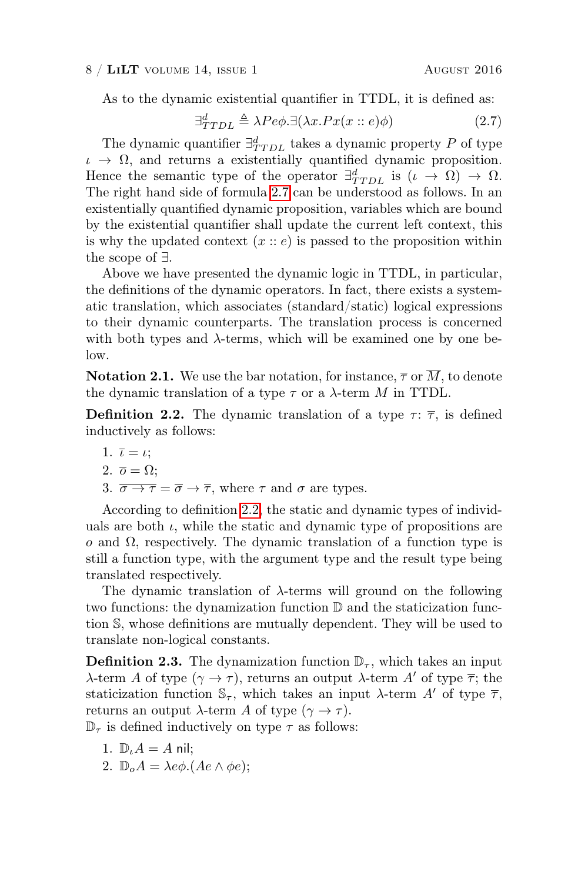#### $8 / LiLT$  volume 14, issue 1 August 2016

As to the dynamic existential quantifier in TTDL, it is defined as:

<span id="page-7-0"></span>
$$
\exists_{TTDL}^d \triangleq \lambda Pe\phi. \exists (\lambda x. Px(x::e)\phi)
$$
\n(2.7)

The dynamic quantifier  $\exists_{TTDL}^d$  takes a dynamic property P of type  $\iota \to \Omega$ , and returns a existentially quantified dynamic proposition. Hence the semantic type of the operator  $\exists_{TTDL}^d$  is  $(\iota \rightarrow \Omega) \rightarrow \Omega$ . The right hand side of formula [2.7](#page-7-0) can be understood as follows. In an existentially quantified dynamic proposition, variables which are bound by the existential quantifier shall update the current left context, this is why the updated context  $(x : e)$  is passed to the proposition within the scope of ∃.

Above we have presented the dynamic logic in TTDL, in particular, the definitions of the dynamic operators. In fact, there exists a systematic translation, which associates (standard/static) logical expressions to their dynamic counterparts. The translation process is concerned with both types and  $\lambda$ -terms, which will be examined one by one below.

**Notation 2.1.** We use the bar notation, for instance,  $\overline{\tau}$  or  $\overline{M}$ , to denote the dynamic translation of a type  $\tau$  or a  $\lambda$ -term M in TTDL.

<span id="page-7-1"></span>**Definition 2.2.** The dynamic translation of a type  $\tau$ :  $\bar{\tau}$ , is defined inductively as follows:

1. 
$$
\bar{\iota} = \iota
$$
;  
2.  $\bar{\omicron} = \Omega$ :

$$
\begin{array}{c}\n\text{2. } \mathbf{0} - \mathbf{10}, \\
\text{3. } \mathbf{0} \quad \text{3. } \mathbf{0}\n\end{array}
$$

3.  $\overline{\sigma \rightarrow \tau} = \overline{\sigma} \rightarrow \overline{\tau}$ , where  $\tau$  and  $\sigma$  are types.

According to definition [2.2,](#page-7-1) the static and dynamic types of individuals are both  $\iota$ , while the static and dynamic type of propositions are o and Ω, respectively. The dynamic translation of a function type is still a function type, with the argument type and the result type being translated respectively.

The dynamic translation of  $\lambda$ -terms will ground on the following two functions: the dynamization function D and the staticization function S, whose definitions are mutually dependent. They will be used to translate non-logical constants.

<span id="page-7-2"></span>**Definition 2.3.** The dynamization function  $\mathbb{D}_{\tau}$ , which takes an input  $\lambda$ -term A of type  $(γ \rightarrow τ)$ , returns an output  $λ$ -term A' of type  $\overline{\tau}$ ; the staticization function  $\mathbb{S}_{\tau}$ , which takes an input  $\lambda$ -term A' of type  $\overline{\tau}$ , returns an output  $\lambda$ -term A of type  $(\gamma \to \tau)$ .

 $\mathbb{D}_{\tau}$  is defined inductively on type  $\tau$  as follows:

- 1.  $\mathbb{D} \cdot A = A$  nil;
- 2.  $\mathbb{D}_{o}A = \lambda e\phi$ .  $(Ae \wedge \phi e);$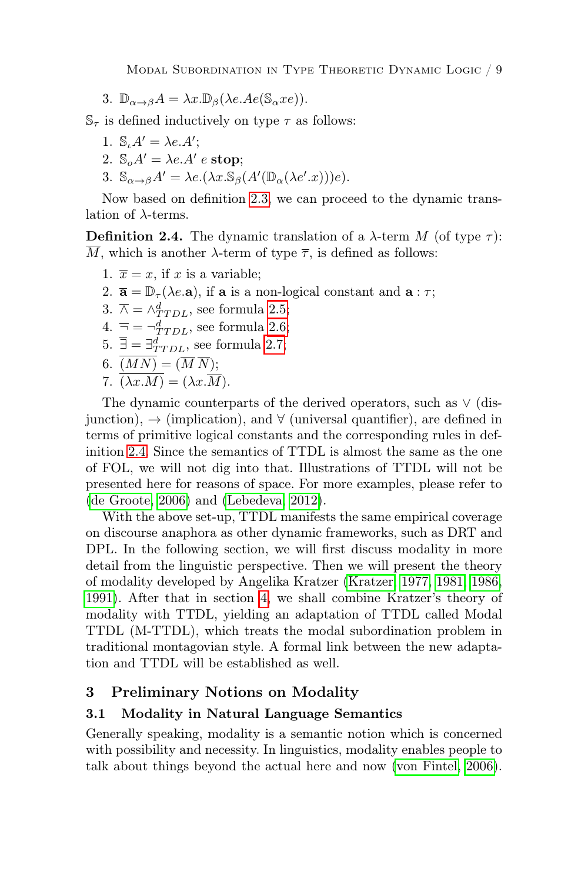Modal Subordination in Type Theoretic Dynamic Logic / 9

3.  $\mathbb{D}_{\alpha \to \beta} A = \lambda x . \mathbb{D}_{\beta} (\lambda e . A e (\mathbb{S}_{\alpha} x e)).$ 

 $\mathbb{S}_{\tau}$  is defined inductively on type  $\tau$  as follows:

- 1.  $\mathbb{S}_{\iota} A' = \lambda e A';$
- 2.  $\mathbb{S}_{o}A' = \lambda e.A' e \text{ stop};$
- 3.  $\mathbb{S}_{\alpha \to \beta} A' = \lambda e.(\lambda x. \mathbb{S}_{\beta} (A'(\mathbb{D}_{\alpha}(\lambda e'.x)))e).$

Now based on definition [2.3,](#page-7-2) we can proceed to the dynamic translation of  $\lambda$ -terms.

<span id="page-8-1"></span>**Definition 2.4.** The dynamic translation of a  $\lambda$ -term M (of type  $\tau$ ):  $\overline{M}$ , which is another  $\lambda$ -term of type  $\overline{\tau}$ , is defined as follows:

- 1.  $\overline{x} = x$ , if x is a variable;
- 2.  $\bar{\mathbf{a}} = \mathbb{D}_{\tau}(\lambda e \cdot \mathbf{a})$ , if  $\mathbf{a}$  is a non-logical constant and  $\mathbf{a} : \tau$ ;
- 3.  $\overline{\wedge} = \wedge^d_{TDL}$ , see formula [2.5;](#page-6-1)
- 4.  $\bar{=} = \neg^d_{TTDL}$ , see formula [2.6;](#page-6-2)
- 5.  $\overline{\exists} = \exists_{TTDL}^d$ , see formula [2.7;](#page-7-0)

$$
6. \ \overline{(MN)} = (\overline{M} \ \overline{N});
$$

7.  $\overline{(\lambda x.M)} = (\lambda x.\overline{M}).$ 

The dynamic counterparts of the derived operators, such as ∨ (disjunction),  $\rightarrow$  (implication), and  $\forall$  (universal quantifier), are defined in terms of primitive logical constants and the corresponding rules in definition [2.4.](#page-8-1) Since the semantics of TTDL is almost the same as the one of FOL, we will not dig into that. Illustrations of TTDL will not be presented here for reasons of space. For more examples, please refer to [\(de Groote, 2006\)](#page-37-5) and [\(Lebedeva, 2012\)](#page-38-9).

With the above set-up, TTDL manifests the same empirical coverage on discourse anaphora as other dynamic frameworks, such as DRT and DPL. In the following section, we will first discuss modality in more detail from the linguistic perspective. Then we will present the theory of modality developed by Angelika Kratzer [\(Kratzer, 1977,](#page-37-8) [1981,](#page-37-9) [1986,](#page-37-10) [1991\)](#page-37-11). After that in section [4,](#page-13-0) we shall combine Kratzer's theory of modality with TTDL, yielding an adaptation of TTDL called Modal TTDL (M-TTDL), which treats the modal subordination problem in traditional montagovian style. A formal link between the new adaptation and TTDL will be established as well.

# <span id="page-8-0"></span>3 Preliminary Notions on Modality

# 3.1 Modality in Natural Language Semantics

Generally speaking, modality is a semantic notion which is concerned with possibility and necessity. In linguistics, modality enables people to talk about things beyond the actual here and now [\(von Fintel, 2006\)](#page-38-10).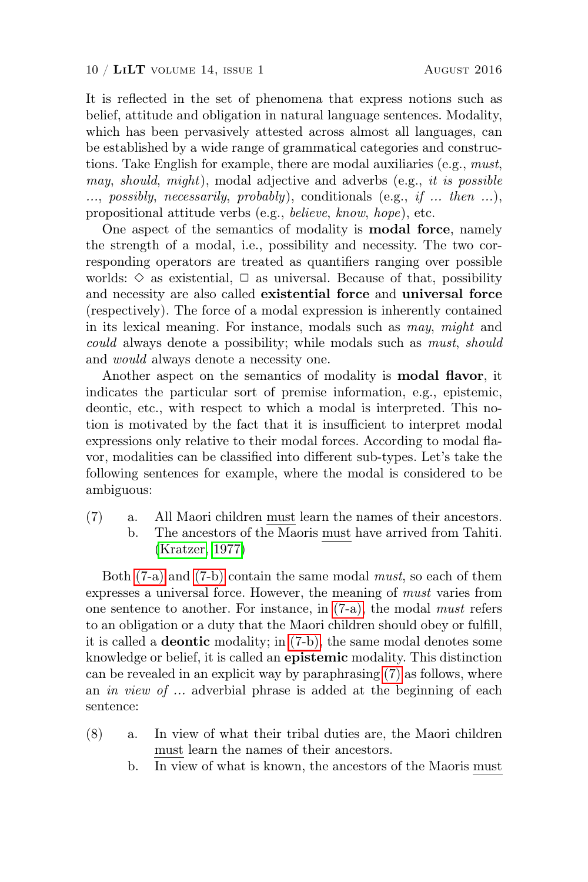It is reflected in the set of phenomena that express notions such as belief, attitude and obligation in natural language sentences. Modality, which has been pervasively attested across almost all languages, can be established by a wide range of grammatical categories and constructions. Take English for example, there are modal auxiliaries (e.g., must, may, should, might), modal adjective and adverbs (e.g., it is possible  $...,$  possibly, necessarily, probably), conditionals (e.g., if  $...$  then  $...$ ), propositional attitude verbs (e.g., believe, know, hope), etc.

One aspect of the semantics of modality is modal force, namely the strength of a modal, i.e., possibility and necessity. The two corresponding operators are treated as quantifiers ranging over possible worlds:  $\diamond$  as existential,  $\Box$  as universal. Because of that, possibility and necessity are also called existential force and universal force (respectively). The force of a modal expression is inherently contained in its lexical meaning. For instance, modals such as may, might and could always denote a possibility; while modals such as must, should and would always denote a necessity one.

Another aspect on the semantics of modality is **modal flavor**, it indicates the particular sort of premise information, e.g., epistemic, deontic, etc., with respect to which a modal is interpreted. This notion is motivated by the fact that it is insufficient to interpret modal expressions only relative to their modal forces. According to modal flavor, modalities can be classified into different sub-types. Let's take the following sentences for example, where the modal is considered to be ambiguous:

<span id="page-9-2"></span><span id="page-9-1"></span><span id="page-9-0"></span>(7) a. All Maori children must learn the names of their ancestors. b. The ancestors of the Maoris must have arrived from Tahiti. [\(Kratzer, 1977\)](#page-37-8)

Both [\(7-a\)](#page-9-0) and [\(7-b\)](#page-9-1) contain the same modal must, so each of them expresses a universal force. However, the meaning of must varies from one sentence to another. For instance, in [\(7-a\),](#page-9-0) the modal must refers to an obligation or a duty that the Maori children should obey or fulfill, it is called a deontic modality; in [\(7-b\),](#page-9-1) the same modal denotes some knowledge or belief, it is called an epistemic modality. This distinction can be revealed in an explicit way by paraphrasing [\(7\)](#page-9-2) as follows, where an *in view of* ... adverbial phrase is added at the beginning of each sentence:

- <span id="page-9-3"></span>(8) a. In view of what their tribal duties are, the Maori children must learn the names of their ancestors.
	- b. In view of what is known, the ancestors of the Maoris must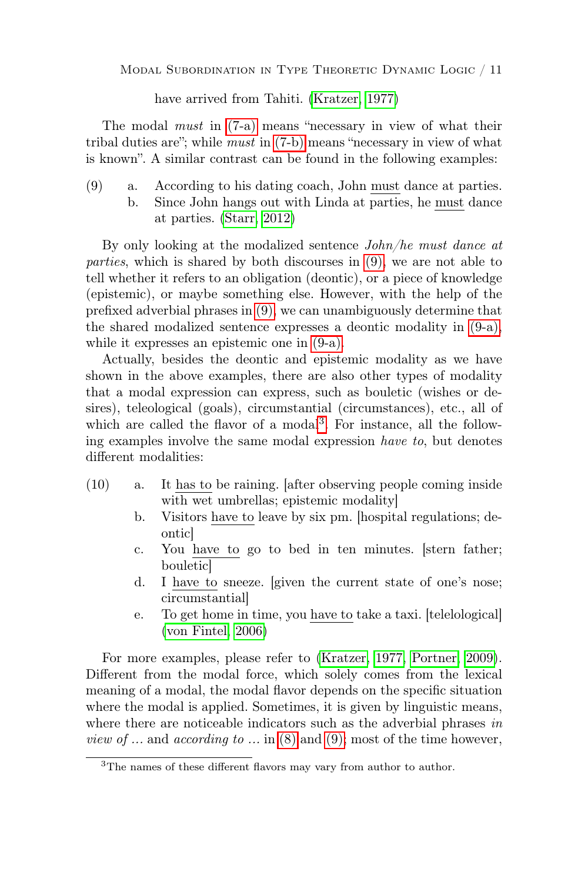have arrived from Tahiti. [\(Kratzer, 1977\)](#page-37-8)

The modal *must* in  $(7-a)$  means "necessary in view of what their tribal duties are"; while must in [\(7-b\)](#page-9-1) means "necessary in view of what is known". A similar contrast can be found in the following examples:

<span id="page-10-1"></span><span id="page-10-0"></span>(9) a. According to his dating coach, John must dance at parties. b. Since John hangs out with Linda at parties, he must dance at parties. [\(Starr, 2012\)](#page-38-11)

By only looking at the modalized sentence John/he must dance at parties, which is shared by both discourses in [\(9\),](#page-10-0) we are not able to tell whether it refers to an obligation (deontic), or a piece of knowledge (epistemic), or maybe something else. However, with the help of the prefixed adverbial phrases in [\(9\),](#page-10-0) we can unambiguously determine that the shared modalized sentence expresses a deontic modality in [\(9-a\),](#page-10-1) while it expresses an epistemic one in [\(9-a\).](#page-10-1)

Actually, besides the deontic and epistemic modality as we have shown in the above examples, there are also other types of modality that a modal expression can express, such as bouletic (wishes or desires), teleological (goals), circumstantial (circumstances), etc., all of which are called the flavor of a modal<sup>[3](#page-10-2)</sup>. For instance, all the following examples involve the same modal expression have to, but denotes different modalities:

- <span id="page-10-3"></span>(10) a. It has to be raining. [after observing people coming inside with wet umbrellas; epistemic modality]
	- b. Visitors have to leave by six pm. [hospital regulations; deontic]
	- c. You have to go to bed in ten minutes. [stern father; bouletic]
	- d. I have to sneeze. [given the current state of one's nose; circumstantial]
	- e. To get home in time, you have to take a taxi. [telelological] [\(von Fintel, 2006\)](#page-38-10)

For more examples, please refer to [\(Kratzer, 1977,](#page-37-8) [Portner, 2009\)](#page-38-12). Different from the modal force, which solely comes from the lexical meaning of a modal, the modal flavor depends on the specific situation where the modal is applied. Sometimes, it is given by linguistic means, where there are noticeable indicators such as the adverbial phrases in *view of* ... and *according to* ... in [\(8\)](#page-9-3) and [\(9\);](#page-10-0) most of the time however,

<span id="page-10-2"></span><sup>3</sup>The names of these different flavors may vary from author to author.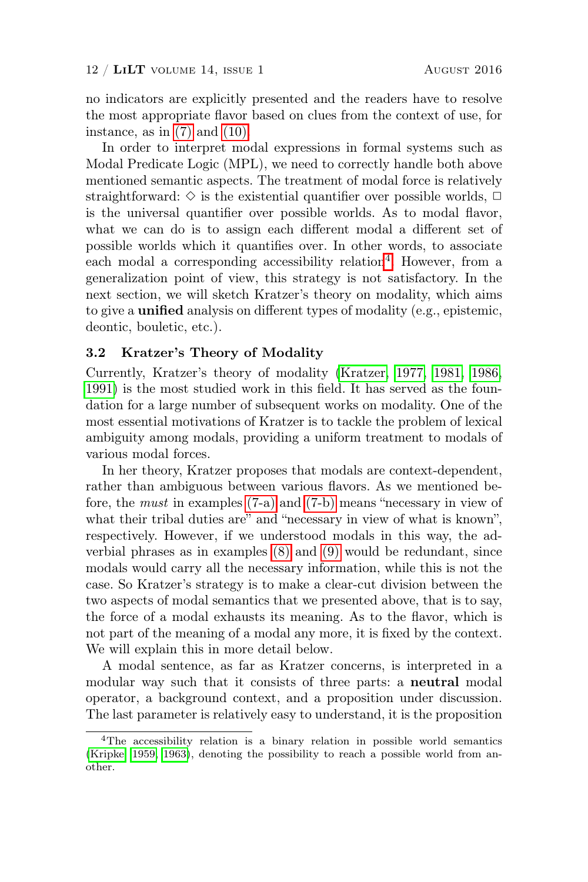no indicators are explicitly presented and the readers have to resolve the most appropriate flavor based on clues from the context of use, for instance, as in  $(7)$  and  $(10)$ .

In order to interpret modal expressions in formal systems such as Modal Predicate Logic (MPL), we need to correctly handle both above mentioned semantic aspects. The treatment of modal force is relatively straightforward:  $\diamond$  is the existential quantifier over possible worlds,  $\Box$ is the universal quantifier over possible worlds. As to modal flavor, what we can do is to assign each different modal a different set of possible worlds which it quantifies over. In other words, to associate each modal a corresponding accessibility relation<sup>[4](#page-11-0)</sup>. However, from a generalization point of view, this strategy is not satisfactory. In the next section, we will sketch Kratzer's theory on modality, which aims to give a unified analysis on different types of modality (e.g., epistemic, deontic, bouletic, etc.).

#### <span id="page-11-1"></span>3.2 Kratzer's Theory of Modality

Currently, Kratzer's theory of modality [\(Kratzer, 1977,](#page-37-8) [1981,](#page-37-9) [1986,](#page-37-10) [1991\)](#page-37-11) is the most studied work in this field. It has served as the foundation for a large number of subsequent works on modality. One of the most essential motivations of Kratzer is to tackle the problem of lexical ambiguity among modals, providing a uniform treatment to modals of various modal forces.

In her theory, Kratzer proposes that modals are context-dependent, rather than ambiguous between various flavors. As we mentioned before, the must in examples [\(7-a\)](#page-9-0) and [\(7-b\)](#page-9-1) means "necessary in view of what their tribal duties are" and "necessary in view of what is known", respectively. However, if we understood modals in this way, the adverbial phrases as in examples [\(8\)](#page-9-3) and [\(9\)](#page-10-0) would be redundant, since modals would carry all the necessary information, while this is not the case. So Kratzer's strategy is to make a clear-cut division between the two aspects of modal semantics that we presented above, that is to say, the force of a modal exhausts its meaning. As to the flavor, which is not part of the meaning of a modal any more, it is fixed by the context. We will explain this in more detail below.

A modal sentence, as far as Kratzer concerns, is interpreted in a modular way such that it consists of three parts: a neutral modal operator, a background context, and a proposition under discussion. The last parameter is relatively easy to understand, it is the proposition

<span id="page-11-0"></span><sup>4</sup>The accessibility relation is a binary relation in possible world semantics [\(Kripke, 1959,](#page-37-12) [1963\)](#page-37-13), denoting the possibility to reach a possible world from another.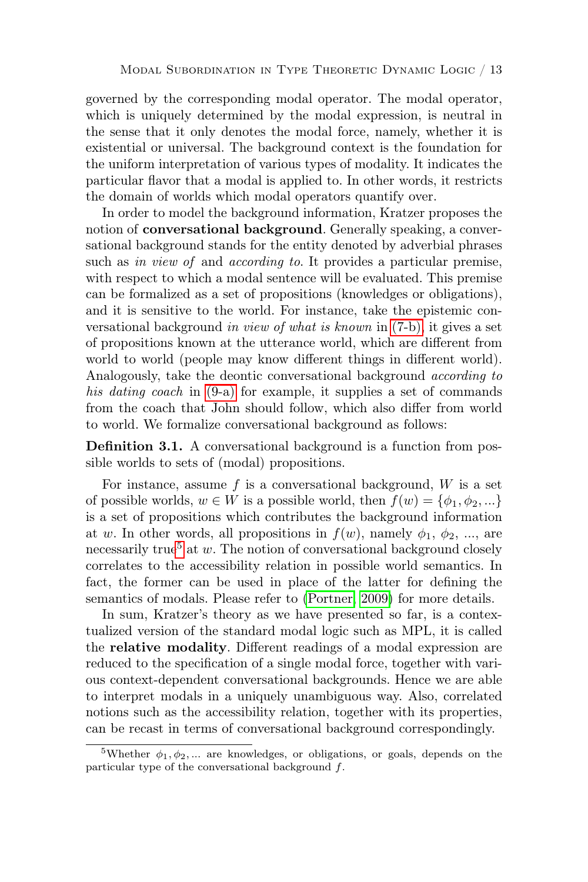governed by the corresponding modal operator. The modal operator, which is uniquely determined by the modal expression, is neutral in the sense that it only denotes the modal force, namely, whether it is existential or universal. The background context is the foundation for the uniform interpretation of various types of modality. It indicates the particular flavor that a modal is applied to. In other words, it restricts the domain of worlds which modal operators quantify over.

In order to model the background information, Kratzer proposes the notion of conversational background. Generally speaking, a conversational background stands for the entity denoted by adverbial phrases such as in view of and according to. It provides a particular premise, with respect to which a modal sentence will be evaluated. This premise can be formalized as a set of propositions (knowledges or obligations), and it is sensitive to the world. For instance, take the epistemic conversational background in view of what is known in [\(7-b\),](#page-9-1) it gives a set of propositions known at the utterance world, which are different from world to world (people may know different things in different world). Analogously, take the deontic conversational background *according to* his dating coach in  $(9-a)$  for example, it supplies a set of commands from the coach that John should follow, which also differ from world to world. We formalize conversational background as follows:

Definition 3.1. A conversational background is a function from possible worlds to sets of (modal) propositions.

For instance, assume f is a conversational background,  $W$  is a set of possible worlds,  $w \in W$  is a possible world, then  $f(w) = \{\phi_1, \phi_2, ...\}$ is a set of propositions which contributes the background information at w. In other words, all propositions in  $f(w)$ , namely  $\phi_1, \phi_2, \ldots$ , are necessarily true<sup>[5](#page-12-0)</sup> at w. The notion of conversational background closely correlates to the accessibility relation in possible world semantics. In fact, the former can be used in place of the latter for defining the semantics of modals. Please refer to [\(Portner, 2009\)](#page-38-12) for more details.

In sum, Kratzer's theory as we have presented so far, is a contextualized version of the standard modal logic such as MPL, it is called the relative modality. Different readings of a modal expression are reduced to the specification of a single modal force, together with various context-dependent conversational backgrounds. Hence we are able to interpret modals in a uniquely unambiguous way. Also, correlated notions such as the accessibility relation, together with its properties, can be recast in terms of conversational background correspondingly.

<span id="page-12-0"></span><sup>&</sup>lt;sup>5</sup>Whether  $\phi_1, \phi_2, ...$  are knowledges, or obligations, or goals, depends on the particular type of the conversational background f.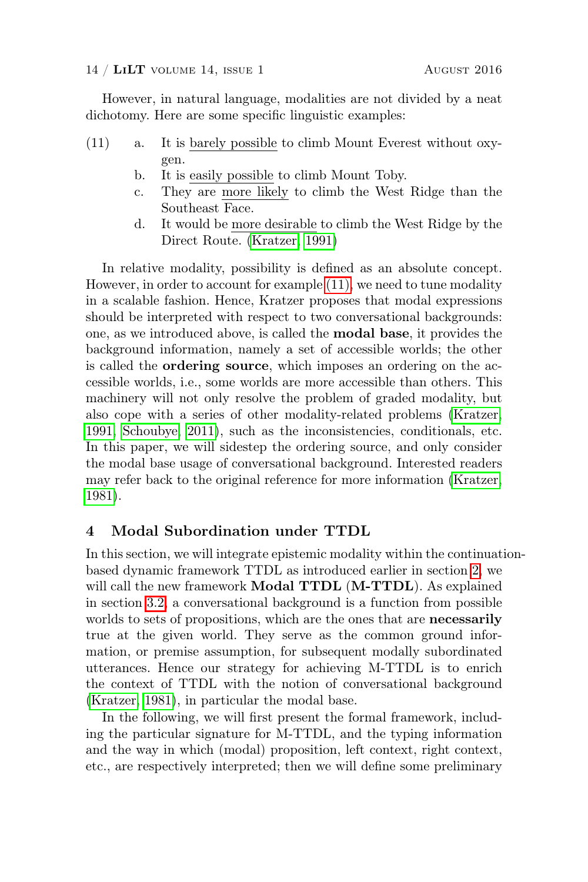However, in natural language, modalities are not divided by a neat dichotomy. Here are some specific linguistic examples:

- <span id="page-13-1"></span>(11) a. It is barely possible to climb Mount Everest without oxygen.
	- b. It is easily possible to climb Mount Toby.
	- c. They are more likely to climb the West Ridge than the Southeast Face.
	- d. It would be more desirable to climb the West Ridge by the Direct Route. [\(Kratzer, 1991\)](#page-37-11)

In relative modality, possibility is defined as an absolute concept. However, in order to account for example [\(11\),](#page-13-1) we need to tune modality in a scalable fashion. Hence, Kratzer proposes that modal expressions should be interpreted with respect to two conversational backgrounds: one, as we introduced above, is called the modal base, it provides the background information, namely a set of accessible worlds; the other is called the ordering source, which imposes an ordering on the accessible worlds, i.e., some worlds are more accessible than others. This machinery will not only resolve the problem of graded modality, but also cope with a series of other modality-related problems [\(Kratzer,](#page-37-11) [1991,](#page-37-11) [Schoubye, 2011\)](#page-38-13), such as the inconsistencies, conditionals, etc. In this paper, we will sidestep the ordering source, and only consider the modal base usage of conversational background. Interested readers may refer back to the original reference for more information [\(Kratzer,](#page-37-9) [1981\)](#page-37-9).

# <span id="page-13-0"></span>4 Modal Subordination under TTDL

In this section, we will integrate epistemic modality within the continuationbased dynamic framework TTDL as introduced earlier in section [2,](#page-4-2) we will call the new framework **Modal TTDL** (M-TTDL). As explained in section [3.2,](#page-11-1) a conversational background is a function from possible worlds to sets of propositions, which are the ones that are necessarily true at the given world. They serve as the common ground information, or premise assumption, for subsequent modally subordinated utterances. Hence our strategy for achieving M-TTDL is to enrich the context of TTDL with the notion of conversational background [\(Kratzer, 1981\)](#page-37-9), in particular the modal base.

In the following, we will first present the formal framework, including the particular signature for M-TTDL, and the typing information and the way in which (modal) proposition, left context, right context, etc., are respectively interpreted; then we will define some preliminary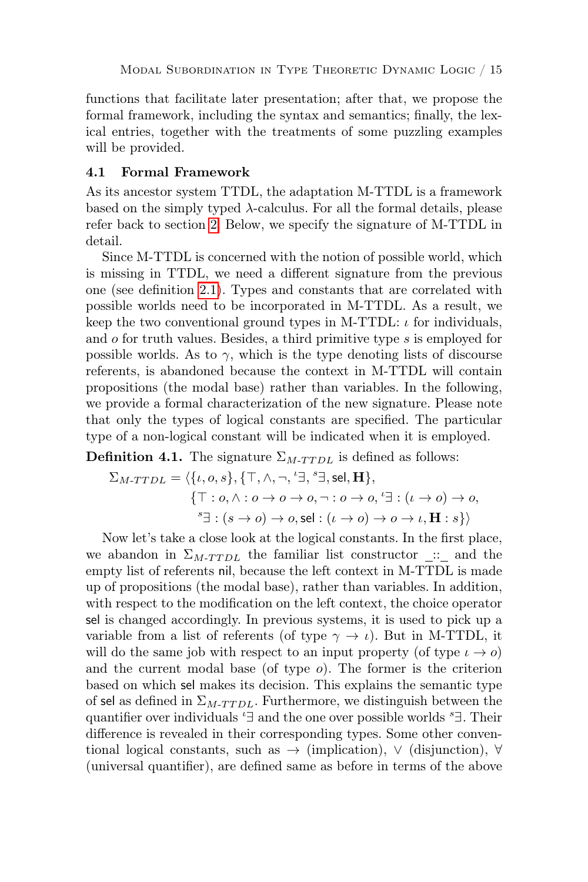functions that facilitate later presentation; after that, we propose the formal framework, including the syntax and semantics; finally, the lexical entries, together with the treatments of some puzzling examples will be provided.

# <span id="page-14-1"></span>4.1 Formal Framework

As its ancestor system TTDL, the adaptation M-TTDL is a framework based on the simply typed  $\lambda$ -calculus. For all the formal details, please refer back to section [2.](#page-4-2) Below, we specify the signature of M-TTDL in detail.

Since M-TTDL is concerned with the notion of possible world, which is missing in TTDL, we need a different signature from the previous one (see definition [2.1\)](#page-4-1). Types and constants that are correlated with possible worlds need to be incorporated in M-TTDL. As a result, we keep the two conventional ground types in M-TTDL:  $\iota$  for individuals, and o for truth values. Besides, a third primitive type s is employed for possible worlds. As to  $\gamma$ , which is the type denoting lists of discourse referents, is abandoned because the context in M-TTDL will contain propositions (the modal base) rather than variables. In the following, we provide a formal characterization of the new signature. Please note that only the types of logical constants are specified. The particular type of a non-logical constant will be indicated when it is employed.

<span id="page-14-0"></span>**Definition 4.1.** The signature  $\Sigma_{M-T T D L}$  is defined as follows:

$$
\Sigma_{M\text{-}TTDL} = \langle \{\iota, o, s\}, \{\top, \wedge, \neg, \ulcorner\exists, \ulcorner s\exists, \mathsf{sel}, \mathbf{H}\},\
$$

$$
\{\top : o, \wedge : o \to o \to o, \neg : o \to o, \ulcorner\exists : (\iota \to o) \to o, \ulcorner\exists : (s \to o) \to o, \mathsf{sel} : (\iota \to o) \to o \to \iota, \mathbf{H} : s\} \rangle
$$

Now let's take a close look at the logical constants. In the first place, we abandon in  $\Sigma_{M-T T D L}$  the familiar list constructor :: and the empty list of referents nil, because the left context in M-TTDL is made up of propositions (the modal base), rather than variables. In addition, with respect to the modification on the left context, the choice operator sel is changed accordingly. In previous systems, it is used to pick up a variable from a list of referents (of type  $\gamma \to \iota$ ). But in M-TTDL, it will do the same job with respect to an input property (of type  $\iota \to o$ ) and the current modal base (of type  $o$ ). The former is the criterion based on which sel makes its decision. This explains the semantic type of sel as defined in  $\Sigma_{M-T T D L}$ . Furthermore, we distinguish between the quantifier over individuals ' $\exists$  and the one over possible worlds ' $\exists$ . Their difference is revealed in their corresponding types. Some other conventional logical constants, such as → (implication), ∨ (disjunction), ∀ (universal quantifier), are defined same as before in terms of the above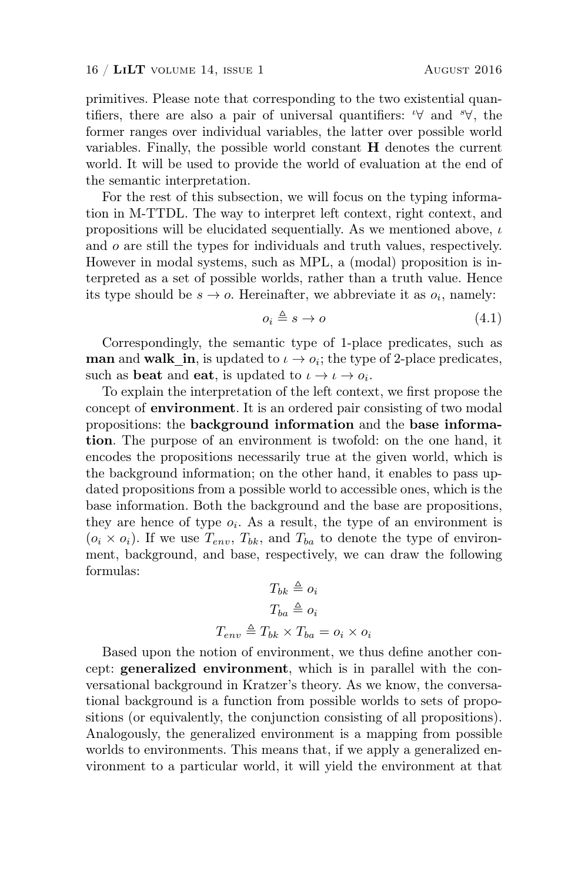primitives. Please note that corresponding to the two existential quantifiers, there are also a pair of universal quantifiers:  $\forall$  and  $\forall$ , the former ranges over individual variables, the latter over possible world variables. Finally, the possible world constant H denotes the current world. It will be used to provide the world of evaluation at the end of the semantic interpretation.

For the rest of this subsection, we will focus on the typing information in M-TTDL. The way to interpret left context, right context, and propositions will be elucidated sequentially. As we mentioned above,  $\iota$ and o are still the types for individuals and truth values, respectively. However in modal systems, such as MPL, a (modal) proposition is interpreted as a set of possible worlds, rather than a truth value. Hence its type should be  $s \to o$ . Hereinafter, we abbreviate it as  $o_i$ , namely:

$$
o_i \triangleq s \to o \tag{4.1}
$$

Correspondingly, the semantic type of 1-place predicates, such as man and walk\_in, is updated to  $\iota \to o_i$ ; the type of 2-place predicates, such as **beat** and **eat**, is updated to  $\iota \to \iota \to o_i$ .

To explain the interpretation of the left context, we first propose the concept of environment. It is an ordered pair consisting of two modal propositions: the background information and the base information. The purpose of an environment is twofold: on the one hand, it encodes the propositions necessarily true at the given world, which is the background information; on the other hand, it enables to pass updated propositions from a possible world to accessible ones, which is the base information. Both the background and the base are propositions, they are hence of type  $o_i$ . As a result, the type of an environment is  $(o_i \times o_i)$ . If we use  $T_{env}$ ,  $T_{bk}$ , and  $T_{ba}$  to denote the type of environment, background, and base, respectively, we can draw the following formulas:

$$
T_{bk} \triangleq o_i
$$

$$
T_{ba} \triangleq o_i
$$

$$
T_{env} \triangleq T_{bk} \times T_{ba} = o_i \times o_i
$$

Based upon the notion of environment, we thus define another concept: generalized environment, which is in parallel with the conversational background in Kratzer's theory. As we know, the conversational background is a function from possible worlds to sets of propositions (or equivalently, the conjunction consisting of all propositions). Analogously, the generalized environment is a mapping from possible worlds to environments. This means that, if we apply a generalized environment to a particular world, it will yield the environment at that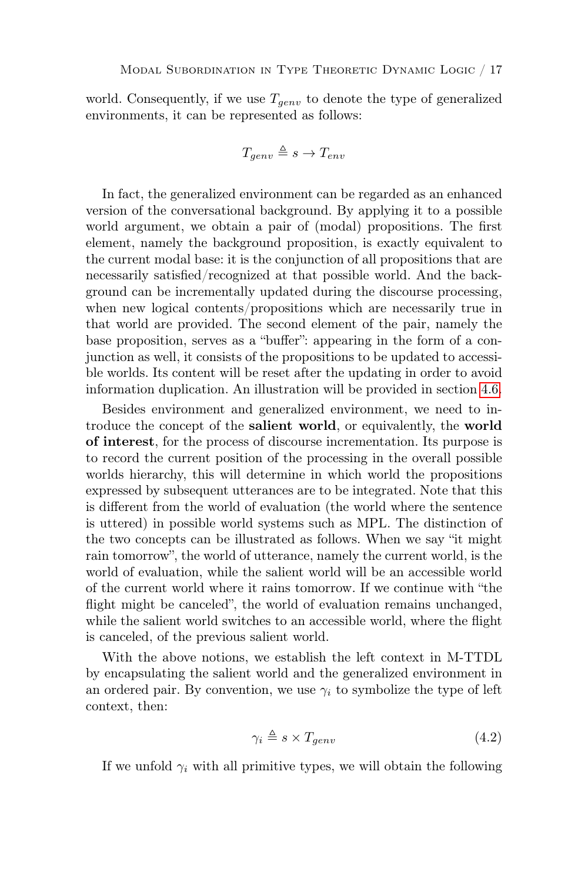world. Consequently, if we use  $T_{genv}$  to denote the type of generalized environments, it can be represented as follows:

$$
T_{genv} \triangleq s \rightarrow T_{env}
$$

In fact, the generalized environment can be regarded as an enhanced version of the conversational background. By applying it to a possible world argument, we obtain a pair of (modal) propositions. The first element, namely the background proposition, is exactly equivalent to the current modal base: it is the conjunction of all propositions that are necessarily satisfied/recognized at that possible world. And the background can be incrementally updated during the discourse processing, when new logical contents/propositions which are necessarily true in that world are provided. The second element of the pair, namely the base proposition, serves as a "buffer": appearing in the form of a conjunction as well, it consists of the propositions to be updated to accessible worlds. Its content will be reset after the updating in order to avoid information duplication. An illustration will be provided in section [4.6.](#page-26-0)

Besides environment and generalized environment, we need to introduce the concept of the salient world, or equivalently, the world of interest, for the process of discourse incrementation. Its purpose is to record the current position of the processing in the overall possible worlds hierarchy, this will determine in which world the propositions expressed by subsequent utterances are to be integrated. Note that this is different from the world of evaluation (the world where the sentence is uttered) in possible world systems such as MPL. The distinction of the two concepts can be illustrated as follows. When we say "it might rain tomorrow", the world of utterance, namely the current world, is the world of evaluation, while the salient world will be an accessible world of the current world where it rains tomorrow. If we continue with "the flight might be canceled", the world of evaluation remains unchanged, while the salient world switches to an accessible world, where the flight is canceled, of the previous salient world.

With the above notions, we establish the left context in M-TTDL by encapsulating the salient world and the generalized environment in an ordered pair. By convention, we use  $\gamma_i$  to symbolize the type of left context, then:

$$
\gamma_i \triangleq s \times T_{genv} \tag{4.2}
$$

If we unfold  $\gamma_i$  with all primitive types, we will obtain the following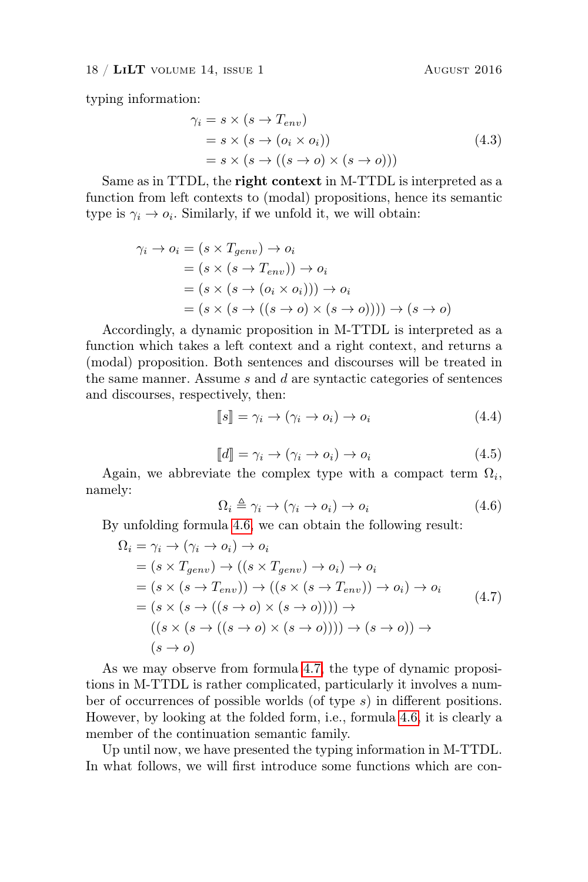typing information:

<span id="page-17-4"></span>
$$
\gamma_i = s \times (s \to T_{env})
$$
  
=  $s \times (s \to (o_i \times o_i))$   
=  $s \times (s \to ((s \to o) \times (s \to o)))$  (4.3)

Same as in TTDL, the **right context** in M-TTDL is interpreted as a function from left contexts to (modal) propositions, hence its semantic type is  $\gamma_i \to o_i$ . Similarly, if we unfold it, we will obtain:

$$
\gamma_i \to o_i = (s \times T_{genv}) \to o_i
$$
  
=  $(s \times (s \to T_{env})) \to o_i$   
=  $(s \times (s \to (o_i \times o_i))) \to o_i$   
=  $(s \times (s \to ((s \to o) \times (s \to o)))) \to (s \to o)$ 

Accordingly, a dynamic proposition in M-TTDL is interpreted as a function which takes a left context and a right context, and returns a (modal) proposition. Both sentences and discourses will be treated in the same manner. Assume  $s$  and  $d$  are syntactic categories of sentences and discourses, respectively, then:

<span id="page-17-2"></span>
$$
[\![s]\!] = \gamma_i \to (\gamma_i \to o_i) \to o_i \tag{4.4}
$$

$$
\llbracket d \rrbracket = \gamma_i \to (\gamma_i \to o_i) \to o_i \tag{4.5}
$$

<span id="page-17-3"></span><span id="page-17-0"></span>Again, we abbreviate the complex type with a compact term  $\Omega_i$ , namely:

<span id="page-17-1"></span>
$$
\Omega_i \triangleq \gamma_i \to (\gamma_i \to o_i) \to o_i \tag{4.6}
$$

By unfolding formula [4.6,](#page-17-0) we can obtain the following result:

$$
\Omega_i = \gamma_i \to (\gamma_i \to o_i) \to o_i
$$
\n
$$
= (s \times T_{genv}) \to ((s \times T_{genv}) \to o_i) \to o_i
$$
\n
$$
= (s \times (s \to T_{env})) \to ((s \times (s \to T_{env})) \to o_i) \to o_i
$$
\n
$$
= (s \times (s \to ((s \to o) \times (s \to o)))) \to 0 \to ((s \times (s \to (s \to o) \times (s \to o)))) \to (s \to o)) \to (s \to o)
$$
\n
$$
(s \to o)
$$
\n
$$
(s \to o)
$$

As we may observe from formula [4.7,](#page-17-1) the type of dynamic propositions in M-TTDL is rather complicated, particularly it involves a number of occurrences of possible worlds (of type s) in different positions. However, by looking at the folded form, i.e., formula [4.6,](#page-17-0) it is clearly a member of the continuation semantic family.

Up until now, we have presented the typing information in M-TTDL. In what follows, we will first introduce some functions which are con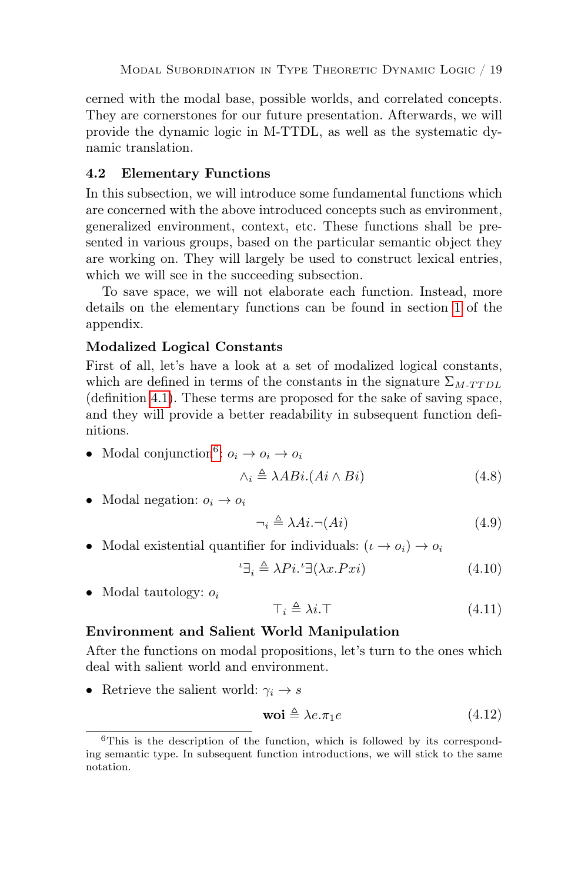cerned with the modal base, possible worlds, and correlated concepts. They are cornerstones for our future presentation. Afterwards, we will provide the dynamic logic in M-TTDL, as well as the systematic dynamic translation.

# <span id="page-18-1"></span>4.2 Elementary Functions

In this subsection, we will introduce some fundamental functions which are concerned with the above introduced concepts such as environment, generalized environment, context, etc. These functions shall be presented in various groups, based on the particular semantic object they are working on. They will largely be used to construct lexical entries, which we will see in the succeeding subsection.

To save space, we will not elaborate each function. Instead, more details on the elementary functions can be found in section [1](#page-40-0) of the appendix.

# Modalized Logical Constants

First of all, let's have a look at a set of modalized logical constants, which are defined in terms of the constants in the signature  $\Sigma_{M-T T D L}$ (definition [4.1\)](#page-14-0). These terms are proposed for the sake of saving space, and they will provide a better readability in subsequent function definitions.

• Modal conjunction<sup>[6](#page-18-0)</sup>:  $o_i \rightarrow o_i \rightarrow o_i$ 

<span id="page-18-3"></span><span id="page-18-2"></span>
$$
\wedge_i \triangleq \lambda ABi.(Ai \wedge Bi) \tag{4.8}
$$

• Modal negation:  $o_i \rightarrow o_i$ 

$$
\neg_i \triangleq \lambda Ai. \neg(Ai) \tag{4.9}
$$

• Modal existential quantifier for individuals:  $(\iota \to o_i) \to o_i$ 

<span id="page-18-5"></span>
$$
{}^{t}\exists_{i} \triangleq \lambda Pi. {}^{t}\exists(\lambda x.Pxi) \tag{4.10}
$$

• Modal tautology:  $o_i$ 

<span id="page-18-4"></span>
$$
\top_i \triangleq \lambda i. \top \tag{4.11}
$$

# Environment and Salient World Manipulation

After the functions on modal propositions, let's turn to the ones which deal with salient world and environment.

• Retrieve the salient world:  $\gamma_i \rightarrow s$ 

<span id="page-18-6"></span>
$$
\mathbf{woi} \triangleq \lambda e. \pi_1 e \tag{4.12}
$$

<span id="page-18-0"></span><sup>6</sup>This is the description of the function, which is followed by its corresponding semantic type. In subsequent function introductions, we will stick to the same notation.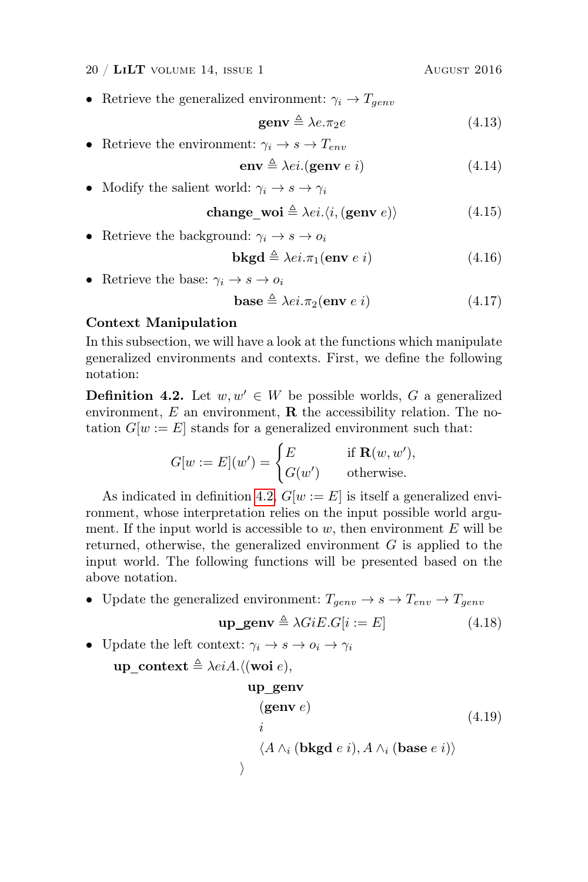$20 / LiLT$  volume 14, issue 1 August 2016

• Retrieve the generalized environment:  $\gamma_i \rightarrow T_{genv}$ 

<span id="page-19-3"></span><span id="page-19-2"></span><span id="page-19-1"></span>
$$
\mathbf{genv} \triangleq \lambda e.\pi_2 e \tag{4.13}
$$

- Retrieve the environment:  $\gamma_i \to s \to T_{env}$  $env \triangleq \lambda ei.$ (genv e i) (4.14)
- Modify the salient world:  $\gamma_i \to s \to \gamma_i$

$$
change\_woi \triangleq \lambda ei. \langle i, (genv e) \rangle \tag{4.15}
$$

• Retrieve the background:  $\gamma_i \to s \to o_i$ 

<span id="page-19-5"></span><span id="page-19-4"></span>
$$
\mathbf{bkgd} \triangleq \lambda ei.\pi_1(\mathbf{env} \ e \ i) \tag{4.16}
$$

• Retrieve the base:  $\gamma_i \rightarrow s \rightarrow o_i$ 

$$
\mathbf{base} \triangleq \lambda ei.\pi_2(\mathbf{env} \ e \ i) \tag{4.17}
$$

# Context Manipulation

In this subsection, we will have a look at the functions which manipulate generalized environments and contexts. First, we define the following notation:

<span id="page-19-0"></span>**Definition 4.2.** Let  $w, w' \in W$  be possible worlds, G a generalized environment,  $E$  an environment,  $\bf{R}$  the accessibility relation. The notation  $G[w := E]$  stands for a generalized environment such that:

$$
G[w := E](w') = \begin{cases} E & \text{if } \mathbf{R}(w, w'), \\ G(w') & \text{otherwise.} \end{cases}
$$

As indicated in definition [4.2,](#page-19-0)  $G[w := E]$  is itself a generalized environment, whose interpretation relies on the input possible world argument. If the input world is accessible to  $w$ , then environment  $E$  will be returned, otherwise, the generalized environment  $G$  is applied to the input world. The following functions will be presented based on the above notation.

• Update the generalized environment:  $T_{genv} \rightarrow s \rightarrow T_{env} \rightarrow T_{genv}$ 

$$
up\_genv \triangleq \lambda GiE.G[i := E]
$$
 (4.18)

• Update the left context:  $\gamma_i \rightarrow s \rightarrow o_i \rightarrow \gamma_i$ 

up context  $\triangleq \lambda e i A.$  (woi e),

<span id="page-19-7"></span><span id="page-19-6"></span>
$$
up\_genv
$$

$$
\begin{array}{ll}\n(\text{genv } e) & (4.19) \\
i & \langle A \wedge_i (\text{bkgd } e i), A \wedge_i (\text{base } e i) \rangle \\
\rangle & \end{array}
$$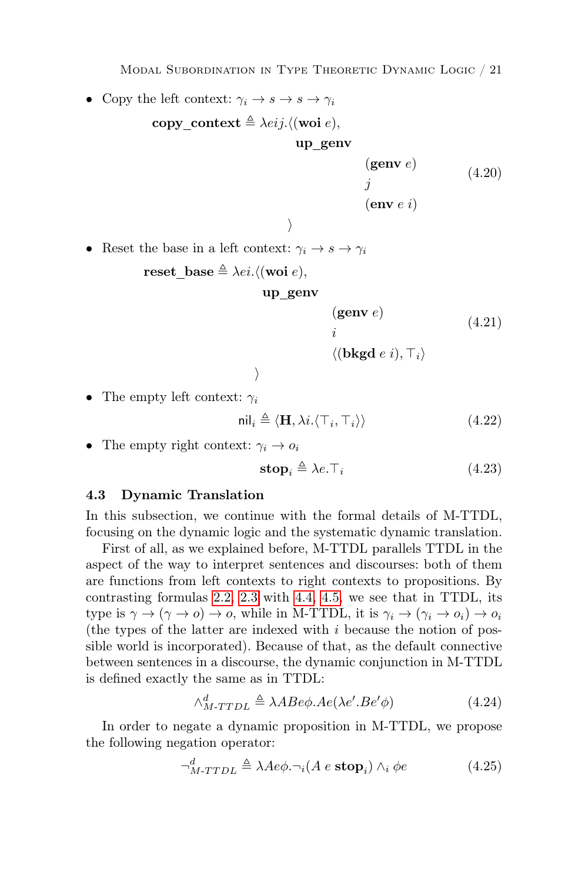MODAL SUBORDINATION IN TYPE THEORETIC DYNAMIC LOGIC / 21

• Copy the left context:  $\gamma_i \to s \to s \to \gamma_i$ 

```
copy context \triangleq \lambda e i j. \langle (\text{woi } e),up genv
                                                       (genv e)j
                                                       (env \, e \, i)(4.20)
```
• Reset the base in a left context:  $\gamma_i \to s \to \gamma_i$ 

```
reset base \triangleq \lambda ei. \langle (\text{woi } e),
```

$$
up\_genv
$$

<span id="page-20-5"></span> $\left\langle \right\rangle$ 

<span id="page-20-4"></span><span id="page-20-3"></span> $\big)$ 

 $(genv e)$ i (4.21)

 $\langle (\mathbf{bkgd}\; e\; i), \top_i \rangle$ 

• The empty left context:  $\gamma_i$ 

$$
\text{nil}_i \triangleq \langle \mathbf{H}, \lambda i. \langle \top_i, \top_i \rangle \rangle \tag{4.22}
$$

• The empty right context:  $\gamma_i \rightarrow o_i$ 

<span id="page-20-6"></span>
$$
\mathbf{stop}_i \triangleq \lambda e. \top_i \tag{4.23}
$$

#### <span id="page-20-2"></span>4.3 Dynamic Translation

In this subsection, we continue with the formal details of M-TTDL, focusing on the dynamic logic and the systematic dynamic translation.

First of all, as we explained before, M-TTDL parallels TTDL in the aspect of the way to interpret sentences and discourses: both of them are functions from left contexts to right contexts to propositions. By contrasting formulas [2.2,](#page-5-1) [2.3](#page-5-2) with [4.4,](#page-17-2) [4.5,](#page-17-3) we see that in TTDL, its type is  $\gamma \to (\gamma \to o) \to o$ , while in M-TTDL, it is  $\gamma_i \to (\gamma_i \to o_i) \to o_i$ (the types of the latter are indexed with  $i$  because the notion of possible world is incorporated). Because of that, as the default connective between sentences in a discourse, the dynamic conjunction in M-TTDL is defined exactly the same as in TTDL:

<span id="page-20-1"></span><span id="page-20-0"></span>
$$
\wedge_{M\text{-}\text{TTDL}}^d \triangleq \lambda A B e \phi. A e (\lambda e'. B e' \phi) \tag{4.24}
$$

In order to negate a dynamic proposition in M-TTDL, we propose the following negation operator:

$$
\neg_{M\text{-}\text{TTDL}}^{d} \triangleq \lambda Ae\phi.\neg_{i}(A \ e \ \text{stop}_{i}) \wedge_{i} \phi e \tag{4.25}
$$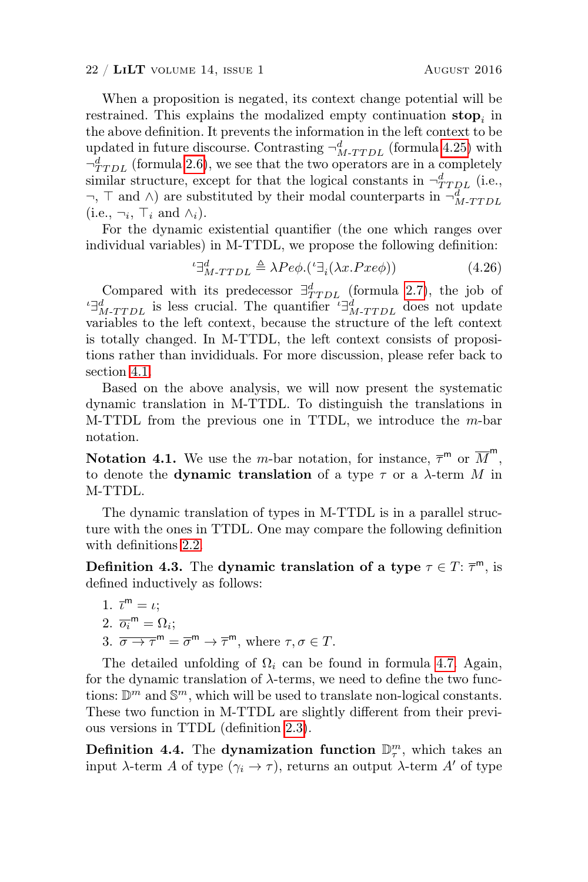When a proposition is negated, its context change potential will be restrained. This explains the modalized empty continuation  $\text{stop}_i$  in the above definition. It prevents the information in the left context to be updated in future discourse. Contrasting  $\neg^d_{M-T T D L}$  (formula [4.25\)](#page-20-0) with  $\neg^d_{TTDL}$  (formula [2.6\)](#page-6-2), we see that the two operators are in a completely similar structure, except for that the logical constants in  $\neg^d_{TTPL}$  (i.e.,  $\neg$ ,  $\top$  and  $\wedge$ ) are substituted by their modal counterparts in  $\neg^d_{M-TTDL}$  $(i.e., \neg_i, \top_i \text{ and } \wedge_i).$ 

For the dynamic existential quantifier (the one which ranges over individual variables) in M-TTDL, we propose the following definition:

<span id="page-21-0"></span>
$$
{}^{t}\exists_{M\text{-}\mathit{TTDL}}^{d} \triangleq \lambda Pe\phi.({}^{t}\exists_{i}(\lambda x.Pxe\phi))
$$
\n
$$
(4.26)
$$

Compared with its predecessor  $\exists_{TTDL}^d$  (formula [2.7\)](#page-7-0), the job of <sup>*ι*</sup> $\exists_{M\text{-}TDL}^d$  is less crucial. The quantifier  $\iota \exists_{M\text{-}TTDL}^d$  does not update variables to the left context, because the structure of the left context is totally changed. In M-TTDL, the left context consists of propositions rather than invididuals. For more discussion, please refer back to section [4.1.](#page-14-1)

Based on the above analysis, we will now present the systematic dynamic translation in M-TTDL. To distinguish the translations in M-TTDL from the previous one in TTDL, we introduce the m-bar notation.

**Notation 4.1.** We use the *m*-bar notation, for instance,  $\overline{\tau}^m$  or  $\overline{M}^m$ , to denote the **dynamic translation** of a type  $\tau$  or a  $\lambda$ -term M in M-TTDL.

The dynamic translation of types in M-TTDL is in a parallel structure with the ones in TTDL. One may compare the following definition with definitions [2.2.](#page-7-1)

**Definition 4.3.** The dynamic translation of a type  $\tau \in T: \overline{\tau}^m$ , is defined inductively as follows:

1. 
$$
\bar{\iota}^m = \iota
$$
;  
\n2.  $\overline{o_i}^m = \Omega_i$ ;  
\n3.  $\overline{\sigma \rightarrow \tau}^m = \overline{\sigma}^m \rightarrow \overline{\tau}^m$ , where  $\tau, \sigma \in T$ .

The detailed unfolding of  $\Omega_i$  can be found in formula [4.7.](#page-17-1) Again, for the dynamic translation of  $\lambda$ -terms, we need to define the two functions:  $\mathbb{D}^m$  and  $\mathbb{S}^m$ , which will be used to translate non-logical constants. These two function in M-TTDL are slightly different from their previous versions in TTDL (definition [2.3\)](#page-7-2).

<span id="page-21-1"></span>Definition 4.4. The dynamization function  $\mathbb{D}_{\tau}^m$ , which takes an input  $\lambda$ -term A of type  $(\gamma_i \to \tau)$ , returns an output  $\lambda$ -term A' of type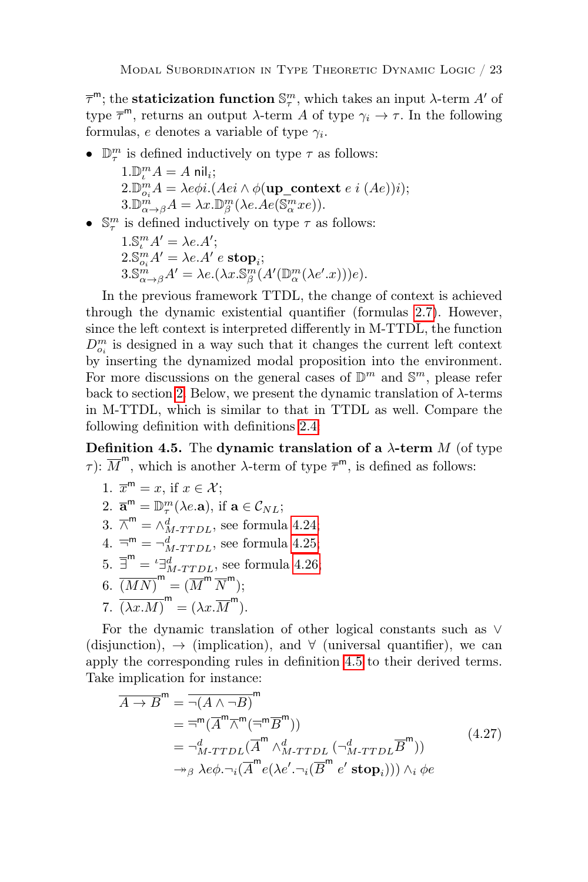$τ<sup>m</sup>$ ; the **staticization function**  $\mathbb{S}^m_\tau$ , which takes an input  $λ$ -term  $A'$  of type  $\overline{\tau}^m$ , returns an output  $\lambda$ -term A of type  $\gamma_i \to \tau$ . In the following formulas, e denotes a variable of type  $\gamma_i$ .

- $\bullet~~\mathbb{D}^m_\tau$  is defined inductively on type  $\tau$  as follows:
	- $1.\mathbb{D}_{\iota}^m A = A \text{ nil}_i;$  $2.\mathbb{D}_{o_i}^m A = \lambda e \phi i. (Aei \wedge \phi(\text{up\_context } e i (Ae))i);$  $3.\mathbb{D}_{\alpha\to\beta}^m A = \lambda x.\mathbb{D}_{\beta}^m(\lambda e. Ae(\mathbb{S}_\alpha^m x e)).$
- $\mathbb{S}^m_\tau$  is defined inductively on type  $\tau$  as follows:
	- $1.\mathbb{S}_{\iota}^m A' = \lambda e.A';$  $2.\mathbb{S}_{o_i}^m A' = \lambda e.A' e \ \textbf{stop}_i;$  $3. \mathbb{S}_{\alpha \to \beta}^{m} A' = \lambda e. (\lambda x. \mathbb{S}_{\beta}^{m} (A'(\mathbb{D}_{\alpha}^{m}(\lambda e'.x)))e).$

In the previous framework TTDL, the change of context is achieved through the dynamic existential quantifier (formulas [2.7\)](#page-7-0). However, since the left context is interpreted differently in M-TTDL, the function  $\mathcal{D}_{o_i}^m$  is designed in a way such that it changes the current left context by inserting the dynamized modal proposition into the environment. For more discussions on the general cases of  $\mathbb{D}^m$  and  $\mathbb{S}^m$ , please refer back to section [2.](#page-4-2) Below, we present the dynamic translation of  $\lambda$ -terms in M-TTDL, which is similar to that in TTDL as well. Compare the following definition with definitions [2.4:](#page-8-1)

<span id="page-22-0"></span>Definition 4.5. The dynamic translation of a  $\lambda$ -term M (of type  $\tau$ ):  $\overline{M}^{\mathsf{m}}$ , which is another  $\lambda$ -term of type  $\overline{\tau}^{\mathsf{m}}$ , is defined as follows:

1. 
$$
\overline{x}^m = x
$$
, if  $x \in \mathcal{X}$ ;

2. 
$$
\overline{\mathbf{a}}^m = \mathbb{D}_{\tau}^m(\lambda e.\mathbf{a}), \text{ if } \mathbf{a} \in \mathcal{C}_{NL};
$$

- 3.  $\overline{\wedge}^{\mathsf{m}} = \wedge_{M-TTDL}^{d}$ , see formula [4.24;](#page-20-1)
- 4.  $\overline{\neg}^{\mathsf{m}} = \neg^{\mathsf{d}}_{M\text{-}TTDL}$ , see formula [4.25;](#page-20-0)
- 5.  $\overline{\exists}^m = \iota \exists_M^d$ <br> $\overline{M \cdot T T D L}$ , see formula [4.26;](#page-21-0)

6. 
$$
\overline{(MN)}^{\mathsf{m}} = (\overline{M}^{\mathsf{m}} \ \overline{N}^{\mathsf{m}});
$$

7. 
$$
\overline{(\lambda x.M)}^{\mathsf{m}} = (\lambda x.\overline{M}^{\mathsf{m}}).
$$

For the dynamic translation of other logical constants such as ∨ (disjunction),  $\rightarrow$  (implication), and  $\forall$  (universal quantifier), we can apply the corresponding rules in definition [4.5](#page-22-0) to their derived terms. Take implication for instance:

$$
\overline{A \rightarrow B}^{\mathsf{m}} = \overline{\neg(A \land \neg B)}^{\mathsf{m}}
$$
\n
$$
= \overline{\neg}^{\mathsf{m}} (\overline{A}^{\mathsf{m}} \overline{\land}^{\mathsf{m}} (\overline{\neg}^{\mathsf{m}} \overline{B}^{\mathsf{m}}))
$$
\n
$$
= \neg_{M \text{-TTDL}}^{d} (\overline{A}^{\mathsf{m}} \land_{M \text{-TTDL}}^{d} (\neg_{M \text{-TTDL}}^{d} \overline{B}^{\mathsf{m}}))
$$
\n
$$
\rightarrow_{\beta} \lambda e \phi. \neg_{i} (\overline{A}^{\mathsf{m}} e(\lambda e'. \neg_{i} (\overline{B}^{\mathsf{m}} e' \text{ stop}_{i}))) \land_{i} \phi e
$$
\n(4.27)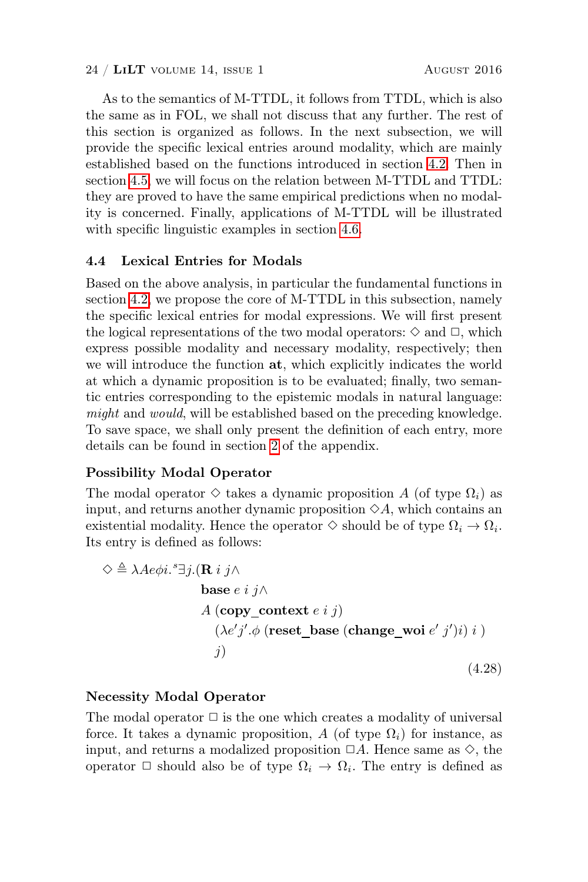As to the semantics of M-TTDL, it follows from TTDL, which is also the same as in FOL, we shall not discuss that any further. The rest of this section is organized as follows. In the next subsection, we will provide the specific lexical entries around modality, which are mainly established based on the functions introduced in section [4.2.](#page-18-1) Then in section [4.5,](#page-25-0) we will focus on the relation between M-TTDL and TTDL: they are proved to have the same empirical predictions when no modality is concerned. Finally, applications of M-TTDL will be illustrated with specific linguistic examples in section [4.6.](#page-26-0)

# <span id="page-23-0"></span>4.4 Lexical Entries for Modals

Based on the above analysis, in particular the fundamental functions in section [4.2,](#page-18-1) we propose the core of M-TTDL in this subsection, namely the specific lexical entries for modal expressions. We will first present the logical representations of the two modal operators:  $\diamond$  and  $\Box$ , which express possible modality and necessary modality, respectively; then we will introduce the function at, which explicitly indicates the world at which a dynamic proposition is to be evaluated; finally, two semantic entries corresponding to the epistemic modals in natural language: might and would, will be established based on the preceding knowledge. To save space, we shall only present the definition of each entry, more details can be found in section [2](#page-43-0) of the appendix.

# Possibility Modal Operator

The modal operator  $\diamond$  takes a dynamic proposition A (of type  $\Omega_i$ ) as input, and returns another dynamic proposition  $\Diamond A$ , which contains an existential modality. Hence the operator  $\Diamond$  should be of type  $\Omega_i \to \Omega_i$ . Its entry is defined as follows:

<span id="page-23-1"></span>
$$
\Diamond \triangleq \lambda A e \phi i. \Box j. (\mathbf{R} i j \land
$$
  
base *e i j*  $\land$   

$$
A (\mathbf{copy\_context} e i j)
$$
  

$$
(\lambda e' j'. \phi (\text{reset\_base} (\text{change\_woi } e' j') i) i )
$$
  

$$
j)
$$
  
(4.28)

# Necessity Modal Operator

The modal operator  $\Box$  is the one which creates a modality of universal force. It takes a dynamic proposition, A (of type  $\Omega_i$ ) for instance, as input, and returns a modalized proposition  $\Box A$ . Hence same as  $\diamondsuit$ , the operator  $\Box$  should also be of type  $\Omega_i \to \Omega_i$ . The entry is defined as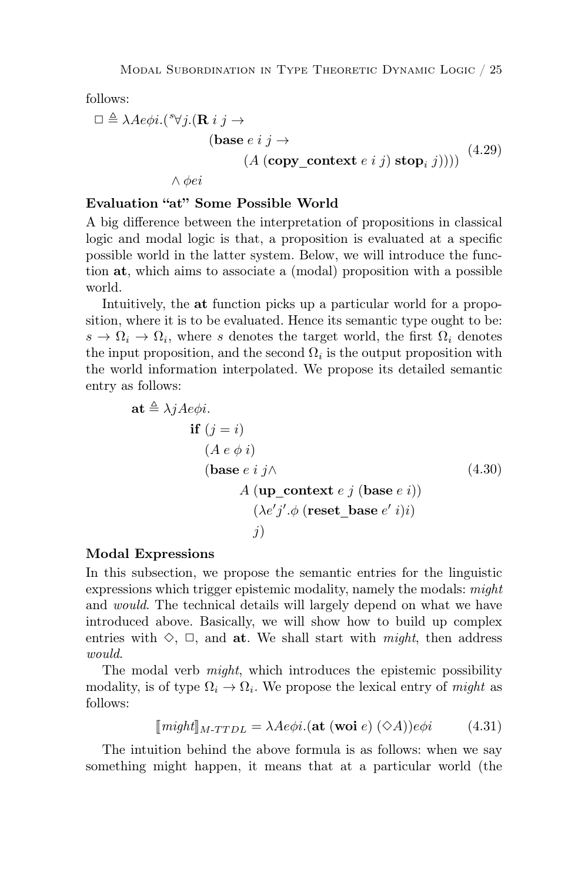follows:

<span id="page-24-1"></span>
$$
\Box \triangleq \lambda Ae\phi i.({^s\forall j.}(\mathbf{R} i j \rightarrow
$$
  
(base *e i j*  $\rightarrow$   
 $(A (\text{copy\_context } e i j) \text{ stop}_i j))))$  (4.29)  
 $\land \phi ei$ 

## Evaluation "at" Some Possible World

A big difference between the interpretation of propositions in classical logic and modal logic is that, a proposition is evaluated at a specific possible world in the latter system. Below, we will introduce the function at, which aims to associate a (modal) proposition with a possible world.

Intuitively, the at function picks up a particular world for a proposition, where it is to be evaluated. Hence its semantic type ought to be:  $s \to \Omega_i \to \Omega_i$ , where s denotes the target world, the first  $\Omega_i$  denotes the input proposition, and the second  $\Omega_i$  is the output proposition with the world information interpolated. We propose its detailed semantic entry as follows:

<span id="page-24-2"></span>
$$
\mathbf{at} \triangleq \lambda j A e \phi i.
$$
\nif  $(j = i)$   
\n $(A e \phi i)$   
\n $(\mathbf{base} e i j \wedge$   
\n $A (\mathbf{up\_context} e j (\mathbf{base} e i))$   
\n $(\lambda e' j' . \phi (\mathbf{reset\_base} e' i)i)$   
\n $j)$ \n(4.30)

#### Modal Expressions

In this subsection, we propose the semantic entries for the linguistic expressions which trigger epistemic modality, namely the modals: might and would. The technical details will largely depend on what we have introduced above. Basically, we will show how to build up complex entries with  $\diamond$ ,  $\square$ , and at. We shall start with might, then address would.

The modal verb *might*, which introduces the epistemic possibility modality, is of type  $\Omega_i \to \Omega_i$ . We propose the lexical entry of *might* as follows:

<span id="page-24-0"></span>
$$
[\![\mathit{might}]\!]_{M\text{-}\mathit{TTDL}} = \lambda A e \phi i. (\mathbf{at} (\mathbf{woi} e) (\Diamond A)) e \phi i \tag{4.31}
$$

The intuition behind the above formula is as follows: when we say something might happen, it means that at a particular world (the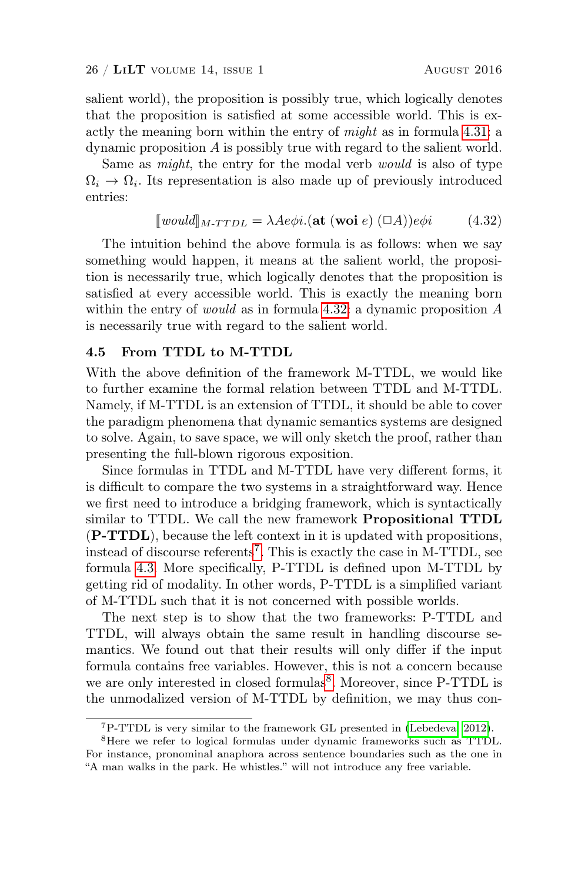salient world), the proposition is possibly true, which logically denotes that the proposition is satisfied at some accessible world. This is exactly the meaning born within the entry of might as in formula [4.31:](#page-24-0) a dynamic proposition A is possibly true with regard to the salient world.

Same as might, the entry for the modal verb would is also of type  $\Omega_i \to \Omega_i$ . Its representation is also made up of previously introduced entries:

<span id="page-25-1"></span>
$$
[would]_{M\text{-}\text{TTDL}} = \lambda A e \phi i. (\text{at } (\text{woi } e) (\Box A)) e \phi i \tag{4.32}
$$

The intuition behind the above formula is as follows: when we say something would happen, it means at the salient world, the proposition is necessarily true, which logically denotes that the proposition is satisfied at every accessible world. This is exactly the meaning born within the entry of *would* as in formula [4.32:](#page-25-1) a dynamic proposition  $\vec{A}$ is necessarily true with regard to the salient world.

# <span id="page-25-0"></span>4.5 From TTDL to M-TTDL

With the above definition of the framework M-TTDL, we would like to further examine the formal relation between TTDL and M-TTDL. Namely, if M-TTDL is an extension of TTDL, it should be able to cover the paradigm phenomena that dynamic semantics systems are designed to solve. Again, to save space, we will only sketch the proof, rather than presenting the full-blown rigorous exposition.

Since formulas in TTDL and M-TTDL have very different forms, it is difficult to compare the two systems in a straightforward way. Hence we first need to introduce a bridging framework, which is syntactically similar to TTDL. We call the new framework Propositional TTDL (P-TTDL), because the left context in it is updated with propositions, instead of discourse referents<sup>[7](#page-25-2)</sup>. This is exactly the case in M-TTDL, see formula [4.3.](#page-17-4) More specifically, P-TTDL is defined upon M-TTDL by getting rid of modality. In other words, P-TTDL is a simplified variant of M-TTDL such that it is not concerned with possible worlds.

The next step is to show that the two frameworks: P-TTDL and TTDL, will always obtain the same result in handling discourse semantics. We found out that their results will only differ if the input formula contains free variables. However, this is not a concern because we are only interested in closed formulas<sup>[8](#page-25-3)</sup>. Moreover, since P-TTDL is the unmodalized version of M-TTDL by definition, we may thus con-

<span id="page-25-3"></span><span id="page-25-2"></span><sup>7</sup>P-TTDL is very similar to the framework GL presented in [\(Lebedeva, 2012\)](#page-38-9).

<sup>8</sup>Here we refer to logical formulas under dynamic frameworks such as TTDL. For instance, pronominal anaphora across sentence boundaries such as the one in "A man walks in the park. He whistles." will not introduce any free variable.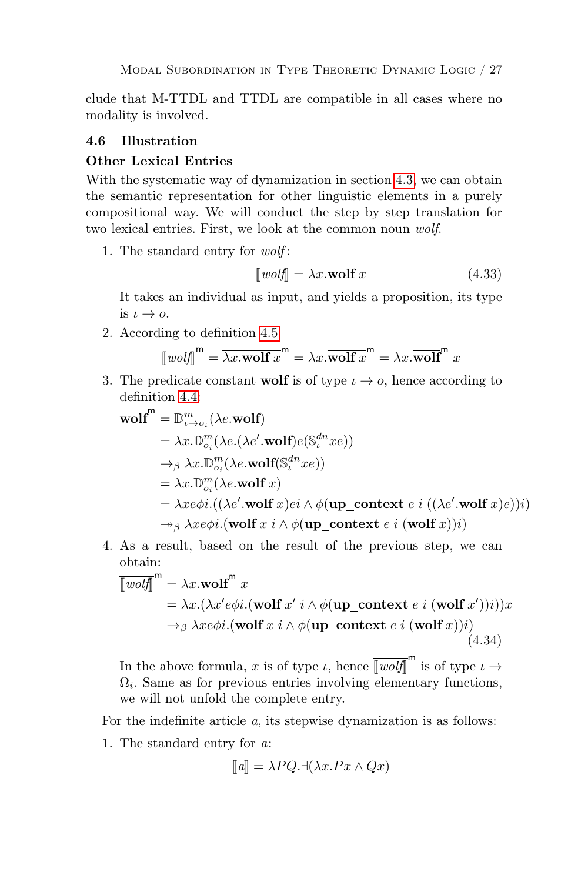clude that M-TTDL and TTDL are compatible in all cases where no modality is involved.

# <span id="page-26-0"></span>4.6 Illustration

#### Other Lexical Entries

With the systematic way of dynamization in section [4.3,](#page-20-2) we can obtain the semantic representation for other linguistic elements in a purely compositional way. We will conduct the step by step translation for two lexical entries. First, we look at the common noun wolf.

1. The standard entry for wolf :

<span id="page-26-1"></span>
$$
\llbracket \text{volf} \rrbracket = \lambda x. \text{wolf } x \tag{4.33}
$$

It takes an individual as input, and yields a proposition, its type is  $\iota \to o$ .

2. According to definition [4.5:](#page-22-0)

$$
\overline{\llbracket w\text{ }ob\rrbracket}^{\mathsf{m}} = \overline{\lambda x.\text{wolf }x}^{\mathsf{m}} = \lambda x.\overline{\text{wolf }x}^{\mathsf{m}} = \lambda x.\overline{\text{wolf}}^{\mathsf{m}} x
$$

3. The predicate constant wolf is of type  $\iota \to o$ , hence according to definition [4.4:](#page-21-1)

$$
\overline{\text{wolf}}^{m} = \mathbb{D}_{\iota \to o_{i}}^{m}(\lambda e.\text{wolf})
$$
\n
$$
= \lambda x.\mathbb{D}_{o_{i}}^{m}(\lambda e.(\lambda e'.\text{wolf})e(\mathbb{S}_{\iota}^{dn}xe))
$$
\n
$$
\to_{\beta} \lambda x.\mathbb{D}_{o_{i}}^{m}(\lambda e.\text{wolf}(\mathbb{S}_{\iota}^{dn}xe))
$$
\n
$$
= \lambda x.\mathbb{D}_{o_{i}}^{m}(\lambda e.\text{wolf }x)
$$
\n
$$
= \lambda xe\phi i.((\lambda e'.\text{wolf }x)e i \wedge \phi(\text{up\_context } e i ((\lambda e'.\text{wolf }x)e))i)
$$
\n
$$
\to_{\beta} \lambda xe\phi i.(\text{wolf }x i \wedge \phi(\text{up\_context } e i (\text{wolf }x))i)
$$

4. As a result, based on the result of the previous step, we can obtain:

<span id="page-26-2"></span>
$$
\overline{\llbracket \text{wolf} \rrbracket}^{\text{m}} = \lambda x. \overline{\text{wolf}}^{\text{m}} x
$$
\n
$$
= \lambda x. (\lambda x' e \phi i. (\text{wolf } x' i \wedge \phi(\text{up\_context } e i (\text{wolf } x')) i)) x
$$
\n
$$
\rightarrow_{\beta} \lambda x e \phi i. (\text{wolf } x i \wedge \phi(\text{up\_context } e i (\text{wolf } x)) i)
$$
\n(4.34)

In the above formula, x is of type  $\iota$ , hence  $\overline{[w\text{otif}]}^m$  is of type  $\iota \to$  $\Omega_i$ . Same as for previous entries involving elementary functions, we will not unfold the complete entry.

For the indefinite article a, its stepwise dynamization is as follows:

1. The standard entry for a:

$$
[\![a]\!] = \lambda PQ. \exists (\lambda x. Px \wedge Qx)
$$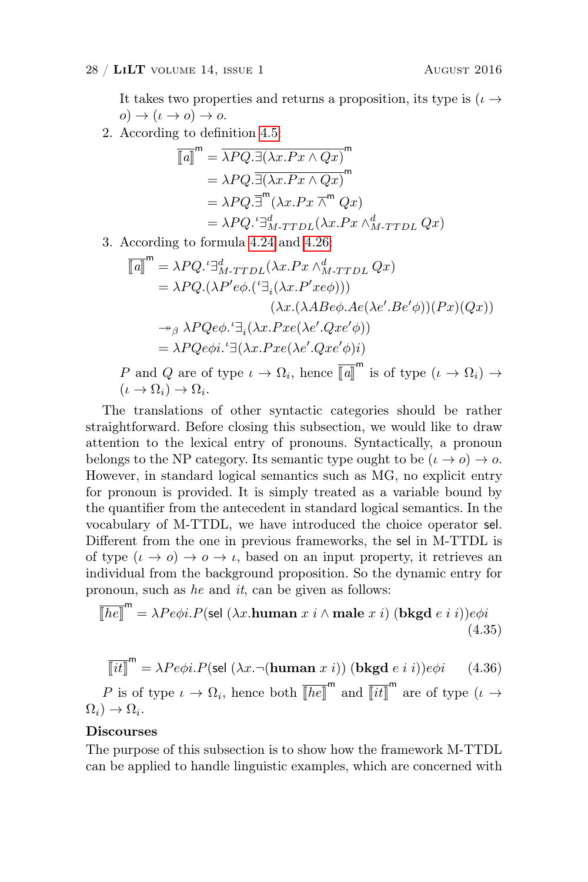$(\iota \to \Omega_i) \to \Omega_i.$ 

It takes two properties and returns a proposition, its type is  $(\iota \rightarrow$  $o) \rightarrow (\iota \rightarrow o) \rightarrow o.$ 

2. According to definition [4.5:](#page-22-0)

$$
\overline{\llbracket a \rrbracket}^{m} = \overline{\lambda PQ. \exists (\lambda x. Px \wedge Qx)}^{m}
$$
\n
$$
= \lambda PQ. \overline{\exists (\lambda x. Px \wedge Qx)}^{m}
$$
\n
$$
= \lambda PQ. \overline{\exists}^{m} (\lambda x. Px \overline{\wedge}^{m} Qx)
$$
\n
$$
= \lambda PQ. \overline{\exists}_{M-TTDL}^{d} (\lambda x. Px \wedge_{M-TTDL}^{d} Qx)
$$

3. According to formula [4.24](#page-20-1) and [4.26:](#page-21-0)

$$
\overline{\llbracket a \rrbracket}^{\mathsf{m}} = \lambda P Q.^{\iota} \exists_{M \text{-TTDL}}^{d} (\lambda x. Px \wedge_{M \text{-TTDL}}^{d} Q x)
$$
\n
$$
= \lambda P Q. (\lambda P' e \phi. (^{\iota} \exists_i (\lambda x. P' x e \phi)))
$$
\n
$$
(\lambda x. (\lambda A Be \phi. Ae(\lambda e'. Be' \phi))(Px)(Qx))
$$
\n
$$
\rightarrow_{\beta} \lambda P Q e \phi. ^{\iota} \exists_i (\lambda x. P x e (\lambda e'. Q x e' \phi))
$$
\n
$$
= \lambda P Q e \phi i. ^{\iota} \exists (\lambda x. P x e (\lambda e'. Q x e' \phi)i)
$$
\n
$$
P \text{ and } Q \text{ are of type } \iota \rightarrow \Omega_i, \text{ hence } \overline{\llbracket a \rrbracket}^{\mathsf{m}} \text{ is of type } (\iota \rightarrow \Omega_i) \rightarrow
$$

The translations of other syntactic categories should be rather straightforward. Before closing this subsection, we would like to draw attention to the lexical entry of pronouns. Syntactically, a pronoun belongs to the NP category. Its semantic type ought to be  $(\iota \to o) \to o$ . However, in standard logical semantics such as MG, no explicit entry for pronoun is provided. It is simply treated as a variable bound by the quantifier from the antecedent in standard logical semantics. In the vocabulary of M-TTDL, we have introduced the choice operator sel. Different from the one in previous frameworks, the sel in M-TTDL is of type  $(\iota \to o) \to o \to \iota$ , based on an input property, it retrieves an individual from the background proposition. So the dynamic entry for pronoun, such as he and it, can be given as follows:

$$
\overline{[he]}^m = \lambda Pe\phi i.P(\text{sel } (\lambda x.\text{human } x \text{ } i \wedge \text{male } x \text{ } i) \text{ (bkgd } e \text{ } i \text{ } i))e\phi i
$$
\n(4.35)

<span id="page-27-0"></span>
$$
\overline{\left[\left(it\right]\right]}^{\mathsf{m}} = \lambda P e \phi i. P(\text{sel } (\lambda x. \neg (\text{human } x \text{ } i)) (\text{bkgd } e \text{ } i \text{ } i)) e \phi i \tag{4.36}
$$

P is of type  $\iota \to \Omega_i$ , hence both  $\overline{[he]}^m$  and  $\overline{[it]}^m$  are of type  $(\iota \to \iota)$  $\Omega_i$ )  $\to \Omega_i$ .

#### Discourses

The purpose of this subsection is to show how the framework M-TTDL can be applied to handle linguistic examples, which are concerned with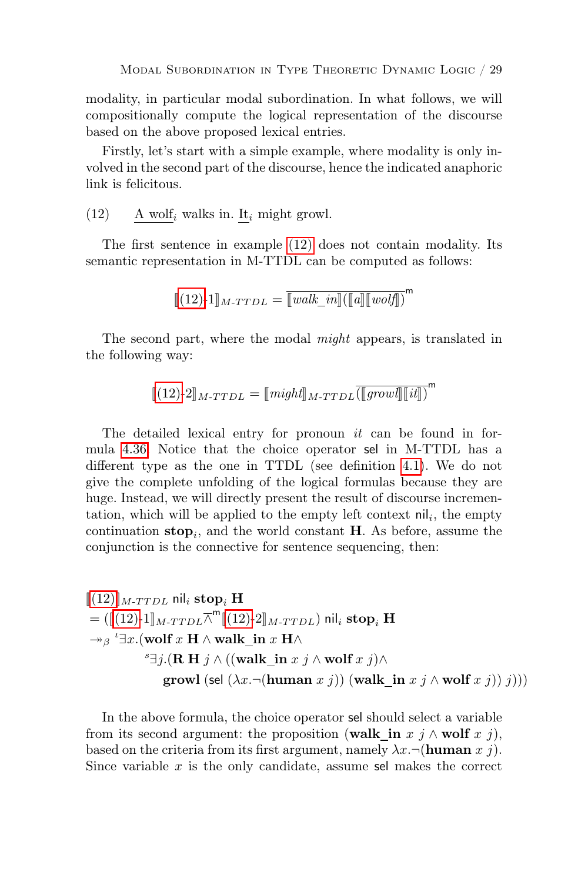modality, in particular modal subordination. In what follows, we will compositionally compute the logical representation of the discourse based on the above proposed lexical entries.

Firstly, let's start with a simple example, where modality is only involved in the second part of the discourse, hence the indicated anaphoric link is felicitous.

<span id="page-28-0"></span>(12) 
$$
\Delta
$$
 **wolf**<sub>i</sub> walks in. It<sub>i</sub> might growl.

The first sentence in example [\(12\)](#page-28-0) does not contain modality. Its semantic representation in M-TTDL can be computed as follows:

$$
[\![ (12)\text{-}1]\!]_{M\text{-}\mathit{TTDL}} = \overline{[\![\mathit{walk\_in}]\!]([\![\mathit{a}]\!] [\![\mathit{wolf}]\!])}^{\mathsf{m}}
$$

The second part, where the modal might appears, is translated in the following way:

$$
[\![(12)\text{-}2]\!]_{M\text{-}\mathit{TTL}} = [\![\mathit{might}]\!]_{M\text{-}\mathit{TTL}} \overline{(\![\mathit{grow}l]\!]\![\![it]\!]})^{\mathsf{m}}
$$

The detailed lexical entry for pronoun *it* can be found in formula [4.36.](#page-27-0) Notice that the choice operator sel in M-TTDL has a different type as the one in TTDL (see definition [4.1\)](#page-14-0). We do not give the complete unfolding of the logical formulas because they are huge. Instead, we will directly present the result of discourse incrementation, which will be applied to the empty left context  $\left\| \cdot \right\|$ , the empty continuation  $stop_i$ , and the world constant **H**. As before, assume the conjunction is the connective for sentence sequencing, then:

$$
\begin{aligned} & [[(12)]]_{M\text{-}\mathit{TTL}} \text{ nil}_i \ \textbf{stop}_i \ \mathbf{H} \\ &= ([[(12)\text{-}1]]_{M\text{-}\mathit{TTL}} \overline{\wedge}^{\mathsf{m}} [[(12)\text{-}2]]_{M\text{-}\mathit{TTL}}) \ \text{nil}_i \ \textbf{stop}_i \ \mathbf{H} \\ & \twoheadrightarrow_{\beta} {}^{\iota} \exists x. (\textbf{wolf } x \ \mathbf{H} \wedge \textbf{walk\_in } x \ \mathbf{H} \wedge \\ & \cong & j. (\mathbf{R} \ \mathbf{H} \ j \wedge ((\textbf{walk\_in } x \ j \wedge \textbf{wolf } x \ j)) \wedge \\ & \textbf{growth} \ (\textbf{sel } (\lambda x. \neg (\textbf{human } x \ j)) \ (\textbf{walk\_in } x \ j \wedge \textbf{wolf } x \ j))) \end{aligned}
$$

In the above formula, the choice operator sel should select a variable from its second argument: the proposition (walk in x j  $\wedge$  wolf x j), based on the criteria from its first argument, namely  $\lambda x. \neg$  (human x j). Since variable  $x$  is the only candidate, assume sel makes the correct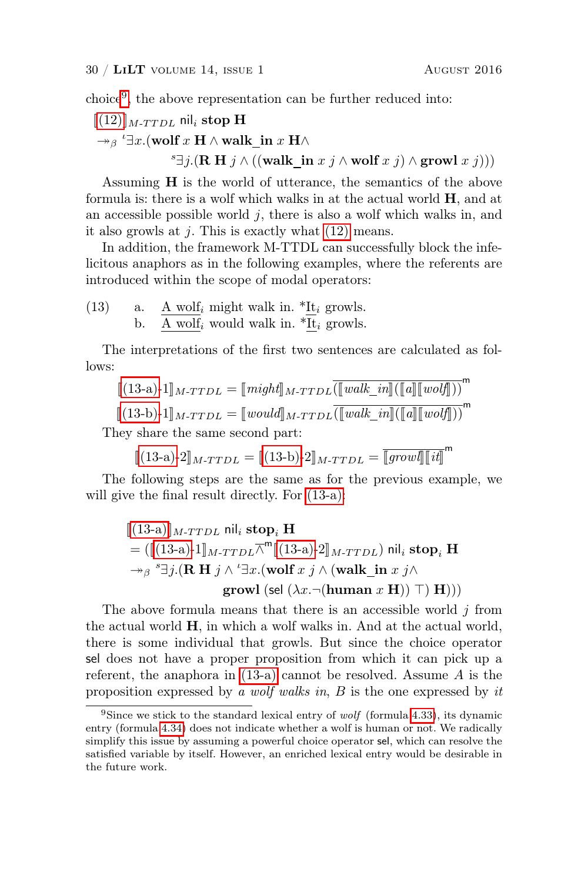choice[9](#page-29-0) , the above representation can be further reduced into:

```
(12)]<sub>M-TTDL</sub> nil<sub>i</sub> stop H
 \rightarrow<sub>β</sub> '\exists x.(wolf x \mathbf{H} \wedge walk_in x \mathbf{H} \wedge
```
 $s \exists j.$ (R H  $j \wedge ((\text{walk\_in } x j \wedge \text{wolf } x j) \wedge \text{growl } x j)))$ 

Assuming H is the world of utterance, the semantics of the above formula is: there is a wolf which walks in at the actual world  $\mathbf{H}$ , and at an accessible possible world  $j$ , there is also a wolf which walks in, and it also growls at  $j$ . This is exactly what  $(12)$  means.

In addition, the framework M-TTDL can successfully block the infelicitous anaphors as in the following examples, where the referents are introduced within the scope of modal operators:

<span id="page-29-2"></span><span id="page-29-1"></span>(13) a.  $\underline{A} \text{ wolf}_i$  might walk in.  $* \underline{It}_i$  growls. b.  $\underline{A} \text{ wolf}_i$  would walk in.  $* \underline{It}_i$  growls.

The interpretations of the first two sentences are calculated as follows:

$$
\llbracket (13\text{-}a)\text{-}1 \rrbracket_{M\text{-}\mathit{TTDL}} = \llbracket \mathit{might} \rrbracket_{M\text{-}\mathit{TTDL}} \overline{(\llbracket \mathit{walk\_in} \rrbracket(\llbracket a \rrbracket \llbracket \mathit{wo}\mathit{lf} \rrbracket))}^{\mathsf{m}}
$$

$$
[\![(13\text{-}b)\text{-}1]\!]_{M\text{-}TTDL} = [\![\text{would}]\!]_{M\text{-}TTDL} \overline{(\![\text{walk\_in}]\!](\![a]\!](\![\text{vol}\!f\!]\!))}^{\mathsf{m}}
$$

They share the same second part:

$$
\llbracket (13-a)-2 \rrbracket_{M\text{-}\mathit{T} \mathit{T} \mathit{D} \mathit{L}} = \llbracket (13-b)-2 \rrbracket_{M\text{-}\mathit{T} \mathit{T} \mathit{D} \mathit{L}} = \llbracket \overline{\mathit{grow} \mathit{l} \rrbracket}^{\mathsf{m}}
$$

The following steps are the same as for the previous example, we will give the final result directly. For  $(13-a)$ :

$$
\begin{aligned} & [[(13\text{-a})]_{M\text{-}\mathit{TTDL}} \text{ nil}_i \ \textbf{stop}_i \ \mathbf{H} \\ &= (\llbracket (13\text{-a})\text{-}1 \rrbracket_{M\text{-}\mathit{TTDL}} \overline{\wedge}^{\text{m}} \llbracket (13\text{-a})\text{-}2 \rrbracket_{M\text{-}\mathit{TTDL}}) \text{ nil}_i \ \textbf{stop}_i \ \mathbf{H} \\ & \to_{\beta} {}^s \exists j. (\mathbf{R} \ \mathbf{H} \ j \wedge {}^t \exists x. (\textbf{wolf } x \ j \wedge (\textbf{walk\_in } x \ j \wedge \\ & \textbf{growth } (\textbf{sel } (\lambda x. \neg (\textbf{human } x \ \mathbf{H})) \ \top) \ \mathbf{H}))) \end{aligned}
$$

The above formula means that there is an accessible world  $j$  from the actual world  $H$ , in which a wolf walks in. And at the actual world, there is some individual that growls. But since the choice operator sel does not have a proper proposition from which it can pick up a referent, the anaphora in [\(13-a\)](#page-29-1) cannot be resolved. Assume A is the proposition expressed by a wolf walks in, B is the one expressed by it

<span id="page-29-0"></span><sup>&</sup>lt;sup>9</sup>Since we stick to the standard lexical entry of *wolf* (formula [4.33\)](#page-26-1), its dynamic entry (formula [4.34\)](#page-26-2) does not indicate whether a wolf is human or not. We radically simplify this issue by assuming a powerful choice operator sel, which can resolve the satisfied variable by itself. However, an enriched lexical entry would be desirable in the future work.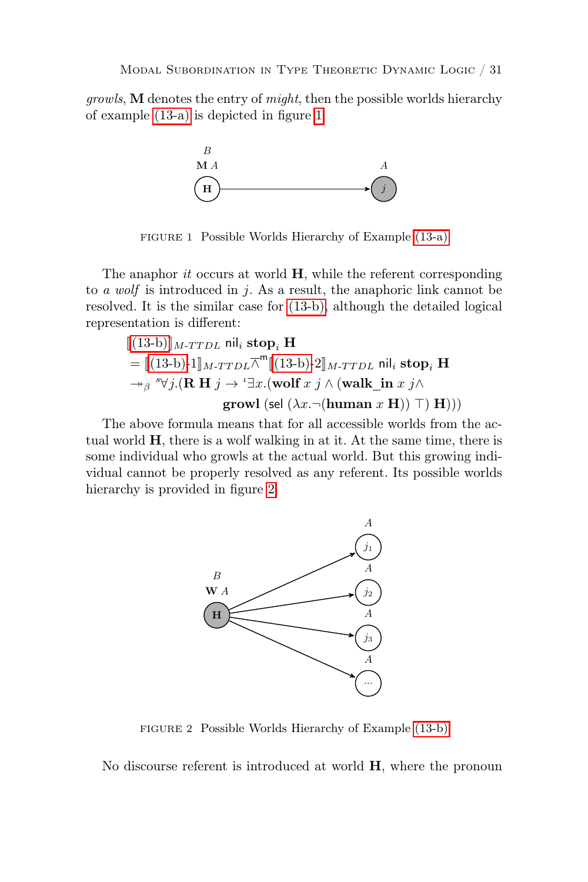growls, M denotes the entry of might, then the possible worlds hierarchy of example [\(13-a\)](#page-29-1) is depicted in figure [1:](#page-30-0)



<span id="page-30-0"></span>FIGURE 1 Possible Worlds Hierarchy of Example [\(13-a\)](#page-29-1)

to a wolf is introduced in j. As a result, the anaphoric link cannot be The anaphor *it* occurs at world  $H$ , while the referent corresponding resolved. It is the similar case for [\(13-b\),](#page-29-2) although the detailed logical representation is different:

$$
\begin{aligned}\n\llbracket (13-b) \rrbracket_{M\text{-}TDL} & \mathsf{nil}_i \ \textbf{stop}_i \ \mathbf{H} \\
&= \llbracket (13-b) \text{-} 1 \rrbracket_{M\text{-}TDL} \overline{\wedge}^{\mathsf{m}} \llbracket (13-b) \text{-} 2 \rrbracket_{M\text{-}TDL} \ \mathsf{nil}_i \ \textbf{stop}_i \ \mathbf{H} \\
&\rightarrow_{\beta} {}^s \forall j. (\mathbf{R} \ \mathbf{H} \ j \rightarrow {}^{\iota} \exists x. (\textbf{wolf } x \ j \wedge (\textbf{walk\_in } x \ j \wedge \textbf{growth} \ \textbf{group} \ \textbf{f} \ \textbf{H})))\n\end{aligned}
$$

The above formula means that for all accessible worlds from the actual world H, there is a wolf walking in at it. At the same time, there is some individual who growls at the actual world. But this growing individual cannot be properly resolved as any referent. Its possible worlds hierarchy is provided in figure [2:](#page-30-1)



<span id="page-30-1"></span>FIGURE 2 Possible Worlds Hierarchy of Example [\(13-b\)](#page-29-2)

No discourse referent is introduced at world H, where the pronoun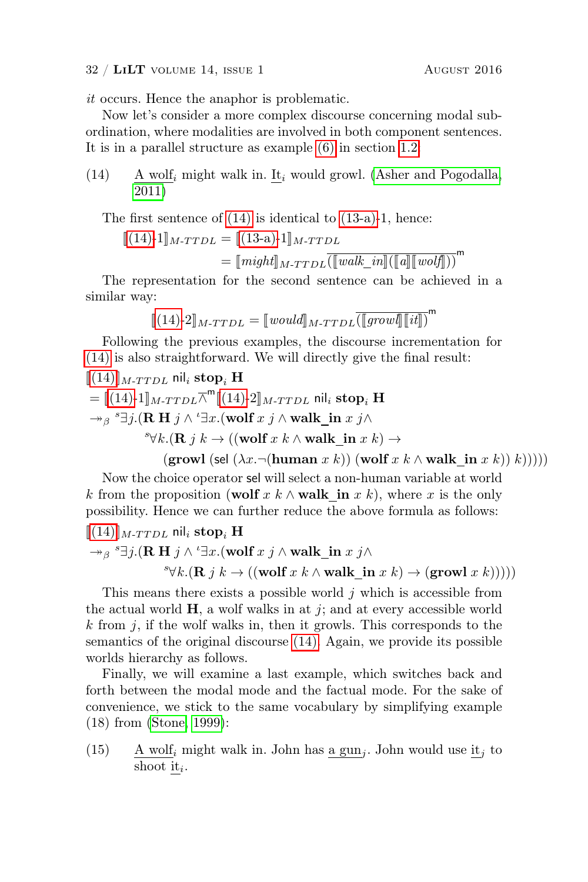it occurs. Hence the anaphor is problematic.

Now let's consider a more complex discourse concerning modal subordination, where modalities are involved in both component sentences. It is in a parallel structure as example [\(6\)](#page-3-1) in section [1.2:](#page-2-6)

<span id="page-31-0"></span>(14) A wolf<sub>i</sub> might walk in. It<sub>i</sub> would growl. [\(Asher and Pogodalla,](#page-37-14) [2011\)](#page-37-14)

The first sentence of [\(14\)](#page-31-0) is identical to [\(13-a\)-](#page-29-1)1, hence:

 $\llbracket (14)$ -1 $\rrbracket_{M\text{-}TTDL} = \llbracket (13-a)$  $\rrbracket_{M\text{-}TTDL} = \llbracket (13-a)$ -1 $\rrbracket_{M\text{-}TTDL}$  $=\llbracket\textit{might}\rrbracket_{M\text{-}\textit{TDL}}\overline{(\llbracket\textit{walk\_in}\rrbracket(\llbracket a\rrbracket\llbracket\textit{wolf}\rrbracket))}^{\mathsf{m}}$ 

The representation for the second sentence can be achieved in a similar way:

$$
[\![ (14)\text{-}2]\!]_{M\text{-}\mathit{TDL}} = [\![\mathit{would}]\!]_{M\text{-}\mathit{TDL}} \overline{(\![\mathit{grow}l]\!]\![\![it]\!]}^{\mathsf{m}}
$$

Following the previous examples, the discourse incrementation for [\(14\)](#page-31-0) is also straightforward. We will directly give the final result:  $[[(14)]$  $[[(14)]$  $[[(14)]$ <sub>M-TTDL</sub> nil<sub>i</sub> stop<sub>i</sub> H

$$
= [(14)-1]_{M\text{-}TDL} \overline{\wedge}^m [(14)-2]_{M\text{-}TDL} \text{ nil}_i \text{ stop}_i \mathbf{H}
$$
  
\n→ $\beta$  <sup>s</sup>∃*j*. (**R H** *j* ∧ '∃*x*. (**wolf** *x j* ∧ **walk\_in** *x j* ∧   
\n<sup>s</sup>∀*k*. (**R** *j k* → ((**wolf** *x k* ∧ **walk\_in** *x k*) →

(growl (sel  $(\lambda x. \neg(\text{human } x k))$  (wolf  $x k \wedge \text{walk}$  in  $x k$ )) k)))))

Now the choice operator sel will select a non-human variable at world k from the proposition (wolf x k  $\wedge$  walk\_in x k), where x is the only possibility. Hence we can further reduce the above formula as follows:

$$
[\![ (14)]\!]_{M\text{-}\mathit{TTL}} \text{nil}_i \text{stop}_i \mathbf{H}
$$

 $\rightarrow$ <sub>β</sub> <sup>s</sup> $\exists j.$ (**R H**  $j \wedge$  ' $\exists x.$ (wolf  $x \, j \wedge$  walk\_in  $x \, j \wedge$ 

 $\forall k.$ (**R** *j*  $k$  → ((wolf *x*  $k \wedge$  walk\_in *x*  $k$ ) → (growl *x*  $k$ )))))

This means there exists a possible world  $j$  which is accessible from the actual world  $H$ , a wolf walks in at j; and at every accessible world k from  $j$ , if the wolf walks in, then it growls. This corresponds to the semantics of the original discourse [\(14\).](#page-31-0) Again, we provide its possible worlds hierarchy as follows.

Finally, we will examine a last example, which switches back and forth between the modal mode and the factual mode. For the sake of convenience, we stick to the same vocabulary by simplifying example (18) from [\(Stone, 1999\)](#page-38-14):

<span id="page-31-1"></span>(15) A wolf<sub>i</sub> might walk in. John has a gun<sub>j</sub>. John would use it<sub>j</sub> to shoot  $\underline{\text{it}}_i$ .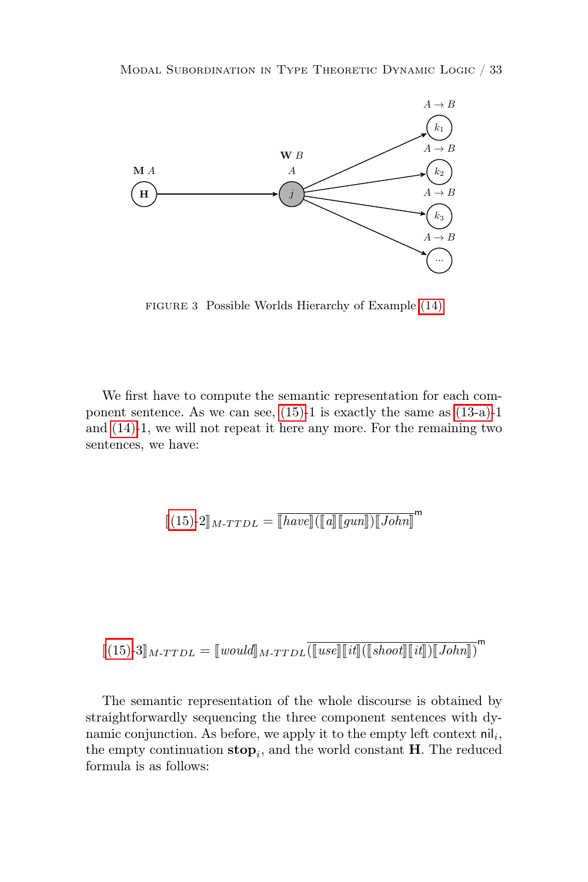

FIGURE 3 Possible Worlds Hierarchy of Example [\(14\)](#page-31-0)

We first have to compute the semantic representation for each component sentence. As we can see, [\(15\)-](#page-31-1)1 is exactly the same as [\(13-a\)-](#page-29-1)1 and [\(14\)-](#page-31-0)1, we will not repeat it here any more. For the remaining two sentences, we have:

$$
[\![(15)\text{-}2]\!]_{M\text{-}\mathit{TTDL}} = \overline{[\![\mathit{have}]\!]([\![a]\!][\![\mathit{gun}]\!])[\![\mathit{John}]\!]}\text{m}
$$

$$
[\![(15)\text{-}3]\!]_{M\text{-}\mathit{TTL}} = [\![\mathit{would}]\!]_{M\text{-}\mathit{TTL}} [\![\mathit{use}]\!] [\![\mathit{it}]\!] (\llbracket \mathit{shoot}]\!] [\![\mathit{it}]\!]) [\![\mathit{John}]\!] )^{\mathsf{m}}
$$

The semantic representation of the whole discourse is obtained by straightforwardly sequencing the three component sentences with dynamic conjunction. As before, we apply it to the empty left context  $\left.\textsf{nil}\right|_i$ , the empty continuation  $\mathbf{stop}_i$ , and the world constant **H**. The reduced formula is as follows: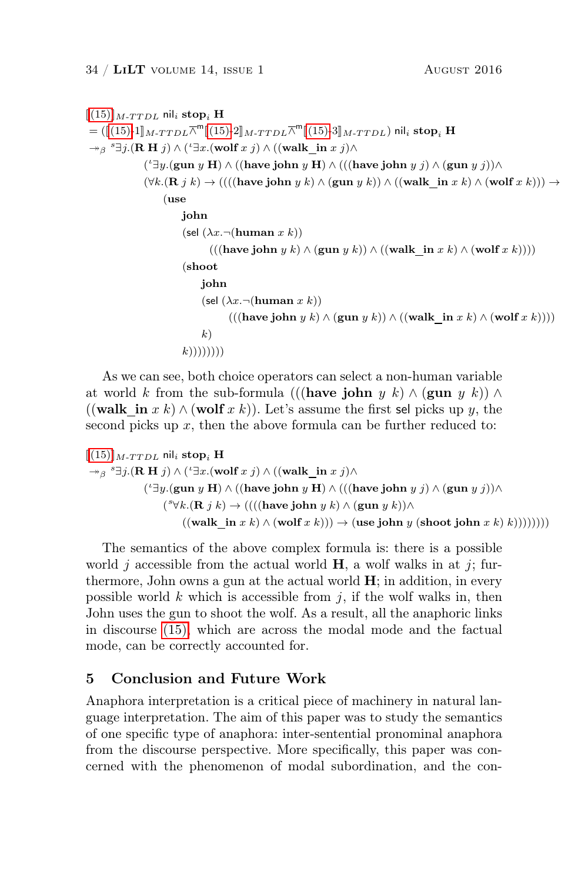$[[(15)]$  $[[(15)]$  $[[(15)]$ <sub>M-TTDL</sub> nil<sub>i</sub> stop<sub>i</sub> H  $= (\llbracket (15)-1 \rrbracket_{M-T T D L} \overline{\wedge}^m \llbracket (15)-2 \rrbracket_{M-T T D L} \overline{\wedge}^m \llbracket (15)-3 \rrbracket_{M-T T D L} )$  $= (\llbracket (15)-1 \rrbracket_{M-T T D L} \overline{\wedge}^m \llbracket (15)-2 \rrbracket_{M-T T D L} \overline{\wedge}^m \llbracket (15)-3 \rrbracket_{M-T T D L} )$  $= (\llbracket (15)-1 \rrbracket_{M-T T D L} \overline{\wedge}^m \llbracket (15)-2 \rrbracket_{M-T T D L} \overline{\wedge}^m \llbracket (15)-3 \rrbracket_{M-T T D L} )$ nil<sub>i</sub> stop<sub>i</sub> H  $\rightarrow_{\beta}$ <sup>s</sup> $\exists j.$ (**R H** j)  $\wedge$  (' $\exists x.$ (wolf x j)  $\wedge$  ((walk\_in x j) $\wedge$  $({}^\iota \exists y.$ (gun  $y \mathbf{H}) \wedge (($ have john  $y \mathbf{H}) \wedge ((($ have john  $y \ j) \wedge ($ gun  $y \ j)) \wedge$  $(\forall k.$ (**R**  $j k)$  → ((((have john  $y k$ )  $\land$  (gun  $y k$ ))  $\land$  ((walk\_in  $x k$ )  $\land$  (wolf  $x k$ )))  $\rightarrow$ (use john (sel  $(\lambda x. \neg (\text{human } x k))$  $((($ have john  $y k) \wedge ($ gun  $y k)) \wedge (($ walk in  $x k) \wedge ($ wolf  $x k))))$ (shoot john (sel  $(\lambda x. \neg(\text{human } x k))$  $((($ have john  $y k) \wedge ($ gun  $y k)) \wedge (($ walk in  $x k) \wedge ($ wolf  $x k))))$  $k)$  $(k))))))$ )

As we can see, both choice operators can select a non-human variable at world k from the sub-formula (((have john y k) ∧ (gun y k)) ∧ ((walk in x k)  $\wedge$  (wolf x k)). Let's assume the first sel picks up y, the second picks up  $x$ , then the above formula can be further reduced to:

$$
\begin{aligned} [[(15)]_{M\text{-}TTDL}\text{ nil}_i &\text{ stop}_i \text{ H} \\ \rightarrow_{\beta} {}^s \exists j. (\textbf{R} \text{ H } j) \wedge ( {}^t \exists x. (\textbf{volf } x \text{ } j) \wedge ((\textbf{walk\_in } x \text{ } j) \wedge \\ & ( {}^t \exists y. (\textbf{gun } y \text{ H}) \wedge ((\textbf{have join } y \text{ H}) \wedge (((\textbf{have join } y \text{ } k)) \wedge (\textbf{gun } y \text{ } j)) \wedge \\ & ({}^s \forall k. (\textbf{R } j \text{ } k) \rightarrow ((((\textbf{have join } y \text{ } k) \wedge (\textbf{gun } y \text{ } k)) \wedge \\ & ((\textbf{walk\_in } x \text{ } k) \wedge (\textbf{wolf } x \text{ } k))) \rightarrow (\textbf{use join } y \text{ (shot join } x \text{ } k)))))))\end{aligned}
$$

The semantics of the above complex formula is: there is a possible world j accessible from the actual world  $H$ , a wolf walks in at j; furthermore, John owns a gun at the actual world  $H$ ; in addition, in every possible world  $k$  which is accessible from  $j$ , if the wolf walks in, then John uses the gun to shoot the wolf. As a result, all the anaphoric links in discourse [\(15\),](#page-31-1) which are across the modal mode and the factual mode, can be correctly accounted for.

# 5 Conclusion and Future Work

Anaphora interpretation is a critical piece of machinery in natural language interpretation. The aim of this paper was to study the semantics of one specific type of anaphora: inter-sentential pronominal anaphora from the discourse perspective. More specifically, this paper was concerned with the phenomenon of modal subordination, and the con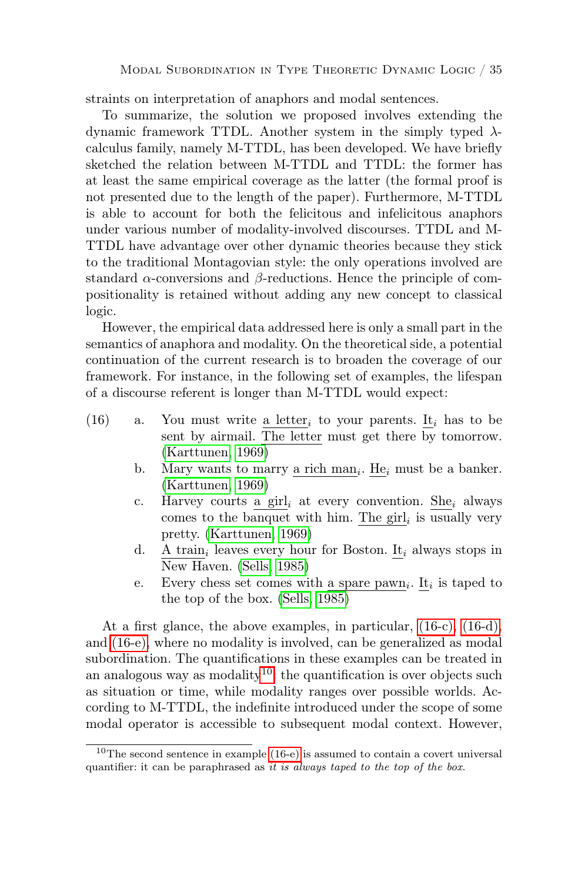straints on interpretation of anaphors and modal sentences.

To summarize, the solution we proposed involves extending the dynamic framework TTDL. Another system in the simply typed  $\lambda$ calculus family, namely M-TTDL, has been developed. We have briefly sketched the relation between M-TTDL and TTDL: the former has at least the same empirical coverage as the latter (the formal proof is not presented due to the length of the paper). Furthermore, M-TTDL is able to account for both the felicitous and infelicitous anaphors under various number of modality-involved discourses. TTDL and M-TTDL have advantage over other dynamic theories because they stick to the traditional Montagovian style: the only operations involved are standard  $\alpha$ -conversions and  $\beta$ -reductions. Hence the principle of compositionality is retained without adding any new concept to classical logic.

However, the empirical data addressed here is only a small part in the semantics of anaphora and modality. On the theoretical side, a potential continuation of the current research is to broaden the coverage of our framework. For instance, in the following set of examples, the lifespan of a discourse referent is longer than M-TTDL would expect:

- <span id="page-34-4"></span><span id="page-34-0"></span>(16) a. You must write a letter<sub>i</sub> to your parents. It<sub>i</sub> has to be sent by airmail. The letter must get there by tomorrow. [\(Karttunen, 1969\)](#page-37-4)
	- b. Mary wants to marry <u>a rich man</u><sub>i</sub>. He<sub>i</sub> must be a banker. [\(Karttunen, 1969\)](#page-37-4)
	- c. Harvey courts a girl, at every convention. She, always comes to the banquet with him. The  $\text{girl}_i$  is usually very pretty. [\(Karttunen, 1969\)](#page-37-4)
	- d.  $A \, \text{train}_i$  leaves every hour for Boston. It<sub>i</sub> always stops in New Haven. [\(Sells, 1985\)](#page-38-15)
	- e. Every chess set comes with a spare  $\frac{\partial u}{\partial x}$ . It<sub>i</sub> is taped to the top of the box. [\(Sells, 1985\)](#page-38-15)

<span id="page-34-2"></span><span id="page-34-1"></span>At a first glance, the above examples, in particular, [\(16-c\),](#page-34-0) [\(16-d\),](#page-34-1) and [\(16-e\),](#page-34-2) where no modality is involved, can be generalized as modal subordination. The quantifications in these examples can be treated in an analogous way as modality<sup>[10](#page-34-3)</sup>: the quantification is over objects such as situation or time, while modality ranges over possible worlds. According to M-TTDL, the indefinite introduced under the scope of some modal operator is accessible to subsequent modal context. However,

<span id="page-34-3"></span> $10$ The second sentence in example  $(16-e)$  is assumed to contain a covert universal quantifier: it can be paraphrased as it is always taped to the top of the box.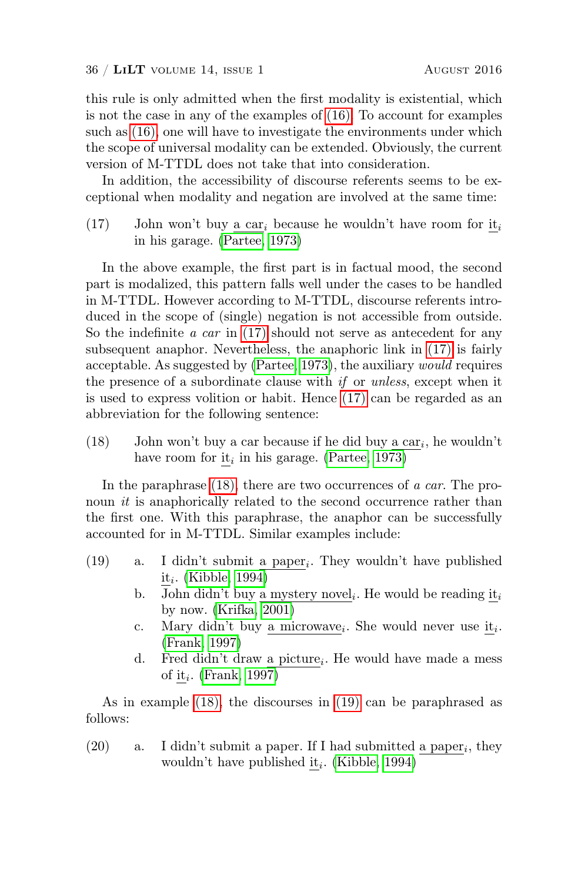this rule is only admitted when the first modality is existential, which is not the case in any of the examples of [\(16\).](#page-34-4) To account for examples such as [\(16\),](#page-34-4) one will have to investigate the environments under which the scope of universal modality can be extended. Obviously, the current version of M-TTDL does not take that into consideration.

In addition, the accessibility of discourse referents seems to be exceptional when modality and negation are involved at the same time:

<span id="page-35-0"></span>(17) John won't buy a car<sub>i</sub> because he wouldn't have room for it<sub>i</sub> in his garage. [\(Partee, 1973\)](#page-38-16)

In the above example, the first part is in factual mood, the second part is modalized, this pattern falls well under the cases to be handled in M-TTDL. However according to M-TTDL, discourse referents introduced in the scope of (single) negation is not accessible from outside. So the indefinite  $a \, car$  in [\(17\)](#page-35-0) should not serve as antecedent for any subsequent anaphor. Nevertheless, the anaphoric link in [\(17\)](#page-35-0) is fairly acceptable. As suggested by [\(Partee, 1973\)](#page-38-16), the auxiliary would requires the presence of a subordinate clause with  $if$  or unless, except when it is used to express volition or habit. Hence [\(17\)](#page-35-0) can be regarded as an abbreviation for the following sentence:

<span id="page-35-1"></span>(18) John won't buy a car because if he did buy  $\underline{\mathbf{a}} \cdot \underline{\mathbf{c}} \cdot \underline{\mathbf{a}} \cdot \underline{\mathbf{c}} \cdot \underline{\mathbf{a}} \cdot \underline{\mathbf{b}}$  wouldn't have room for  $\underline{\text{it}}_i$  in his garage. [\(Partee, 1973\)](#page-38-16)

In the paraphrase [\(18\),](#page-35-1) there are two occurrences of a car. The pronoun *it* is anaphorically related to the second occurrence rather than the first one. With this paraphrase, the anaphor can be successfully accounted for in M-TTDL. Similar examples include:

- <span id="page-35-2"></span>(19) a. I didn't submit <u>a paper</u><sub>i</sub>. They wouldn't have published  $\underline{\text{it}}_i$ . [\(Kibble, 1994\)](#page-37-15)
	- b. John didn't buy <u>a mystery novel</u><sub>i</sub>. He would be reading  $\underline{\text{it}}_i$ by now. [\(Krifka, 2001\)](#page-37-16)
	- c. Mary didn't buy <u>a microwave</u><sub>i</sub>. She would never use  $\underline{\text{it}}_i$ . [\(Frank, 1997\)](#page-37-17)
	- d. Fred didn't draw  $\underline{a}$  picture<sub>i</sub>. He would have made a mess of  $\underline{\text{it}}_i$ . [\(Frank, 1997\)](#page-37-17)

As in example [\(18\),](#page-35-1) the discourses in [\(19\)](#page-35-2) can be paraphrased as follows:

(20) a. I didn't submit a paper. If I had submitted a paper<sub>i</sub>, they wouldn't have published  $\underline{\text{it}}_i$ . [\(Kibble, 1994\)](#page-37-15)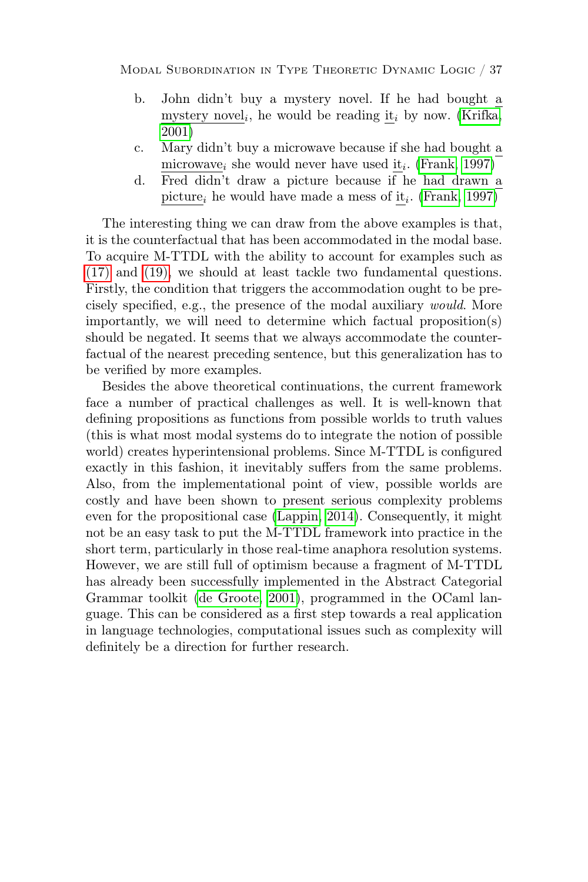- b. John didn't buy a mystery novel. If he had bought a mystery novel<sub>i</sub>, he would be reading  $\underline{\text{it}}_i$  by now. [\(Krifka,](#page-37-16) [2001\)](#page-37-16)
- c. Mary didn't buy a microwave because if she had bought a microwave<sub>i</sub> she would never have used  $\underline{\text{it}}_i$ . [\(Frank, 1997\)](#page-37-17)
- d. Fred didn't draw a picture because if he had drawn a picture<sub>i</sub> he would have made a mess of  $\underline{\text{it}}_i$ . [\(Frank, 1997\)](#page-37-17)

The interesting thing we can draw from the above examples is that, it is the counterfactual that has been accommodated in the modal base. To acquire M-TTDL with the ability to account for examples such as [\(17\)](#page-35-0) and [\(19\),](#page-35-2) we should at least tackle two fundamental questions. Firstly, the condition that triggers the accommodation ought to be precisely specified, e.g., the presence of the modal auxiliary would. More importantly, we will need to determine which factual proposition(s) should be negated. It seems that we always accommodate the counterfactual of the nearest preceding sentence, but this generalization has to be verified by more examples.

Besides the above theoretical continuations, the current framework face a number of practical challenges as well. It is well-known that defining propositions as functions from possible worlds to truth values (this is what most modal systems do to integrate the notion of possible world) creates hyperintensional problems. Since M-TTDL is configured exactly in this fashion, it inevitably suffers from the same problems. Also, from the implementational point of view, possible worlds are costly and have been shown to present serious complexity problems even for the propositional case [\(Lappin, 2014\)](#page-37-18). Consequently, it might not be an easy task to put the M-TTDL framework into practice in the short term, particularly in those real-time anaphora resolution systems. However, we are still full of optimism because a fragment of M-TTDL has already been successfully implemented in the Abstract Categorial Grammar toolkit [\(de Groote, 2001\)](#page-37-6), programmed in the OCaml language. This can be considered as a first step towards a real application in language technologies, computational issues such as complexity will definitely be a direction for further research.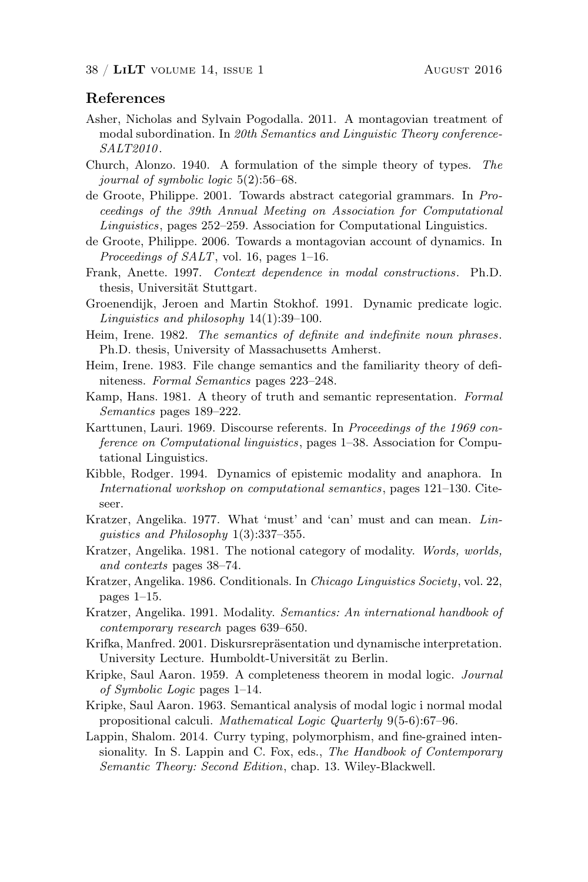# References

- <span id="page-37-14"></span>Asher, Nicholas and Sylvain Pogodalla. 2011. A montagovian treatment of modal subordination. In 20th Semantics and Linguistic Theory conference-SALT2010.
- <span id="page-37-7"></span>Church, Alonzo. 1940. A formulation of the simple theory of types. The journal of symbolic logic 5(2):56–68.
- <span id="page-37-6"></span>de Groote, Philippe. 2001. Towards abstract categorial grammars. In Proceedings of the 39th Annual Meeting on Association for Computational Linguistics, pages 252–259. Association for Computational Linguistics.
- <span id="page-37-5"></span>de Groote, Philippe. 2006. Towards a montagovian account of dynamics. In Proceedings of  $SALT$ , vol. 16, pages 1–16.
- <span id="page-37-17"></span>Frank, Anette. 1997. Context dependence in modal constructions. Ph.D. thesis, Universität Stuttgart.
- <span id="page-37-2"></span>Groenendijk, Jeroen and Martin Stokhof. 1991. Dynamic predicate logic. Linguistics and philosophy 14(1):39–100.
- <span id="page-37-1"></span>Heim, Irene. 1982. The semantics of definite and indefinite noun phrases. Ph.D. thesis, University of Massachusetts Amherst.
- <span id="page-37-3"></span>Heim, Irene. 1983. File change semantics and the familiarity theory of definiteness. Formal Semantics pages 223–248.
- <span id="page-37-0"></span>Kamp, Hans. 1981. A theory of truth and semantic representation. Formal Semantics pages 189–222.
- <span id="page-37-4"></span>Karttunen, Lauri. 1969. Discourse referents. In Proceedings of the 1969 conference on Computational linguistics, pages 1–38. Association for Computational Linguistics.
- <span id="page-37-15"></span>Kibble, Rodger. 1994. Dynamics of epistemic modality and anaphora. In International workshop on computational semantics, pages 121–130. Citeseer.
- <span id="page-37-8"></span>Kratzer, Angelika. 1977. What 'must' and 'can' must and can mean. Linguistics and Philosophy 1(3):337–355.
- <span id="page-37-9"></span>Kratzer, Angelika. 1981. The notional category of modality. Words, worlds, and contexts pages 38–74.
- <span id="page-37-10"></span>Kratzer, Angelika. 1986. Conditionals. In Chicago Linguistics Society, vol. 22, pages 1–15.
- <span id="page-37-11"></span>Kratzer, Angelika. 1991. Modality. Semantics: An international handbook of contemporary research pages 639–650.
- <span id="page-37-16"></span>Krifka, Manfred. 2001. Diskursrepräsentation und dynamische interpretation. University Lecture. Humboldt-Universität zu Berlin.
- <span id="page-37-12"></span>Kripke, Saul Aaron. 1959. A completeness theorem in modal logic. Journal of Symbolic Logic pages 1–14.
- <span id="page-37-13"></span>Kripke, Saul Aaron. 1963. Semantical analysis of modal logic i normal modal propositional calculi. Mathematical Logic Quarterly 9(5-6):67–96.
- <span id="page-37-18"></span>Lappin, Shalom. 2014. Curry typing, polymorphism, and fine-grained intensionality. In S. Lappin and C. Fox, eds., The Handbook of Contemporary Semantic Theory: Second Edition, chap. 13. Wiley-Blackwell.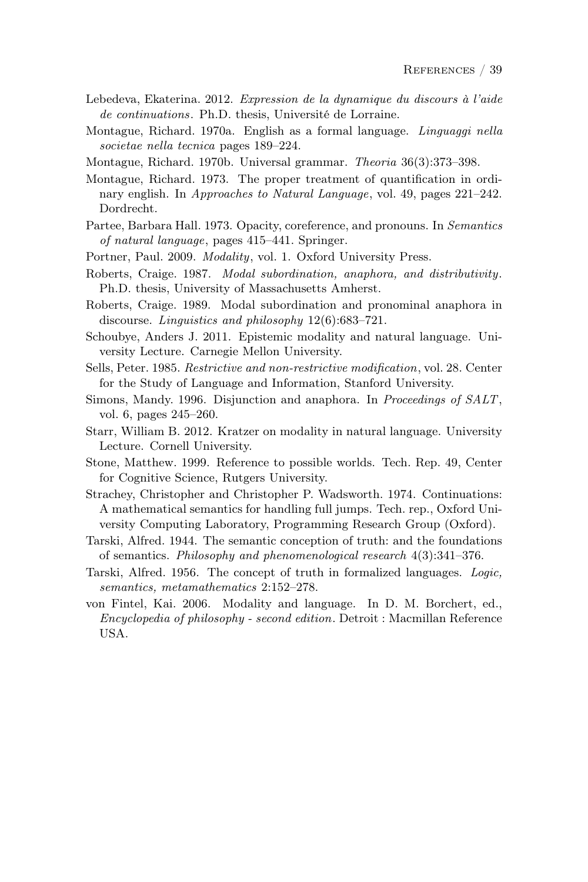- <span id="page-38-9"></span>Lebedeva, Ekaterina. 2012. Expression de la dynamique du discours à l'aide de continuations. Ph.D. thesis, Université de Lorraine.
- <span id="page-38-3"></span>Montague, Richard. 1970a. English as a formal language. Linguaggi nella societae nella tecnica pages 189–224.
- <span id="page-38-2"></span>Montague, Richard. 1970b. Universal grammar. Theoria 36(3):373–398.
- <span id="page-38-4"></span>Montague, Richard. 1973. The proper treatment of quantification in ordinary english. In Approaches to Natural Language, vol. 49, pages 221–242. Dordrecht.
- <span id="page-38-16"></span>Partee, Barbara Hall. 1973. Opacity, coreference, and pronouns. In Semantics of natural language, pages 415–441. Springer.
- <span id="page-38-12"></span>Portner, Paul. 2009. Modality, vol. 1. Oxford University Press.
- <span id="page-38-7"></span>Roberts, Craige. 1987. Modal subordination, anaphora, and distributivity. Ph.D. thesis, University of Massachusetts Amherst.
- <span id="page-38-6"></span>Roberts, Craige. 1989. Modal subordination and pronominal anaphora in discourse. Linguistics and philosophy 12(6):683–721.
- <span id="page-38-13"></span>Schoubye, Anders J. 2011. Epistemic modality and natural language. University Lecture. Carnegie Mellon University.
- <span id="page-38-15"></span>Sells, Peter. 1985. Restrictive and non-restrictive modification, vol. 28. Center for the Study of Language and Information, Stanford University.
- <span id="page-38-5"></span>Simons, Mandy. 1996. Disjunction and anaphora. In Proceedings of SALT, vol. 6, pages 245–260.
- <span id="page-38-11"></span>Starr, William B. 2012. Kratzer on modality in natural language. University Lecture. Cornell University.
- <span id="page-38-14"></span>Stone, Matthew. 1999. Reference to possible worlds. Tech. Rep. 49, Center for Cognitive Science, Rutgers University.
- <span id="page-38-8"></span>Strachey, Christopher and Christopher P. Wadsworth. 1974. Continuations: A mathematical semantics for handling full jumps. Tech. rep., Oxford University Computing Laboratory, Programming Research Group (Oxford).
- <span id="page-38-0"></span>Tarski, Alfred. 1944. The semantic conception of truth: and the foundations of semantics. Philosophy and phenomenological research 4(3):341–376.
- <span id="page-38-1"></span>Tarski, Alfred. 1956. The concept of truth in formalized languages. Logic, semantics, metamathematics 2:152–278.
- <span id="page-38-10"></span>von Fintel, Kai. 2006. Modality and language. In D. M. Borchert, ed., Encyclopedia of philosophy - second edition. Detroit : Macmillan Reference USA.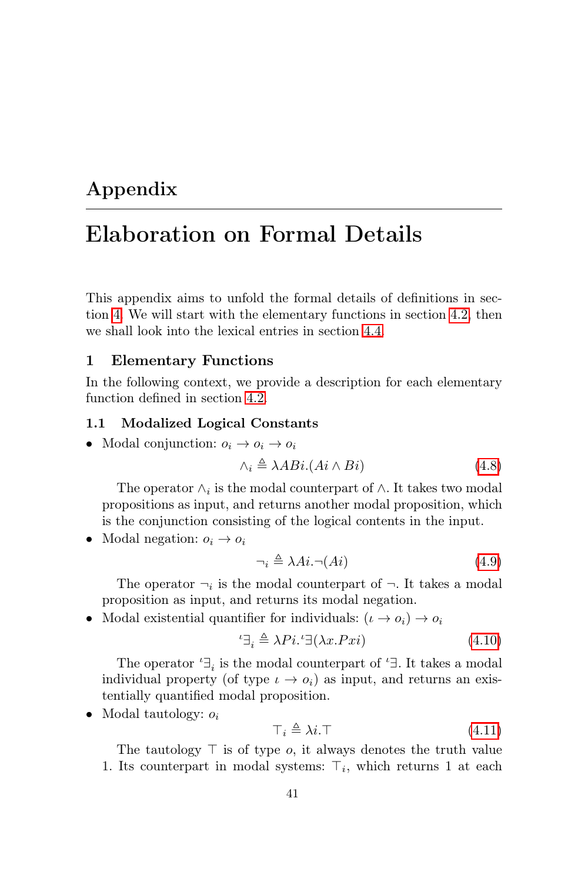# Appendix

# Elaboration on Formal Details

This appendix aims to unfold the formal details of definitions in section [4.](#page-13-0) We will start with the elementary functions in section [4.2,](#page-18-1) then we shall look into the lexical entries in section [4.4.](#page-23-0)

#### <span id="page-40-0"></span>1 Elementary Functions

In the following context, we provide a description for each elementary function defined in section [4.2.](#page-18-1)

#### 1.1 Modalized Logical Constants

• Modal conjunction:  $o_i \rightarrow o_i \rightarrow o_i$ 

$$
\wedge_i \triangleq \lambda A Bi. (Ai \wedge Bi) \tag{4.8}
$$

The operator  $\wedge_i$  is the modal counterpart of  $\wedge$ . It takes two modal propositions as input, and returns another modal proposition, which is the conjunction consisting of the logical contents in the input.

• Modal negation:  $o_i \rightarrow o_i$ 

$$
\neg_i \triangleq \lambda Ai. \neg (Ai) \tag{4.9}
$$

The operator  $\neg_i$  is the modal counterpart of  $\neg$ . It takes a modal proposition as input, and returns its modal negation.

• Modal existential quantifier for individuals:  $(\iota \to o_i) \to o_i$ 

$$
{}^{\iota}\exists_{i} \triangleq \lambda P i. {}^{\iota}\exists(\lambda x. Px i)
$$
\n(4.10)

The operator  $\mathbf{f}^{\perp}$  is the modal counterpart of  $\mathbf{f}^{\perp}$ . It takes a modal individual property (of type  $\iota \to o_i$ ) as input, and returns an existentially quantified modal proposition.

• Modal tautology:  $o_i$ 

$$
\top_i \triangleq \lambda i. \top \tag{4.11}
$$

The tautology  $\top$  is of type *o*, it always denotes the truth value 1. Its counterpart in modal systems:  $\top_i$ , which returns 1 at each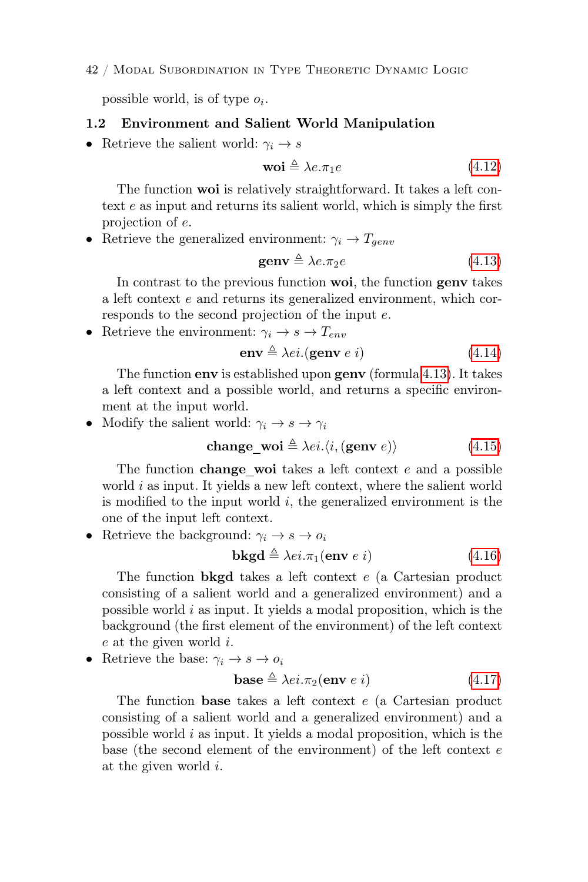#### 42 / Modal Subordination in Type Theoretic Dynamic Logic

possible world, is of type  $o_i$ .

#### 1.2 Environment and Salient World Manipulation

• Retrieve the salient world:  $\gamma_i \rightarrow s$ 

$$
\mathbf{woi} \triangleq \lambda e. \pi_1 e \tag{4.12}
$$

The function woi is relatively straightforward. It takes a left context e as input and returns its salient world, which is simply the first projection of e.

• Retrieve the generalized environment:  $\gamma_i \rightarrow T_{genv}$ 

$$
\mathbf{genv} \triangleq \lambda e. \pi_2 e \tag{4.13}
$$

In contrast to the previous function **woi**, the function **genv** takes a left context e and returns its generalized environment, which corresponds to the second projection of the input e.

• Retrieve the environment:  $\gamma_i \rightarrow s \rightarrow T_{env}$ 

$$
env \triangleq \lambda ei.(\text{genv } e i) \tag{4.14}
$$

The function env is established upon genv (formula [4.13\)](#page-19-1). It takes a left context and a possible world, and returns a specific environment at the input world.

• Modify the salient world:  $\gamma_i \rightarrow s \rightarrow \gamma_i$ 

$$
change\_woi \triangleq \lambda ei. \langle i, (genv e) \rangle \tag{4.15}
$$

The function **change** woi takes a left context e and a possible world  $i$  as input. It yields a new left context, where the salient world is modified to the input world  $i$ , the generalized environment is the one of the input left context.

• Retrieve the background:  $\gamma_i \rightarrow s \rightarrow o_i$ 

$$
\mathbf{bkgd} \triangleq \lambda ei.\pi_1(\mathbf{env} \ e \ i) \tag{4.16}
$$

The function bkgd takes a left context e (a Cartesian product consisting of a salient world and a generalized environment) and a possible world i as input. It yields a modal proposition, which is the background (the first element of the environment) of the left context e at the given world i.

• Retrieve the base:  $\gamma_i \to s \to o_i$ 

$$
\mathbf{base} \triangleq \lambda ei.\pi_2(\mathbf{env} \ e \ i) \tag{4.17}
$$

The function base takes a left context e (a Cartesian product consisting of a salient world and a generalized environment) and a possible world i as input. It yields a modal proposition, which is the base (the second element of the environment) of the left context e at the given world i.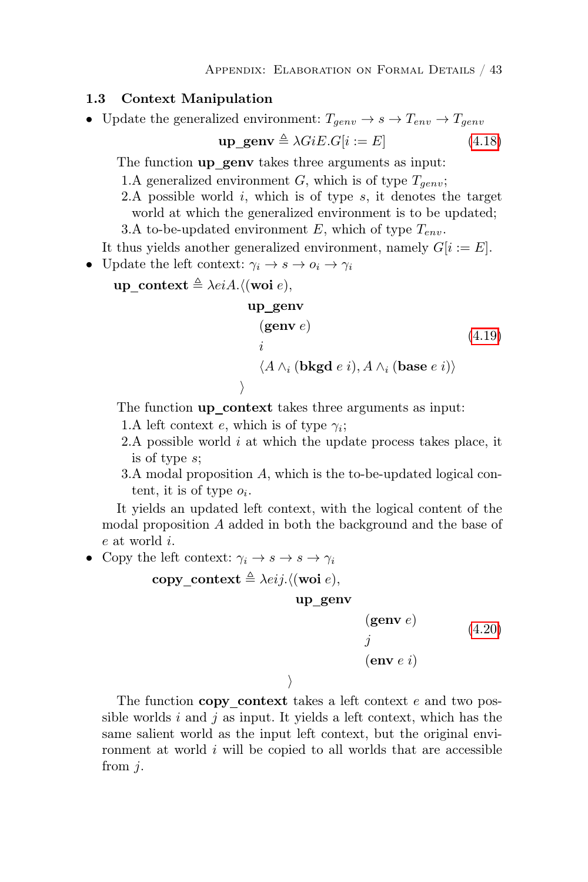#### 1.3 Context Manipulation

• Update the generalized environment:  $T_{genv} \rightarrow s \rightarrow T_{env} \rightarrow T_{genv}$ 

$$
\mathbf{up\_genv} \triangleq \lambda GiE.G[i := E] \tag{4.18}
$$

The function up genv takes three arguments as input:

1.A generalized environment G, which is of type  $T_{genv}$ ;

2.A possible world  $i$ , which is of type  $s$ , it denotes the target world at which the generalized environment is to be updated;

3.A to-be-updated environment E, which of type  $T_{env}$ .

It thus yields another generalized environment, namely  $G[i := E]$ .

• Update the left context:  $\gamma_i \rightarrow s \rightarrow o_i \rightarrow \gamma_i$ 

up context  $\triangleq \lambda e i A.$  (woi e),

$$
\begin{array}{ll}\n\textbf{up\_genv} \\
(\textbf{genv } e) \\
i \\
\langle A \wedge_i (\textbf{bkgd } e i), A \wedge_i (\textbf{base } e i) \rangle \\
\end{array} \tag{4.19}
$$

The function up context takes three arguments as input:

- 1.A left context e, which is of type  $\gamma_i$ ;
- 2.A possible world  $i$  at which the update process takes place, it is of type s;
- 3.A modal proposition A, which is the to-be-updated logical content, it is of type  $o_i$ .

It yields an updated left context, with the logical content of the modal proposition A added in both the background and the base of e at world i.

• Copy the left context:  $\gamma_i \rightarrow s \rightarrow s \rightarrow \gamma_i$ 

copy context  $\triangleq \lambda e^{i j}$ . ((woi e),

up genv

(genv e) j  $(env \, e \, i)$ [\(4.20\)](#page-20-3)

 $\left\langle \right\rangle$ 

The function copy context takes a left context  $e$  and two possible worlds  $i$  and  $j$  as input. It yields a left context, which has the same salient world as the input left context, but the original environment at world  $i$  will be copied to all worlds that are accessible from j.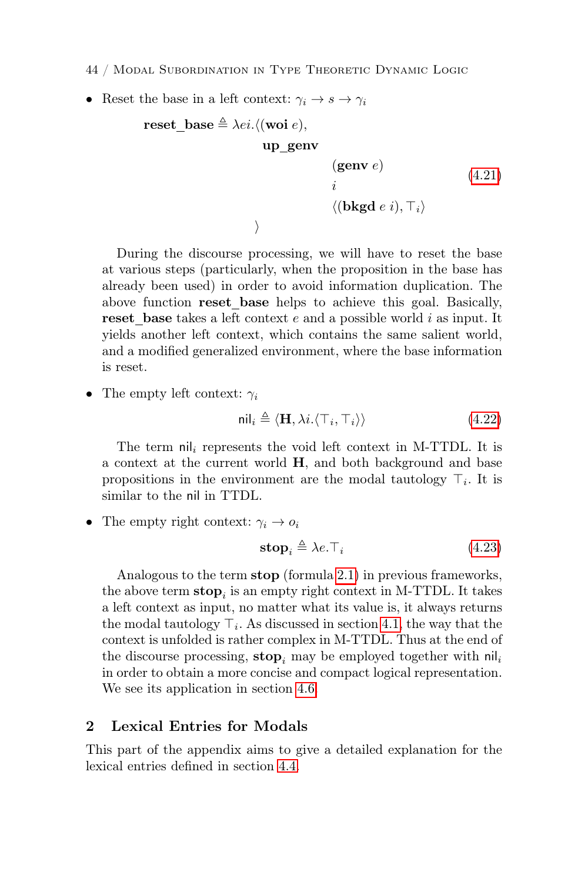- 44 / Modal Subordination in Type Theoretic Dynamic Logic
- Reset the base in a left context:  $\gamma_i \to s \to \gamma_i$

reset\_base 
$$
\triangleq \lambda ei. \langle (\text{woi } e),
$$

\nup\_genv

\n(genv  $e$ )

\n $i$ 

\n $\langle (\text{bkgd } e \, i), \top_i \rangle$ 

\n $\rangle$ 

During the discourse processing, we will have to reset the base at various steps (particularly, when the proposition in the base has already been used) in order to avoid information duplication. The above function reset base helps to achieve this goal. Basically, reset base takes a left context  $e$  and a possible world  $i$  as input. It yields another left context, which contains the same salient world, and a modified generalized environment, where the base information is reset.

• The empty left context:  $\gamma_i$ 

$$
\mathsf{nil}_i \triangleq \langle \mathbf{H}, \lambda i. \langle \top_i, \top_i \rangle \rangle \tag{4.22}
$$

The term  $\left[\text{n}\right]$  represents the void left context in M-TTDL. It is a context at the current world H, and both background and base propositions in the environment are the modal tautology  $\top_i$ . It is similar to the nil in TTDL.

• The empty right context:  $\gamma_i \rightarrow o_i$ 

$$
\mathbf{stop}_i \triangleq \lambda e. \top_i \tag{4.23}
$$

Analogous to the term stop (formula [2.1\)](#page-5-0) in previous frameworks, the above term  $\mathbf{stop}_i$  is an empty right context in M-TTDL. It takes a left context as input, no matter what its value is, it always returns the modal tautology  $\top_i$ . As discussed in section [4.1,](#page-14-1) the way that the context is unfolded is rather complex in M-TTDL. Thus at the end of the discourse processing, stop<sub>i</sub> may be employed together with  $\text{nil}_i$ in order to obtain a more concise and compact logical representation. We see its application in section [4.6.](#page-26-0)

#### <span id="page-43-0"></span>2 Lexical Entries for Modals

This part of the appendix aims to give a detailed explanation for the lexical entries defined in section [4.4.](#page-23-0)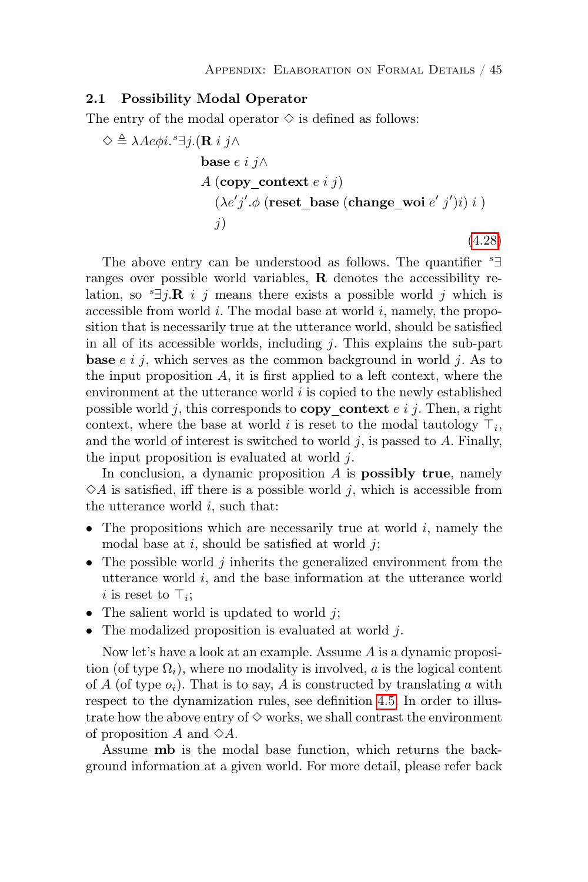#### 2.1 Possibility Modal Operator

The entry of the modal operator  $\diamond$  is defined as follows:

$$
\Diamond \triangleq \lambda A e \phi i.^{s} \exists j. (\mathbf{R} i j \land
$$
  
base *e i j*  $\land$   

$$
A (\text{copy\_context } e i j)
$$
  

$$
(\lambda e' j'. \phi (\text{reset\_base } (\text{change\_woi } e' j') i) i )
$$
  
*j*) (4.28)

The above entry can be understood as follows. The quantifier  $\,{}^s\exists$ ranges over possible world variables,  $\bf{R}$  denotes the accessibility relation, so  ${}^s \exists j$ **.R** i j means there exists a possible world j which is accessible from world  $i$ . The modal base at world  $i$ , namely, the proposition that is necessarily true at the utterance world, should be satisfied in all of its accessible worlds, including  $j$ . This explains the sub-part **base**  $e \, i \, j$ , which serves as the common background in world  $j$ . As to the input proposition  $A$ , it is first applied to a left context, where the environment at the utterance world  $i$  is copied to the newly established possible world j, this corresponds to **copy** context  $e \, i \, j$ . Then, a right context, where the base at world i is reset to the modal tautology  $\top_i$ , and the world of interest is switched to world  $i$ , is passed to  $A$ . Finally, the input proposition is evaluated at world  $i$ .

In conclusion, a dynamic proposition  $A$  is **possibly true**, namely  $\Diamond A$  is satisfied, iff there is a possible world j, which is accessible from the utterance world  $i$ , such that:

- The propositions which are necessarily true at world  $i$ , namely the modal base at  $i$ , should be satisfied at world  $i$ ;
- The possible world  $j$  inherits the generalized environment from the utterance world i, and the base information at the utterance world *i* is reset to  $\top_i$ ;
- The salient world is updated to world  $i$ .
- The modalized proposition is evaluated at world  $i$ .

Now let's have a look at an example. Assume A is a dynamic proposition (of type  $\Omega_i$ ), where no modality is involved, a is the logical content of A (of type  $o_i$ ). That is to say, A is constructed by translating a with respect to the dynamization rules, see definition [4.5.](#page-22-0) In order to illustrate how the above entry of  $\diamond$  works, we shall contrast the environment of proposition A and  $\diamond A$ .

Assume mb is the modal base function, which returns the background information at a given world. For more detail, please refer back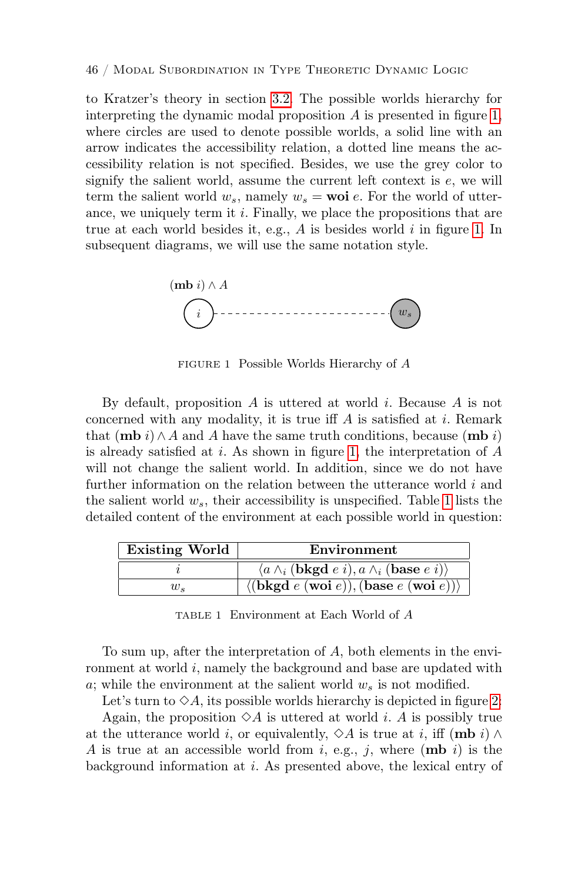to Kratzer's theory in section [3.2.](#page-11-1) The possible worlds hierarchy for interpreting the dynamic modal proposition  $\tilde{A}$  is presented in figure [1,](#page-45-0) where circles are used to denote possible worlds, a solid line with an arrow indicates the accessibility relation, a dotted line means the accessibility relation is not specified. Besides, we use the grey color to signify the salient world, assume the current left context is e, we will term the salient world  $w_s$ , namely  $w_s = \textbf{woi } e$ . For the world of utterance, we uniquely term it i. Finally, we place the propositions that are true at each world besides it, e.g.,  $A$  is besides world  $i$  in figure [1.](#page-45-0) In subsequent diagrams, we will use the same notation style.



<span id="page-45-0"></span>FIGURE 1 Possible Worlds Hierarchy of A

that  $(\mathbf{mb} \ i) \land A$  and A have the same truth conditions, because  $(\mathbf{mb} \ i)$ concerned with any modality, it is true iff  $A$  is satisfied at i. Remark further information on the relation between the utterance world  $i$  and By default, proposition  $A$  is uttered at world  $i$ . Because  $A$  is not is already satisfied at i. As shown in figure [1,](#page-45-0) the interpretation of  $A$ will not change the salient world. In addition, since we do not have the salient world  $w_s$ , their accessibility is unspecified. Table [1](#page-45-1) lists the detailed content of the environment at each possible world in question:

| <b>Existing World</b> | Environment                                                                            |
|-----------------------|----------------------------------------------------------------------------------------|
|                       | $\langle a \wedge_i (bkgd e i), a \wedge_i (base e i) \rangle$                         |
| $w_{\rm c}$           | $\langle (\mathbf{bkgd} e(\mathbf{woi} e)), (\mathbf{base} e(\mathbf{woi} e)) \rangle$ |

<span id="page-45-1"></span>TABLE 1 Environment at Each World of A

To sum up, after the interpretation of  $A$ , both elements in the environment at world  $i$ , namely the background and base are updated with a; while the environment at the salient world  $w_s$  is not modified.

Let's turn to  $\diamondsuit A$ , its possible worlds hierarchy is depicted in figure [2:](#page-46-0)

Again, the proposition  $\Diamond A$  is uttered at world *i*. A is possibly true background information at i. As presented above, the lexical entry of at the utterance world *i*, or equivalently,  $\diamond A$  is true at *i*, iff (mb *i*)  $\land$ A is true at an accessible world from i, e.g., j, where  $(\mathbf{mb} i)$  is the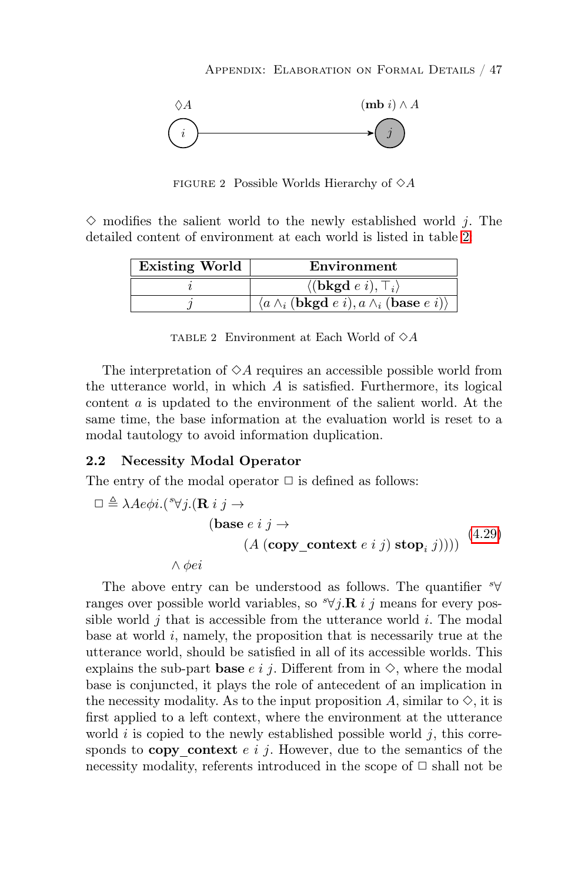

<span id="page-46-0"></span> $\mathcal{L}_{\mathcal{P}}$  is  $\mathcal{L}_{\mathcal{P}}$  and  $\mathcal{L}_{\mathcal{P}}$  and  $\mathcal{L}_{\mathcal{P}}$ FIGURE 2 Possible Worlds Hierarchy of  $\diamond A$ 

detailed content of environment at each world is listed in table  $2$ :  $\diamond$  modifies the salient world to the newly established world *j*. The

<span id="page-46-1"></span>

| $\langle (\mathbf{bkgd} e i), \top_i \rangle$ | Existing World | Environment                                                                              |
|-----------------------------------------------|----------------|------------------------------------------------------------------------------------------|
|                                               |                |                                                                                          |
|                                               |                | $\langle a \wedge_i (\mathbf{bkgd} \ e \ i), a \wedge_i (\mathbf{base} \ e \ i) \rangle$ |

TABLE 2 Environment at Each World of  $\diamond A$ 

The interpretation of  $\diamond A$  requires an accessible possible world from same time, the base information at the evaluation world is reset to a the utterance world, in which  $A$  is satisfied. Furthermore, its logical content a is updated to the environment of the salient world. At the modal tautology to avoid information duplication.

# 2.2 Necessity Modal Operator

The entry of the modal operator  $\Box$  is defined as follows:

$$
\Box \triangleq \lambda Ae\phi i. (*\forall j. (\mathbf{R} i j \rightarrow
$$
  
(base *e i j* \rightarrow  
(*A* (copy  
context *e i j*) stop<sub>i</sub> *j*)))) (4.29)  
 $\land \phi ei$ 

explains the sub-part **base** e i j. Different from in  $\diamond$ , where the modal The above entry can be understood as follows. The quantifier ∀ s ranges over possible world variables, so  $\sqrt[s]{j} \mathbf{R} i j$  means for every possible world  $j$  that is accessible from the utterance world  $i$ . The modal base at world  $i$ , namely, the proposition that is necessarily true at the utterance world, should be satisfied in all of its accessible worlds. This base is conjuncted, it plays the role of antecedent of an implication in the necessity modality. As to the input proposition A, similar to  $\diamond$ , it is first applied to a left context, where the environment at the utterance world  $i$  is copied to the newly established possible world  $j$ , this corresponds to copy context  $e \, i \, j$ . However, due to the semantics of the necessity modality, referents introduced in the scope of  $\Box$  shall not be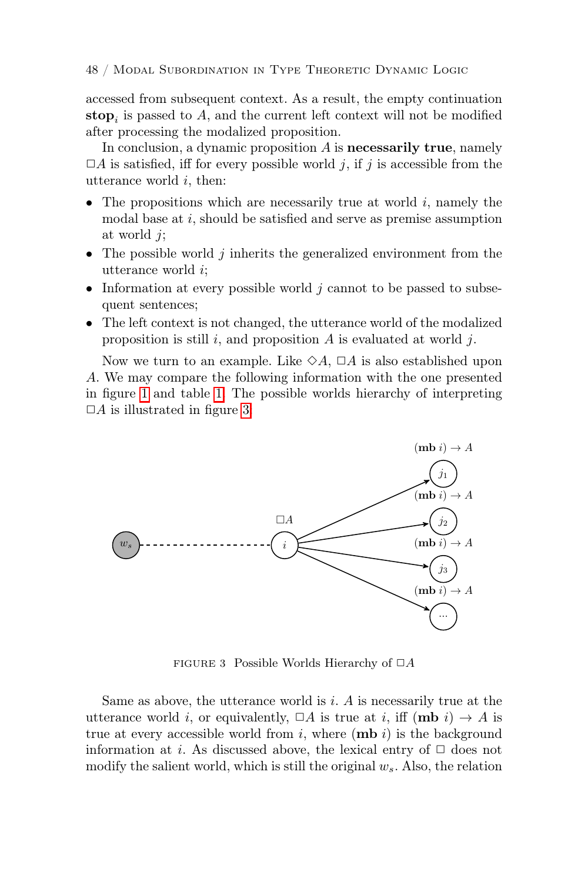accessed from subsequent context. As a result, the empty continuation **stop**<sub>i</sub> is passed to A, and the current left context will not be modified after processing the modalized proposition.

In conclusion, a dynamic proposition  $A$  is **necessarily true**, namely  $\Box A$  is satisfied, iff for every possible world j, if j is accessible from the utterance world i, then:

- The propositions which are necessarily true at world  $i$ , namely the modal base at i, should be satisfied and serve as premise assumption at world j;
- The possible world  $j$  inherits the generalized environment from the utterance world i;  $\mathcal{F}_{i}$
- Information at every possible world  $j$  cannot to be passed to subsequent sentences;
- The left context is not changed, the utterance world of the modalized proposition is still i, and proposition A is evaluated at world j.

Now we turn to an example. Like  $\diamond A$ ,  $\Box A$  is also established upon A. We may compare the following information with the one presented in figure [1](#page-45-0) and table [1.](#page-45-1) The possible worlds hierarchy of interpreting  $\Box A$  is illustrated in figure [3:](#page-47-0)



<span id="page-47-0"></span>FIGURE 3 Possible Worlds Hierarchy of  $\Box A$ 

Same as above, the utterance world is  $i$ . A is necessarily true at the utterance world i, or equivalently,  $\Box A$  is true at i, iff  $(\mathbf{mb} i) \rightarrow A$  is true at every accessible world from  $i$ , where  $(\mathbf{mb} i)$  is the background information at i. As discussed above, the lexical entry of  $\Box$  does not modify the salient world, which is still the original  $w_s$ . Also, the relation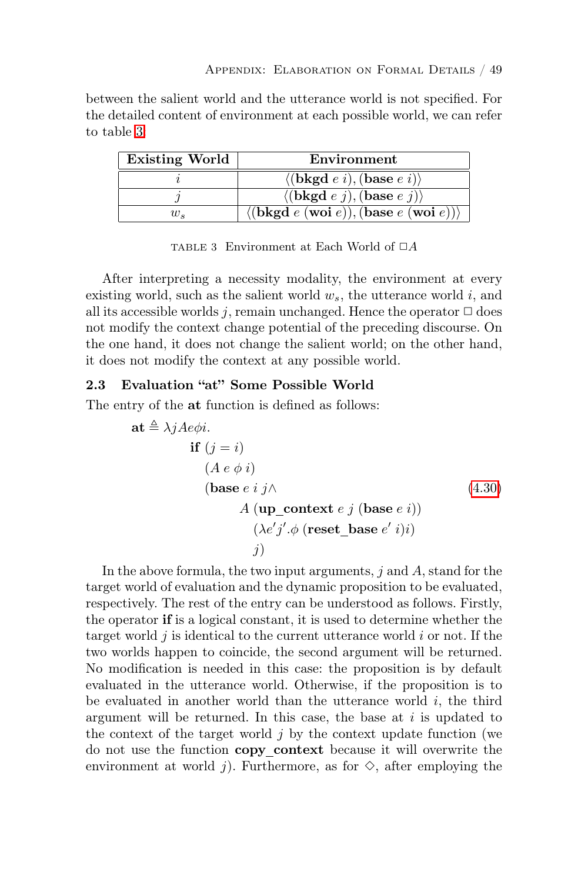between the salient world and the utterance world is not specified. For the detailed content of environment at each possible world, we can refer to table [3:](#page-48-0)

| <b>Existing World</b> | Environment                                                                            |
|-----------------------|----------------------------------------------------------------------------------------|
|                       | $\langle (\mathbf{bkgd} e i), (\mathbf{base} e i) \rangle$                             |
|                       | $\langle (\mathbf{bkgd} e j), (\mathbf{base} e j) \rangle$                             |
| $w_{\rm c}$           | $\langle (\text{bkgd } e \text{ (woi } e)), (\text{base } e \text{ (woi } e)) \rangle$ |

<span id="page-48-0"></span>TABLE 3 Environment at Each World of  $\Box A$ 

After interpreting a necessity modality, the environment at every existing world, such as the salient world  $w_s$ , the utterance world i, and all its accessible worlds j, remain unchanged. Hence the operator  $\Box$  does not modify the context change potential of the preceding discourse. On the one hand, it does not change the salient world; on the other hand, it does not modify the context at any possible world.

#### 2.3 Evaluation "at" Some Possible World

The entry of the at function is defined as follows:

$$
\mathbf{at} \triangleq \lambda j A e \phi i.
$$
\n
$$
\mathbf{if} (j = i)
$$
\n
$$
(A e \phi i)
$$
\n
$$
(\mathbf{base} e i j \wedge
$$
\n
$$
A (\mathbf{up\_context} e j (\mathbf{base} e i))
$$
\n
$$
(\lambda e' j' . \phi (\mathbf{reset\_base} e' i)i)
$$
\n
$$
j)
$$
\n(4.30)

In the above formula, the two input arguments,  $j$  and  $A$ , stand for the target world of evaluation and the dynamic proposition to be evaluated, respectively. The rest of the entry can be understood as follows. Firstly, the operator if is a logical constant, it is used to determine whether the target world  $j$  is identical to the current utterance world  $i$  or not. If the two worlds happen to coincide, the second argument will be returned. No modification is needed in this case: the proposition is by default evaluated in the utterance world. Otherwise, if the proposition is to be evaluated in another world than the utterance world  $i$ , the third argument will be returned. In this case, the base at  $i$  is updated to the context of the target world  $j$  by the context update function (we do not use the function copy context because it will overwrite the environment at world j). Furthermore, as for  $\diamond$ , after employing the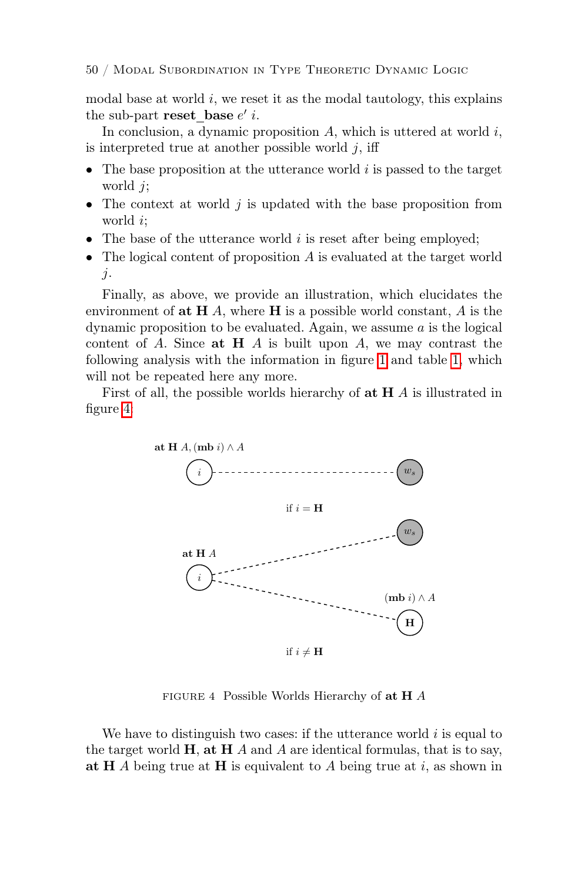modal base at world  $i$ , we reset it as the modal tautology, this explains the sub-part reset\_base  $e'$  *i*.

In conclusion, a dynamic proposition  $A$ , which is uttered at world  $i$ , is interpreted true at another possible world  $j$ , iff

- The base proposition at the utterance world  $i$  is passed to the target world *i*:
- The context at world  $j$  is updated with the base proposition from world i;
- The base of the utterance world  $i$  is reset after being employed;
- The logical content of proposition A is evaluated at the target world j.

Finally, as above, we provide an illustration, which elucidates the environment of  $extbf{at} \textbf{H}$  A, where  $extbf{H}$  is a possible world constant, A is the dynamic proposition to be evaluated. Again, we assume a is the logical content of A. Since  $\alpha t$  H A is built upon A, we may contrast the following analysis with the information in figure [1](#page-45-0) and table [1,](#page-45-1) which will not be repeated here any more.

First of all, the possible worlds hierarchy of  $\alpha$ **t**  $H$  *A* is illustrated in figure [4:](#page-49-0)



<span id="page-49-0"></span>FIGURE 4 Possible Worlds Hierarchy of  $extbf{at} H$  A

at H  $\overrightarrow{A}$  being true at H is equivalent to A being true at i, as shown in We have to distinguish two cases: if the utterance world  $i$  is equal to the target world  $\bf{H}$ , at  $\bf{H}$  A and A are identical formulas, that is to say,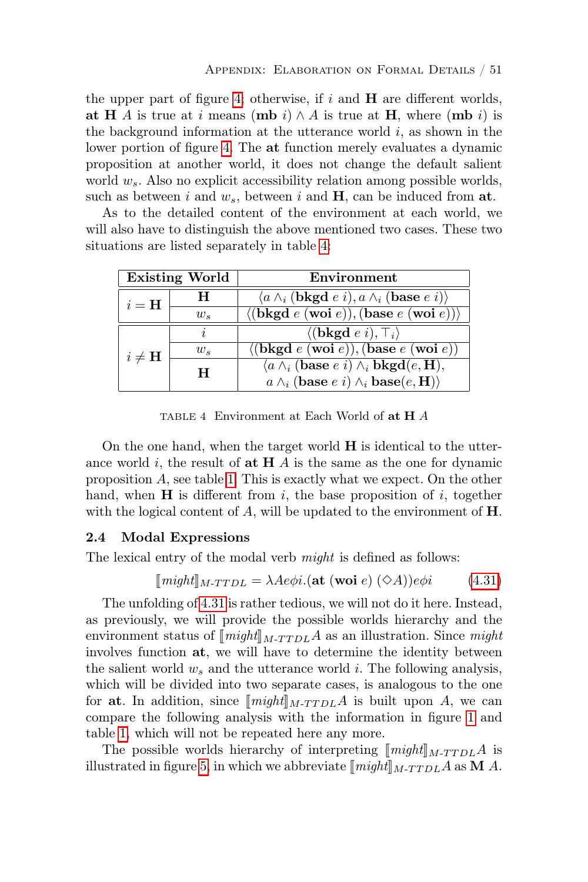the upper part of figure [4;](#page-49-0) otherwise, if  $i$  and  $\bf{H}$  are different worlds, at H A is true at i means (mb i)  $\wedge$  A is true at H, where (mb i) is the background information at the utterance world  $i$ , as shown in the lower portion of figure [4.](#page-49-0) The at function merely evaluates a dynamic proposition at another world, it does not change the default salient world  $w_s$ . Also no explicit accessibility relation among possible worlds, such as between i and  $w_s$ , between i and  $H$ , can be induced from at.

As to the detailed content of the environment at each world, we will also have to distinguish the above mentioned two cases. These two situations are listed separately in table [4:](#page-50-0)

| <b>Existing World</b> |                     | Environment                                                                                  |
|-----------------------|---------------------|----------------------------------------------------------------------------------------------|
| $i = H$               | H                   | $\langle a \wedge_i (\mathbf{bkgd} \; e \; i), a \wedge_i (\mathbf{base} \; e \; i) \rangle$ |
|                       | $w_{s}$             | $\langle (\mathbf{bkgd} e(\mathbf{woi} e)), (\mathbf{base} e(\mathbf{woi} e)) \rangle$       |
| $i \neq H$            | $\boldsymbol{\eta}$ | $\langle (\mathbf{bkgd} e i), \top_i \rangle$                                                |
|                       | $w_{s}$             | ((bkgd e (woi e)), (base e (woi e)))                                                         |
|                       | H                   | $\langle a \wedge_i (base e i) \wedge_i bkgd(e, H),$                                         |
|                       |                     | $a \wedge_i (base e i) \wedge_i base(e, H)$                                                  |

<span id="page-50-0"></span>TABLE 4 Environment at Each World of at H A

On the one hand, when the target world  $H$  is identical to the utterance world i, the result of **at H**  $\vec{A}$  is the same as the one for dynamic proposition A, see table [1.](#page-45-1) This is exactly what we expect. On the other hand, when  $H$  is different from i, the base proposition of i, together with the logical content of  $A$ , will be updated to the environment of  $H$ .

#### 2.4 Modal Expressions

The lexical entry of the modal verb *might* is defined as follows:

$$
[might]_{M\text{-}TTDL} = \lambda Ae\phi i.(\text{at (woi } e) (\Diamond A))e\phi i \tag{4.31}
$$

The unfolding of [4.31](#page-24-0) is rather tedious, we will not do it here. Instead, as previously, we will provide the possible worlds hierarchy and the environment status of  $\llbracket \text{might} \rrbracket_{M-T T D L}$  as an illustration. Since might involves function at, we will have to determine the identity between the salient world  $w_s$  and the utterance world i. The following analysis, which will be divided into two separate cases, is analogous to the one for at. In addition, since  $\llbracket \text{might} \rrbracket_{M-T T D L}$  is built upon A, we can compare the following analysis with the information in figure [1](#page-45-0) and table [1,](#page-45-1) which will not be repeated here any more.

The possible worlds hierarchy of interpreting  $\llbracket \text{might} \rrbracket_{M-T T D L}$  is illustrated in figure [5,](#page-51-0) in which we abbreviate  $\llbracket might \rrbracket_{M-T T D L}$  as **M** A.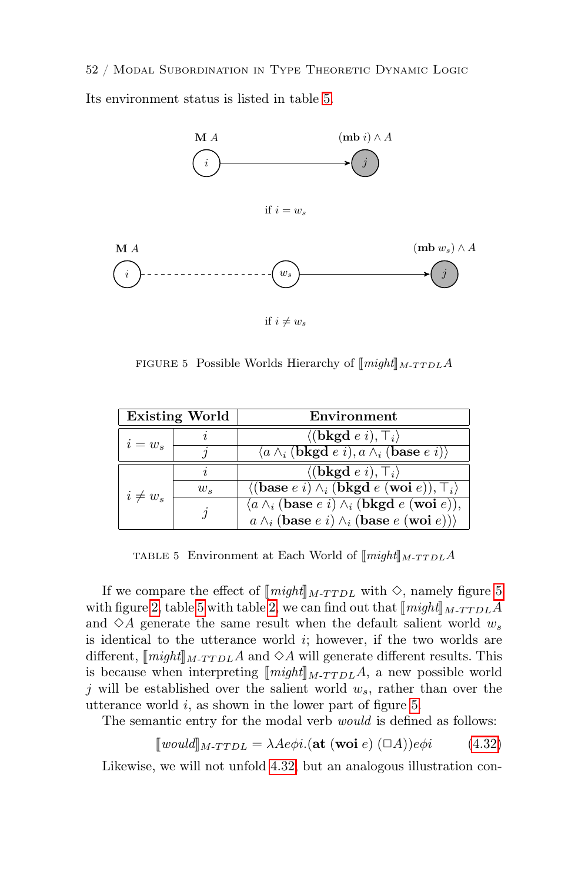52 / Modal Subordination in Type Theoretic Dynamic Logic Its environment status is listed in table [5.](#page-51-1)



<span id="page-51-0"></span>FIGURE 5: Possible Worlds Hierarchy of  $[\![\mathit{might}]\!]_{M\text{-}TTDL}$  A

|              | <b>Existing World</b> | Environment                                                                                  |
|--------------|-----------------------|----------------------------------------------------------------------------------------------|
| $i = w_s$    |                       | $\langle (\mathbf{bkgd} e i), \top_i \rangle$                                                |
|              |                       | $\langle a \wedge_i (\mathbf{bkgd} \; e \; i), a \wedge_i (\mathbf{base} \; e \; i) \rangle$ |
| $i \neq w_s$ |                       | $\langle (\mathbf{bkgd} e i), \top_i \rangle$                                                |
|              | $w_{s}$               | $\langle (\text{base } e \ i) \wedge_i (\text{bkgd } e \ (\text{woi } e)), \top_i \rangle$   |
|              | $\iota$               | $\langle a \wedge_i (base e i) \wedge_i (bkgd e (woi e)),$                                   |
|              |                       | $a \wedge_i (base e i) \wedge_i (base e (wo i e)))$                                          |

<span id="page-51-1"></span>TABLE 5 Environment at Each World of  $\llbracket might \rrbracket_{M-T T D L}$ A

If we compare the effect of  $[might]_{M-T T D L}$  with  $\diamond$ , namely figure [5](#page-51-0) with figure [2,](#page-46-1) table [5](#page-51-1) with table 2, we can find out that  $\llbracket \text{might} \rrbracket_{M-T T D L}$ and  $\Diamond A$  generate the same result when the default salient world  $w_s$ is identical to the utterance world  $i$ ; however, if the two worlds are different,  $\langle \text{might} |_{M-T T D L} A \rangle$  and  $\Diamond A$  will generate different results. This is because when interpreting  $[\![might]\!]_{M-T T D L}$  a new possible world j will be established over the salient world  $w_s$ , rather than over the utterance world  $i$ , as shown in the lower part of figure [5.](#page-51-0)

The semantic entry for the modal verb *would* is defined as follows:

$$
[would]_{M\text{-}TTDL} = \lambda A e \phi i. (\text{at (woi } e) (\Box A)) e \phi i \tag{4.32}
$$

Likewise, we will not unfold [4.32,](#page-25-1) but an analogous illustration con-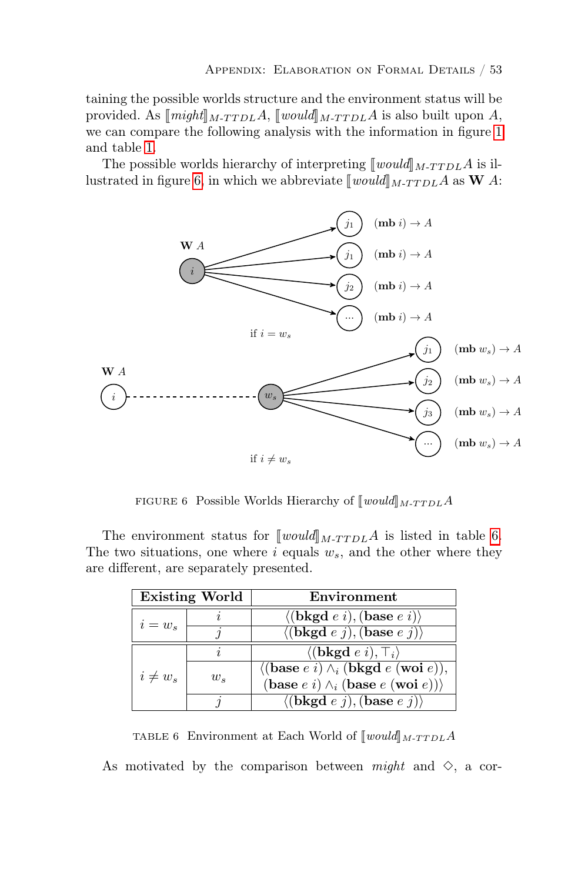taining the possible worlds structure and the environment status will be provided. As  $\llbracket \text{might} \rrbracket_{M-T T D L}$   $A$ ,  $\llbracket \text{would} \rrbracket_{M-T T D L}$  is also built upon A, we can compare the following analysis with the information in figure [1](#page-45-0) and table [1.](#page-45-1)

The possible worlds hierarchy of interpreting  $\llbracket would \rrbracket_{M-T T D L}$  is il-lustrated in figure [6,](#page-52-0) in which we abbreviate  $\llbracket would \rrbracket_{M-T T D L}$  as **W** A:



<span id="page-52-0"></span>FIGURE 6 Possible Worlds Hierarchy of  $[\text{would}]_{M\text{-}TTDL}$  A

are different, are separately presented. The environment status for  $\llbracket would \rrbracket_{M-T T D L}$  is listed in table [6.](#page-52-1) The two situations, one where  $i$  equals  $w_s$ , and the other where they

|              | <b>Existing World</b> | Environment                                                            |
|--------------|-----------------------|------------------------------------------------------------------------|
| $i = w_s$    |                       | $\langle (\mathbf{bkgd} e i), (\mathbf{base} e i) \rangle$             |
|              |                       | $\langle (\mathbf{bkgd} e j), (\mathbf{base} e j) \rangle$             |
| $i \neq w_s$ |                       | $\langle (\mathbf{bkgd} e i), \top_i \rangle$                          |
|              | $w_{s}$               | $\langle$ (base e i) $\wedge_i$ (bkgd e (woi e)),                      |
|              |                       | (base $e \in i \setminus \wedge_i$ (base $e$ (woi $e$ )))              |
|              |                       | $\langle (\mathbf{bkgd} \; e \; j), (\mathbf{base} \; e \; j) \rangle$ |

<span id="page-52-1"></span>TABLE 6 Environment at Each World of  $\llbracket would \rrbracket_{M-T T D L} A$ 

As motivated by the comparison between might and  $\diamond$ , a cor-